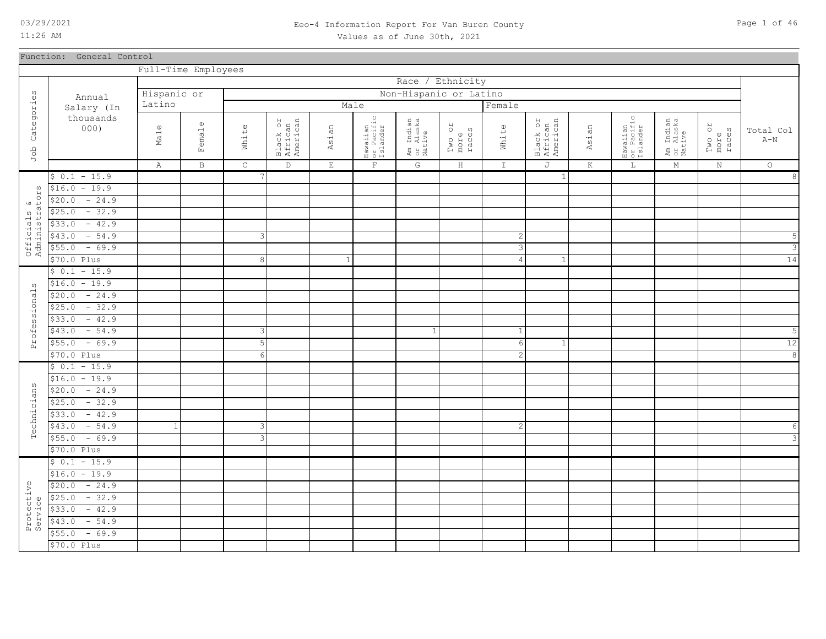### 03/29/2021 Page 1 of 46 Eeo-4 Information Report For Van Buren County Values as of June 30th, 2021

Function: General Control

|                               |                   | Full-Time Employees |              |               |                                 |             |                                    |                                  |                         |                |                                 |         |                                    |                                  |                         |                         |
|-------------------------------|-------------------|---------------------|--------------|---------------|---------------------------------|-------------|------------------------------------|----------------------------------|-------------------------|----------------|---------------------------------|---------|------------------------------------|----------------------------------|-------------------------|-------------------------|
|                               |                   |                     |              |               |                                 |             |                                    | Race / Ethnicity                 |                         |                |                                 |         |                                    |                                  |                         |                         |
|                               | Annual            | Hispanic or         |              |               |                                 |             |                                    | Non-Hispanic or Latino           |                         |                |                                 |         |                                    |                                  |                         |                         |
|                               | Salary (In        | Latino              |              |               |                                 |             | Male                               |                                  |                         | Female         |                                 |         |                                    |                                  |                         |                         |
| Job Categories                | thousands<br>000) | Male                | Female       | White         | Black or<br>African<br>American | Asian       | Hawaiian<br>or Pacific<br>Islander | Am Indian<br>or Alaska<br>Native | Two or<br>more<br>races | White          | Black or<br>African<br>American | Asian   | Hawaiian<br>or Pacific<br>Islander | Am Indian<br>or Alaska<br>Native | Two or<br>more<br>races | Total Col<br>$A-N$      |
|                               |                   | Α                   | $\, {\bf B}$ | $\mathsf C$   | $\mathbb D$                     | $\mathbf E$ | $\mathbf{F}$                       | G                                | $\rm H$                 | $\mathbbm{I}$  | J                               | $\rm K$ | $\mathbb L$                        | $\mathbb M$                      | $\mathbf N$             | $\circ$                 |
|                               | $$0.1 - 15.9$     |                     |              |               |                                 |             |                                    |                                  |                         |                | 1                               |         |                                    |                                  |                         | $\infty$                |
|                               | $$16.0 - 19.9$    |                     |              |               |                                 |             |                                    |                                  |                         |                |                                 |         |                                    |                                  |                         |                         |
| Officials &<br>Administrators | $-24.9$<br>\$20.0 |                     |              |               |                                 |             |                                    |                                  |                         |                |                                 |         |                                    |                                  |                         |                         |
|                               | $$25.0 - 32.9$    |                     |              |               |                                 |             |                                    |                                  |                         |                |                                 |         |                                    |                                  |                         |                         |
|                               | $-42.9$<br>\$33.0 |                     |              |               |                                 |             |                                    |                                  |                         |                |                                 |         |                                    |                                  |                         |                         |
|                               | $-54.9$<br>\$43.0 |                     |              | $\mathcal{S}$ |                                 |             |                                    |                                  |                         | $\overline{c}$ |                                 |         |                                    |                                  |                         | 5                       |
|                               | $$55.0 - 69.9$    |                     |              |               |                                 |             |                                    |                                  |                         | 3              |                                 |         |                                    |                                  |                         | $\overline{3}$          |
|                               | \$70.0 Plus       |                     |              | $\,8\,$       |                                 |             |                                    |                                  |                         | $\overline{4}$ | $\mathbf{1}$                    |         |                                    |                                  |                         | 14                      |
|                               | $$0.1 - 15.9$     |                     |              |               |                                 |             |                                    |                                  |                         |                |                                 |         |                                    |                                  |                         |                         |
|                               | $$16.0 - 19.9$    |                     |              |               |                                 |             |                                    |                                  |                         |                |                                 |         |                                    |                                  |                         |                         |
|                               | $-24.9$<br>\$20.0 |                     |              |               |                                 |             |                                    |                                  |                         |                |                                 |         |                                    |                                  |                         |                         |
| Professionals                 | $$25.0 - 32.9$    |                     |              |               |                                 |             |                                    |                                  |                         |                |                                 |         |                                    |                                  |                         |                         |
|                               | $-42.9$<br>\$33.0 |                     |              |               |                                 |             |                                    |                                  |                         |                |                                 |         |                                    |                                  |                         |                         |
|                               | $-54.9$<br>\$43.0 |                     |              | $\mathcal{E}$ |                                 |             |                                    | -1                               |                         | 1              |                                 |         |                                    |                                  |                         | 5                       |
|                               | $$55.0 - 69.9$    |                     |              | $\mathsf S$   |                                 |             |                                    |                                  |                         | 6              | $\mathbf{1}$                    |         |                                    |                                  |                         | 12                      |
|                               | $$70.0$ Plus      |                     |              | 6             |                                 |             |                                    |                                  |                         | $\mathbf{2}$   |                                 |         |                                    |                                  |                         | $\overline{8}$          |
|                               | $$0.1 - 15.9$     |                     |              |               |                                 |             |                                    |                                  |                         |                |                                 |         |                                    |                                  |                         |                         |
|                               | $$16.0 - 19.9$    |                     |              |               |                                 |             |                                    |                                  |                         |                |                                 |         |                                    |                                  |                         |                         |
| Technicians                   | $$20.0 - 24.9$    |                     |              |               |                                 |             |                                    |                                  |                         |                |                                 |         |                                    |                                  |                         |                         |
|                               | $$25.0 - 32.9$    |                     |              |               |                                 |             |                                    |                                  |                         |                |                                 |         |                                    |                                  |                         |                         |
|                               | $-42.9$<br>\$33.0 |                     |              |               |                                 |             |                                    |                                  |                         |                |                                 |         |                                    |                                  |                         |                         |
|                               | $-54.9$<br>\$43.0 |                     |              | 3             |                                 |             |                                    |                                  |                         | $\overline{c}$ |                                 |         |                                    |                                  |                         | $\epsilon$              |
|                               | $$55.0 - 69.9$    |                     |              | $\mathbf{3}$  |                                 |             |                                    |                                  |                         |                |                                 |         |                                    |                                  |                         | $\overline{\mathbf{3}}$ |
|                               | \$70.0 Plus       |                     |              |               |                                 |             |                                    |                                  |                         |                |                                 |         |                                    |                                  |                         |                         |
|                               | $$0.1 - 15.9$     |                     |              |               |                                 |             |                                    |                                  |                         |                |                                 |         |                                    |                                  |                         |                         |
|                               | $$16.0 - 19.9$    |                     |              |               |                                 |             |                                    |                                  |                         |                |                                 |         |                                    |                                  |                         |                         |
|                               | $$20.0 - 24.9$    |                     |              |               |                                 |             |                                    |                                  |                         |                |                                 |         |                                    |                                  |                         |                         |
|                               | $-32.9$<br>\$25.0 |                     |              |               |                                 |             |                                    |                                  |                         |                |                                 |         |                                    |                                  |                         |                         |
| Protective<br>Service         | $-42.9$<br>\$33.0 |                     |              |               |                                 |             |                                    |                                  |                         |                |                                 |         |                                    |                                  |                         |                         |
|                               | $-54.9$<br>\$43.0 |                     |              |               |                                 |             |                                    |                                  |                         |                |                                 |         |                                    |                                  |                         |                         |
|                               | $-69.9$<br>\$55.0 |                     |              |               |                                 |             |                                    |                                  |                         |                |                                 |         |                                    |                                  |                         |                         |
|                               | \$70.0 Plus       |                     |              |               |                                 |             |                                    |                                  |                         |                |                                 |         |                                    |                                  |                         |                         |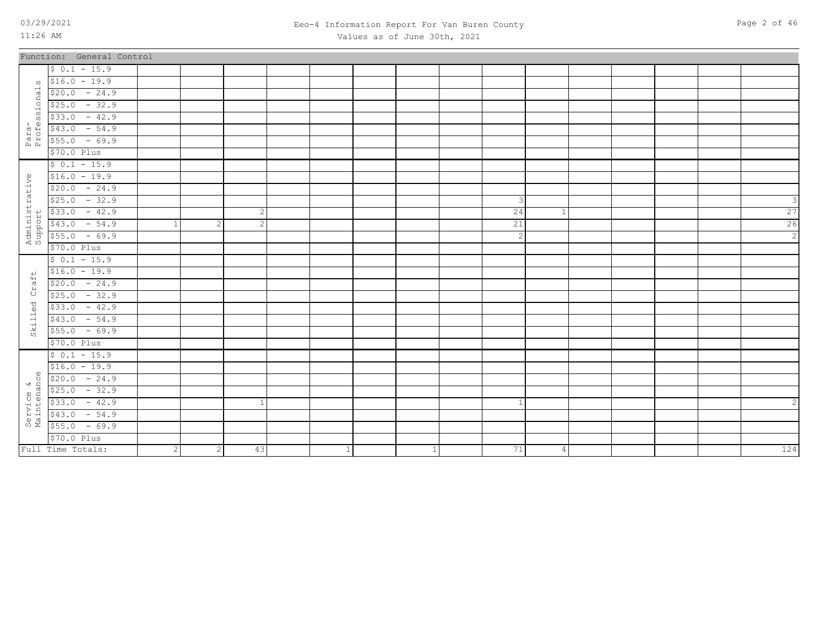### 03/29/2021 Page 2 of 46 Eeo-4 Information Report For Van Buren County Values as of June 30th, 2021

|                | Function: General Control                                                                                                                                                                                                                                                                                                                                                                                           |                |                |                |   |              |              |                |  |  |                |
|----------------|---------------------------------------------------------------------------------------------------------------------------------------------------------------------------------------------------------------------------------------------------------------------------------------------------------------------------------------------------------------------------------------------------------------------|----------------|----------------|----------------|---|--------------|--------------|----------------|--|--|----------------|
|                | $$0.1 - 15.9$                                                                                                                                                                                                                                                                                                                                                                                                       |                |                |                |   |              |              |                |  |  |                |
|                | $\sqrt{516.0} - 19.9$                                                                                                                                                                                                                                                                                                                                                                                               |                |                |                |   |              |              |                |  |  |                |
|                |                                                                                                                                                                                                                                                                                                                                                                                                                     |                |                |                |   |              |              |                |  |  |                |
|                |                                                                                                                                                                                                                                                                                                                                                                                                                     |                |                |                |   |              |              |                |  |  |                |
|                |                                                                                                                                                                                                                                                                                                                                                                                                                     |                |                |                |   |              |              |                |  |  |                |
|                |                                                                                                                                                                                                                                                                                                                                                                                                                     |                |                |                |   |              |              |                |  |  |                |
|                | $\frac{410.0 - 19.9}{520.0 - 24.9}$<br>$\frac{525.0 - 32.9}{533.0 - 42.9}$<br>$\frac{42.9}{553.0 - 54.9}$<br>$\frac{42.9}{555.0 - 69.9}$                                                                                                                                                                                                                                                                            |                |                |                |   |              |              |                |  |  |                |
|                | \$70.0 Plus                                                                                                                                                                                                                                                                                                                                                                                                         |                |                |                |   |              |              |                |  |  |                |
|                | $$0.1 - 15.9$                                                                                                                                                                                                                                                                                                                                                                                                       |                |                |                |   |              |              |                |  |  |                |
|                | $$16.0 - 19.9$                                                                                                                                                                                                                                                                                                                                                                                                      |                |                |                |   |              |              |                |  |  |                |
|                |                                                                                                                                                                                                                                                                                                                                                                                                                     |                |                |                |   |              |              |                |  |  |                |
|                | $\begin{array}{r} \n 9 \overline{516.0 - 19.9} \\  \hline\n 520.0 - 24.9 \\  \hline\n 525.0 - 32.9 \\  \hline\n 14 \overline{533.0 - 42.9} \\  \hline\n 543.0 - 54.9 \\  \hline\n 643.0 - 54.9 \\  \hline\n 70.0 \text{ Plus}\n \end{array}$                                                                                                                                                                        |                |                |                |   |              | $\mathbf{3}$ |                |  |  | ₹              |
|                |                                                                                                                                                                                                                                                                                                                                                                                                                     |                |                | $\overline{2}$ |   |              | 24           |                |  |  | 27             |
|                |                                                                                                                                                                                                                                                                                                                                                                                                                     |                | 2              | $\mathfrak{D}$ |   |              | 21           |                |  |  | 26             |
|                |                                                                                                                                                                                                                                                                                                                                                                                                                     |                |                |                |   |              | $\mathbf{2}$ |                |  |  | $\overline{2}$ |
|                | \$70.0 Plus                                                                                                                                                                                                                                                                                                                                                                                                         |                |                |                |   |              |              |                |  |  |                |
|                | $$0.1 - 15.9$                                                                                                                                                                                                                                                                                                                                                                                                       |                |                |                |   |              |              |                |  |  |                |
| $\overline{ }$ | $$16.0 - 19.9$                                                                                                                                                                                                                                                                                                                                                                                                      |                |                |                |   |              |              |                |  |  |                |
| Craft          | $$20.0 - 24.9$                                                                                                                                                                                                                                                                                                                                                                                                      |                |                |                |   |              |              |                |  |  |                |
|                | $$25.0 - 32.9$                                                                                                                                                                                                                                                                                                                                                                                                      |                |                |                |   |              |              |                |  |  |                |
| $\vec{\theta}$ | $$33.0 - 42.9$                                                                                                                                                                                                                                                                                                                                                                                                      |                |                |                |   |              |              |                |  |  |                |
| $S$ kille      | $$43.0 - 54.9$                                                                                                                                                                                                                                                                                                                                                                                                      |                |                |                |   |              |              |                |  |  |                |
|                | $$55.0 - 69.9$                                                                                                                                                                                                                                                                                                                                                                                                      |                |                |                |   |              |              |                |  |  |                |
|                | \$70.0 Plus                                                                                                                                                                                                                                                                                                                                                                                                         |                |                |                |   |              |              |                |  |  |                |
|                | $$0.1 - 15.9$                                                                                                                                                                                                                                                                                                                                                                                                       |                |                |                |   |              |              |                |  |  |                |
| $\Phi$         | $$16.0 - 19.9$                                                                                                                                                                                                                                                                                                                                                                                                      |                |                |                |   |              |              |                |  |  |                |
|                | $0$ \$20.0 - 24.9                                                                                                                                                                                                                                                                                                                                                                                                   |                |                |                |   |              |              |                |  |  |                |
|                |                                                                                                                                                                                                                                                                                                                                                                                                                     |                |                |                |   |              |              |                |  |  |                |
|                |                                                                                                                                                                                                                                                                                                                                                                                                                     |                |                |                |   |              |              |                |  |  |                |
|                | $\begin{array}{r} \text{9} \\ \text{9} \\ \text{10} \\ \text{25} \\ \text{26} \\ \text{27} \\ \text{38} \\ \text{49} \\ \text{50} \\ \text{60} \\ \text{75} \\ \text{87} \\ \text{98} \\ \text{100} \\ \text{110} \\ \text{120} \\ \text{131} \\ \text{141} \\ \text{152} \\ \text{163} \\ \text{173} \\ \text{183} \\ \text{195} \\ \text{195} \\ \text{195} \\ \text{195} \\ \text{195} \\ \text{195} \\ \text{1$ |                |                |                |   |              |              |                |  |  |                |
|                |                                                                                                                                                                                                                                                                                                                                                                                                                     |                |                |                |   |              |              |                |  |  |                |
|                | $$70.0$ Plus                                                                                                                                                                                                                                                                                                                                                                                                        |                |                |                |   |              |              |                |  |  |                |
|                | Full Time Totals:                                                                                                                                                                                                                                                                                                                                                                                                   | $\overline{2}$ | $\overline{2}$ | 43             | 1 | $\mathbf{1}$ | 71           | $\overline{4}$ |  |  | 124            |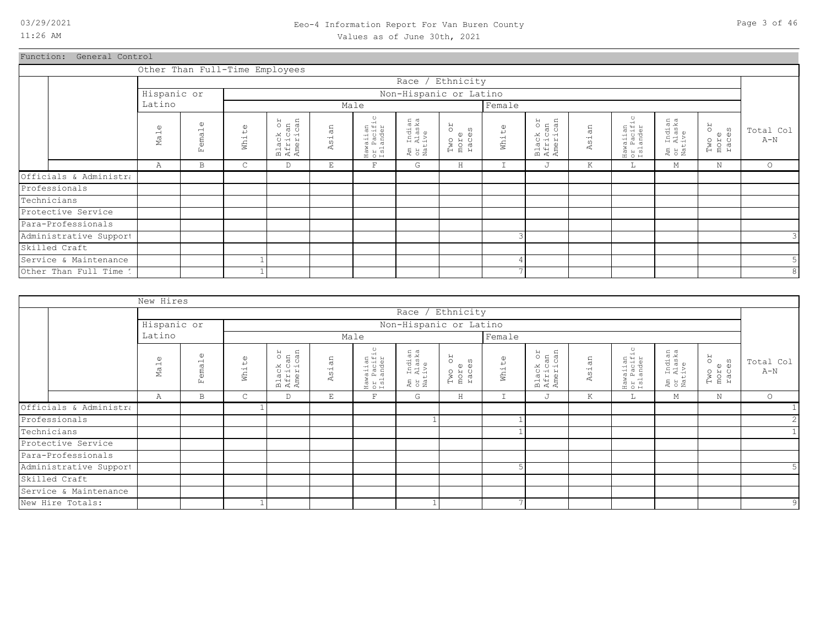### 03/29/2021 Page 3 of 46 Eeo-4 Information Report For Van Buren County Values as of June 30th, 2021

Function: General Control

|                        | Other Than Full-Time Employees |                           |                       |                                 |                          |                                             |                                  |                               |                |                                 |                                       |                                               |                                           |                         |                    |
|------------------------|--------------------------------|---------------------------|-----------------------|---------------------------------|--------------------------|---------------------------------------------|----------------------------------|-------------------------------|----------------|---------------------------------|---------------------------------------|-----------------------------------------------|-------------------------------------------|-------------------------|--------------------|
|                        |                                |                           |                       |                                 |                          |                                             | Race / Ethnicity                 |                               |                |                                 |                                       |                                               |                                           |                         |                    |
|                        | Hispanic or                    |                           |                       |                                 |                          |                                             | Non-Hispanic or Latino           |                               |                |                                 |                                       |                                               |                                           |                         |                    |
|                        | Latino                         |                           |                       |                                 |                          | Male                                        |                                  |                               | Female         |                                 |                                       |                                               |                                           |                         |                    |
|                        | $\omega$<br>Mal                | $\mathbb U$<br>emal<br>E. | $\mathbb{O}$<br>White | Black or<br>African<br>American | Ξ<br>$\frac{1}{2}$<br>Ä. | waiian<br>: Pacific<br>;lander<br>$max_{S}$ | Am Indian<br>or Alaska<br>Native | RO<br>Two or<br>more<br>races | White          | Black or<br>African<br>American | an<br>$\overline{\overline{5}}$<br>K. | $\circ$<br>Hawaiian<br>or Pacific<br>Islander | ı Indian<br>: Alaska<br>.tive<br>탄 요<br>일 | Two or<br>more<br>races | Total Col<br>$A-N$ |
|                        | Α                              | B                         | C                     | D                               | Е                        | F                                           | G                                | $\rm H$                       |                | J                               | Κ                                     | ⊥                                             | М                                         | N                       | $\circ$            |
| Officials & Administra |                                |                           |                       |                                 |                          |                                             |                                  |                               |                |                                 |                                       |                                               |                                           |                         |                    |
| Professionals          |                                |                           |                       |                                 |                          |                                             |                                  |                               |                |                                 |                                       |                                               |                                           |                         |                    |
| Technicians            |                                |                           |                       |                                 |                          |                                             |                                  |                               |                |                                 |                                       |                                               |                                           |                         |                    |
| Protective Service     |                                |                           |                       |                                 |                          |                                             |                                  |                               |                |                                 |                                       |                                               |                                           |                         |                    |
| Para-Professionals     |                                |                           |                       |                                 |                          |                                             |                                  |                               |                |                                 |                                       |                                               |                                           |                         |                    |
| Administrative Support |                                |                           |                       |                                 |                          |                                             |                                  |                               | 3              |                                 |                                       |                                               |                                           |                         | 3                  |
| Skilled Craft          |                                |                           |                       |                                 |                          |                                             |                                  |                               |                |                                 |                                       |                                               |                                           |                         |                    |
| Service & Maintenance  |                                |                           |                       |                                 |                          |                                             |                                  |                               | 4              |                                 |                                       |                                               |                                           |                         |                    |
| Other Than Full Time 1 |                                |                           |                       |                                 |                          |                                             |                                  |                               | $\overline{ }$ |                                 |                                       |                                               |                                           |                         | 8                  |

|                        | New Hires                   |                        |                       |                                 |           |                                    |                                  |                                      |                      |                                 |                       |                                    |                                    |                                        |                    |
|------------------------|-----------------------------|------------------------|-----------------------|---------------------------------|-----------|------------------------------------|----------------------------------|--------------------------------------|----------------------|---------------------------------|-----------------------|------------------------------------|------------------------------------|----------------------------------------|--------------------|
|                        |                             |                        |                       |                                 |           |                                    |                                  | Race / Ethnicity                     |                      |                                 |                       |                                    |                                    |                                        |                    |
|                        | Hispanic or                 |                        |                       |                                 |           |                                    | Non-Hispanic or Latino           |                                      |                      |                                 |                       |                                    |                                    |                                        |                    |
|                        | Latino                      |                        |                       |                                 |           | Male                               |                                  |                                      | Female               |                                 |                       |                                    |                                    |                                        |                    |
|                        | $\omega$<br>Ma <sub>1</sub> | $\omega$<br>emal<br>Ŀц | $\mathbb{O}$<br>White | Black or<br>African<br>American | άn<br>Asi | Hawaiian<br>or Pacific<br>Islander | Am Indian<br>or Alaska<br>Native | <b>ZO</b><br>Two or<br>more<br>races | $\mathbb U$<br>White | Black or<br>African<br>American | sian<br>$\mathcal{A}$ | Hawaiian<br>or Pacific<br>Islander | Indian<br>Alaska<br>tive<br>E s ai | RO<br>$\Omega$<br>Two<br>more<br>races | Total Col<br>$A-N$ |
|                        | Α                           | B                      | $\mathsf{C}$          | D                               | E         | F                                  | G                                | $\rm H$                              | T                    | J                               | K                     | ш.                                 | М                                  | $\mathbf N$                            | $\circ$            |
| Officials & Administra |                             |                        |                       |                                 |           |                                    |                                  |                                      |                      |                                 |                       |                                    |                                    |                                        |                    |
| Professionals          |                             |                        |                       |                                 |           |                                    |                                  |                                      |                      |                                 |                       |                                    |                                    |                                        | $\overline{2}$     |
| Technicians            |                             |                        |                       |                                 |           |                                    |                                  |                                      |                      |                                 |                       |                                    |                                    |                                        |                    |
| Protective Service     |                             |                        |                       |                                 |           |                                    |                                  |                                      |                      |                                 |                       |                                    |                                    |                                        |                    |
| Para-Professionals     |                             |                        |                       |                                 |           |                                    |                                  |                                      |                      |                                 |                       |                                    |                                    |                                        |                    |
| Administrative Support |                             |                        |                       |                                 |           |                                    |                                  |                                      |                      |                                 |                       |                                    |                                    |                                        | 5 <sup>1</sup>     |
| Skilled Craft          |                             |                        |                       |                                 |           |                                    |                                  |                                      |                      |                                 |                       |                                    |                                    |                                        |                    |
| Service & Maintenance  |                             |                        |                       |                                 |           |                                    |                                  |                                      |                      |                                 |                       |                                    |                                    |                                        |                    |
| New Hire Totals:       |                             |                        |                       |                                 |           |                                    |                                  |                                      | $\overline{a}$       |                                 |                       |                                    |                                    |                                        | $\overline{9}$     |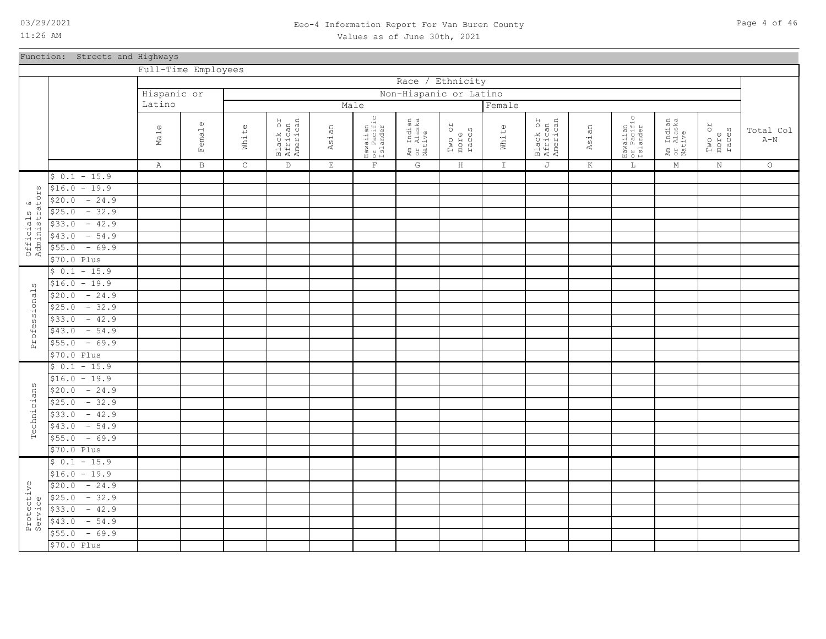### 03/29/2021 Page 4 of 46 Eeo-4 Information Report For Van Buren County Values as of June 30th, 2021

Function: Streets and Highways

|                                    |                   | Full-Time Employees |              |             |                                 |             |                                    |                                  |                               |               |                                 |        |                                    |                                  |                               |                    |
|------------------------------------|-------------------|---------------------|--------------|-------------|---------------------------------|-------------|------------------------------------|----------------------------------|-------------------------------|---------------|---------------------------------|--------|------------------------------------|----------------------------------|-------------------------------|--------------------|
|                                    |                   |                     |              |             |                                 |             |                                    | Race                             | / Ethnicity                   |               |                                 |        |                                    |                                  |                               |                    |
|                                    |                   | Hispanic or         |              |             |                                 |             |                                    | Non-Hispanic or Latino           |                               |               |                                 |        |                                    |                                  |                               |                    |
|                                    |                   | Latino              |              |             |                                 |             | Male                               |                                  |                               | Female        |                                 |        |                                    |                                  |                               |                    |
|                                    |                   |                     |              |             |                                 |             |                                    |                                  |                               |               |                                 |        |                                    |                                  |                               |                    |
|                                    |                   | $\mathbb{O}$<br>Mal | Female       | White       | Black or<br>African<br>American | Asian       | Hawaiian<br>or Pacific<br>Islander | Am Indian<br>or Alaska<br>Native | RO<br>Two or<br>more<br>races | White         | Black or<br>African<br>American | Asian  | Hawaiian<br>or Pacific<br>Islander | Am Indian<br>or Alaska<br>Native | RO<br>Two or<br>more<br>races | Total Col<br>$A-N$ |
|                                    |                   |                     |              |             |                                 |             |                                    |                                  |                               |               |                                 |        |                                    |                                  |                               |                    |
|                                    |                   | Α                   | $\, {\bf B}$ | $\mathsf C$ | $\mathbb D$                     | $\mathbf E$ | $\mathbf{F}$                       | G                                | $\, {\rm H} \,$               | $\mathbbm{I}$ | J                               | $\,$ K | $\mathbb L$                        | $M_{\odot}$                      | $\rm N$                       | $\circ$            |
|                                    | $$0.1 - 15.9$     |                     |              |             |                                 |             |                                    |                                  |                               |               |                                 |        |                                    |                                  |                               |                    |
| $\mathsf{V}\Omega$<br>$\mathbf{H}$ | $$16.0 - 19.9$    |                     |              |             |                                 |             |                                    |                                  |                               |               |                                 |        |                                    |                                  |                               |                    |
|                                    | $-24.9$<br>\$20.0 |                     |              |             |                                 |             |                                    |                                  |                               |               |                                 |        |                                    |                                  |                               |                    |
|                                    | $-32.9$<br>\$25.0 |                     |              |             |                                 |             |                                    |                                  |                               |               |                                 |        |                                    |                                  |                               |                    |
|                                    | $-42.9$<br>\$33.0 |                     |              |             |                                 |             |                                    |                                  |                               |               |                                 |        |                                    |                                  |                               |                    |
|                                    | $-54.9$<br>\$43.0 |                     |              |             |                                 |             |                                    |                                  |                               |               |                                 |        |                                    |                                  |                               |                    |
| Officials &<br>Administrator       | \$55.0<br>$-69.9$ |                     |              |             |                                 |             |                                    |                                  |                               |               |                                 |        |                                    |                                  |                               |                    |
|                                    | \$70.0 Plus       |                     |              |             |                                 |             |                                    |                                  |                               |               |                                 |        |                                    |                                  |                               |                    |
|                                    | $$0.1 - 15.9$     |                     |              |             |                                 |             |                                    |                                  |                               |               |                                 |        |                                    |                                  |                               |                    |
| ω                                  | $$16.0 - 19.9$    |                     |              |             |                                 |             |                                    |                                  |                               |               |                                 |        |                                    |                                  |                               |                    |
|                                    | $-24.9$<br>\$20.0 |                     |              |             |                                 |             |                                    |                                  |                               |               |                                 |        |                                    |                                  |                               |                    |
|                                    | $$25.0 - 32.9$    |                     |              |             |                                 |             |                                    |                                  |                               |               |                                 |        |                                    |                                  |                               |                    |
|                                    | $-42.9$<br>\$33.0 |                     |              |             |                                 |             |                                    |                                  |                               |               |                                 |        |                                    |                                  |                               |                    |
|                                    | $-54.9$<br>\$43.0 |                     |              |             |                                 |             |                                    |                                  |                               |               |                                 |        |                                    |                                  |                               |                    |
| Professional                       | $-69.9$<br>\$55.0 |                     |              |             |                                 |             |                                    |                                  |                               |               |                                 |        |                                    |                                  |                               |                    |
|                                    | \$70.0 Plus       |                     |              |             |                                 |             |                                    |                                  |                               |               |                                 |        |                                    |                                  |                               |                    |
|                                    | $$0.1 - 15.9$     |                     |              |             |                                 |             |                                    |                                  |                               |               |                                 |        |                                    |                                  |                               |                    |
|                                    | $$16.0 - 19.9$    |                     |              |             |                                 |             |                                    |                                  |                               |               |                                 |        |                                    |                                  |                               |                    |
|                                    | $-24.9$<br>\$20.0 |                     |              |             |                                 |             |                                    |                                  |                               |               |                                 |        |                                    |                                  |                               |                    |
| Technicians                        | $$25.0 - 32.9$    |                     |              |             |                                 |             |                                    |                                  |                               |               |                                 |        |                                    |                                  |                               |                    |
|                                    | $-42.9$<br>\$33.0 |                     |              |             |                                 |             |                                    |                                  |                               |               |                                 |        |                                    |                                  |                               |                    |
|                                    | $-54.9$<br>\$43.0 |                     |              |             |                                 |             |                                    |                                  |                               |               |                                 |        |                                    |                                  |                               |                    |
|                                    | $$55.0 - 69.9$    |                     |              |             |                                 |             |                                    |                                  |                               |               |                                 |        |                                    |                                  |                               |                    |
|                                    | \$70.0 Plus       |                     |              |             |                                 |             |                                    |                                  |                               |               |                                 |        |                                    |                                  |                               |                    |
|                                    | $$0.1 - 15.9$     |                     |              |             |                                 |             |                                    |                                  |                               |               |                                 |        |                                    |                                  |                               |                    |
|                                    | $$16.0 - 19.9$    |                     |              |             |                                 |             |                                    |                                  |                               |               |                                 |        |                                    |                                  |                               |                    |
|                                    | $-24.9$<br>\$20.0 |                     |              |             |                                 |             |                                    |                                  |                               |               |                                 |        |                                    |                                  |                               |                    |
|                                    | $-32.9$<br>\$25.0 |                     |              |             |                                 |             |                                    |                                  |                               |               |                                 |        |                                    |                                  |                               |                    |
| Protective<br>Service              | \$33.0<br>$-42.9$ |                     |              |             |                                 |             |                                    |                                  |                               |               |                                 |        |                                    |                                  |                               |                    |
|                                    | \$43.0<br>$-54.9$ |                     |              |             |                                 |             |                                    |                                  |                               |               |                                 |        |                                    |                                  |                               |                    |
|                                    | $-69.9$<br>\$55.0 |                     |              |             |                                 |             |                                    |                                  |                               |               |                                 |        |                                    |                                  |                               |                    |
|                                    | \$70.0 Plus       |                     |              |             |                                 |             |                                    |                                  |                               |               |                                 |        |                                    |                                  |                               |                    |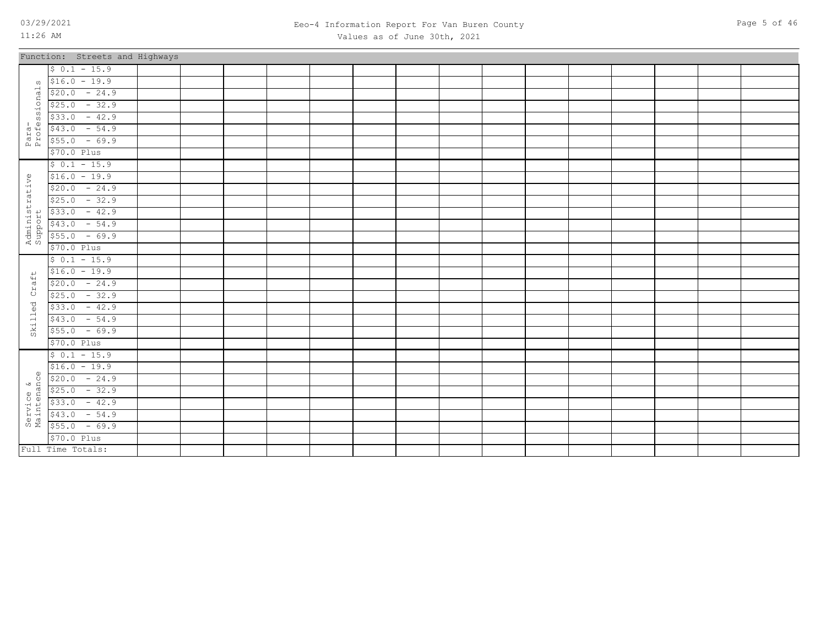### 03/29/2021 Page 5 of 46 Eeo-4 Information Report For Van Buren County Values as of June 30th, 2021

|                           | Function: Streets and Highways |  |  |  |  |  |  |  |  |
|---------------------------|--------------------------------|--|--|--|--|--|--|--|--|
|                           | $$0.1 - 15.9$                  |  |  |  |  |  |  |  |  |
| ω                         | $$16.0 - 19.9$                 |  |  |  |  |  |  |  |  |
|                           | $$20.0 - 24.9$                 |  |  |  |  |  |  |  |  |
| Para-<br>Professionals    | $$25.0 - 32.9$                 |  |  |  |  |  |  |  |  |
|                           | $$33.0 - 42.9$                 |  |  |  |  |  |  |  |  |
|                           | $$43.0 - 54.9$                 |  |  |  |  |  |  |  |  |
|                           | $$55.0 - 69.9$                 |  |  |  |  |  |  |  |  |
|                           | \$70.0 Plus                    |  |  |  |  |  |  |  |  |
|                           | $$0.1 - 15.9$                  |  |  |  |  |  |  |  |  |
|                           | $$16.0 - 19.9$                 |  |  |  |  |  |  |  |  |
|                           | $$20.0 - 24.9$                 |  |  |  |  |  |  |  |  |
|                           | $$25.0 - 32.9$                 |  |  |  |  |  |  |  |  |
|                           | $$33.0 - 42.9$                 |  |  |  |  |  |  |  |  |
| Administrative<br>Support | $$43.0 - 54.9$                 |  |  |  |  |  |  |  |  |
|                           | $$55.0 - 69.9$                 |  |  |  |  |  |  |  |  |
|                           | \$70.0 Plus                    |  |  |  |  |  |  |  |  |
|                           | $$0.1 - 15.9$                  |  |  |  |  |  |  |  |  |
|                           | $$16.0 - 19.9$                 |  |  |  |  |  |  |  |  |
| Craft                     | $$20.0 - 24.9$                 |  |  |  |  |  |  |  |  |
|                           | $$25.0 - 32.9$                 |  |  |  |  |  |  |  |  |
| Skilled                   | $$33.0 - 42.9$                 |  |  |  |  |  |  |  |  |
|                           | $$43.0 - 54.9$                 |  |  |  |  |  |  |  |  |
|                           | $$55.0 - 69.9$                 |  |  |  |  |  |  |  |  |
|                           | \$70.0 Plus                    |  |  |  |  |  |  |  |  |
|                           | $$0.1 - 15.9$                  |  |  |  |  |  |  |  |  |
|                           | $$16.0 - 19.9$                 |  |  |  |  |  |  |  |  |
|                           |                                |  |  |  |  |  |  |  |  |
|                           |                                |  |  |  |  |  |  |  |  |
|                           |                                |  |  |  |  |  |  |  |  |
|                           |                                |  |  |  |  |  |  |  |  |
|                           |                                |  |  |  |  |  |  |  |  |
|                           | \$70.0 Plus                    |  |  |  |  |  |  |  |  |
|                           | Full Time Totals:              |  |  |  |  |  |  |  |  |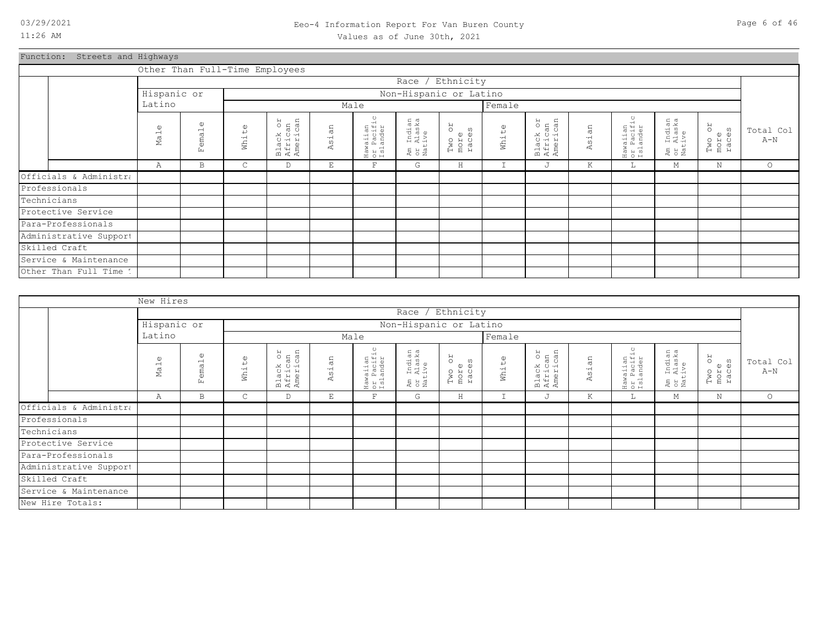### 03/29/2021 Page 6 of 46 Eeo-4 Information Report For Van Buren County Values as of June 30th, 2021

Function: Streets and Highways

|                        | Other Than Full-Time Employees  |                    |                                             |                                              |                     |                                    |                                  |                               |        |                                 |            |                                                                                                      |                                  |                               |                    |
|------------------------|---------------------------------|--------------------|---------------------------------------------|----------------------------------------------|---------------------|------------------------------------|----------------------------------|-------------------------------|--------|---------------------------------|------------|------------------------------------------------------------------------------------------------------|----------------------------------|-------------------------------|--------------------|
|                        |                                 |                    |                                             |                                              |                     |                                    | Race /                           | Ethnicity                     |        |                                 |            |                                                                                                      |                                  |                               |                    |
|                        | Hispanic or                     |                    |                                             |                                              |                     |                                    | Non-Hispanic or Latino           |                               |        |                                 |            |                                                                                                      |                                  |                               |                    |
|                        | Latino                          |                    |                                             |                                              |                     | Male                               |                                  |                               | Female |                                 |            |                                                                                                      |                                  |                               |                    |
|                        | $\mathbb{O}$<br>Ma <sub>1</sub> | O<br>$=$ mal<br>E. | $\mathbb{O}$<br>$\downarrow$<br>$-1$<br>Мh. | on<br>an<br>can<br>Black<br>Africa<br>Amerio | an<br>ہے۔<br>0<br>4 | Hawaiian<br>or Pacific<br>Islander | Am Indian<br>or Alaska<br>Native | RO<br>Two or<br>more<br>races | White  | Black or<br>African<br>American | sian<br>K. | $\circ$<br>waiian<br>· Pacifio<br>·lander<br>$\begin{bmatrix} 1 & 0 \\ 0 & 1 \\ 0 & 1 \end{bmatrix}$ | Am Indian<br>or Alaska<br>Native | RO<br>Two o:<br>more<br>races | Total Col<br>$A-N$ |
|                        | Α                               | $\mathbf B$        | C                                           | D                                            | E                   | $\mathbf{F}$                       | G                                | H                             | I      | J                               | Κ          | L                                                                                                    | М                                | Ν                             | $\circ$            |
| Officials & Administra |                                 |                    |                                             |                                              |                     |                                    |                                  |                               |        |                                 |            |                                                                                                      |                                  |                               |                    |
| Professionals          |                                 |                    |                                             |                                              |                     |                                    |                                  |                               |        |                                 |            |                                                                                                      |                                  |                               |                    |
| Technicians            |                                 |                    |                                             |                                              |                     |                                    |                                  |                               |        |                                 |            |                                                                                                      |                                  |                               |                    |
| Protective Service     |                                 |                    |                                             |                                              |                     |                                    |                                  |                               |        |                                 |            |                                                                                                      |                                  |                               |                    |
| Para-Professionals     |                                 |                    |                                             |                                              |                     |                                    |                                  |                               |        |                                 |            |                                                                                                      |                                  |                               |                    |
| Administrative Support |                                 |                    |                                             |                                              |                     |                                    |                                  |                               |        |                                 |            |                                                                                                      |                                  |                               |                    |
| Skilled Craft          |                                 |                    |                                             |                                              |                     |                                    |                                  |                               |        |                                 |            |                                                                                                      |                                  |                               |                    |
| Service & Maintenance  |                                 |                    |                                             |                                              |                     |                                    |                                  |                               |        |                                 |            |                                                                                                      |                                  |                               |                    |
| Other Than Full Time 1 |                                 |                    |                                             |                                              |                     |                                    |                                  |                               |        |                                 |            |                                                                                                      |                                  |                               |                    |

|                        | New Hires                   |                             |                   |                                 |       |                                    |                                  |                               |             |                                 |         |                                                          |                                                 |                               |                    |
|------------------------|-----------------------------|-----------------------------|-------------------|---------------------------------|-------|------------------------------------|----------------------------------|-------------------------------|-------------|---------------------------------|---------|----------------------------------------------------------|-------------------------------------------------|-------------------------------|--------------------|
|                        |                             |                             |                   |                                 |       |                                    | Race / Ethnicity                 |                               |             |                                 |         |                                                          |                                                 |                               |                    |
|                        | Hispanic or                 |                             |                   |                                 |       |                                    | Non-Hispanic or Latino           |                               |             |                                 |         |                                                          |                                                 |                               |                    |
|                        | Latino                      |                             |                   |                                 |       | Male                               |                                  |                               | Female      |                                 |         |                                                          |                                                 |                               |                    |
|                        | $\omega$<br>Ma <sub>1</sub> | $\mathbb{O}$<br>ema1<br>Еŭ. | $\omega$<br>White | Black or<br>African<br>American | Asian | Hawaiian<br>or Pacific<br>Islander | Am Indian<br>or Alaska<br>Native | RO<br>Two or<br>more<br>races | White       | Black or<br>African<br>American | Asian   | waiian<br>: Pacific<br>:lander<br>Haw<br>Or J<br>I S J i | ı Indian<br>: Alaska<br>.tive<br>Ex<br>S<br>Nat | RO<br>Two or<br>more<br>races | Total Col<br>$A-N$ |
|                        | Α                           | B                           | $\mathsf{C}$      | D                               | E     | $\mathbf F$                        | G                                | $\rm H$                       | $\mathbf I$ | J                               | $\rm K$ | Ш.,                                                      | М                                               | $\rm N$                       | $\circ$            |
| Officials & Administra |                             |                             |                   |                                 |       |                                    |                                  |                               |             |                                 |         |                                                          |                                                 |                               |                    |
| Professionals          |                             |                             |                   |                                 |       |                                    |                                  |                               |             |                                 |         |                                                          |                                                 |                               |                    |
| Technicians            |                             |                             |                   |                                 |       |                                    |                                  |                               |             |                                 |         |                                                          |                                                 |                               |                    |
| Protective Service     |                             |                             |                   |                                 |       |                                    |                                  |                               |             |                                 |         |                                                          |                                                 |                               |                    |
| Para-Professionals     |                             |                             |                   |                                 |       |                                    |                                  |                               |             |                                 |         |                                                          |                                                 |                               |                    |
| Administrative Support |                             |                             |                   |                                 |       |                                    |                                  |                               |             |                                 |         |                                                          |                                                 |                               |                    |
| Skilled Craft          |                             |                             |                   |                                 |       |                                    |                                  |                               |             |                                 |         |                                                          |                                                 |                               |                    |
| Service & Maintenance  |                             |                             |                   |                                 |       |                                    |                                  |                               |             |                                 |         |                                                          |                                                 |                               |                    |
| New Hire Totals:       |                             |                             |                   |                                 |       |                                    |                                  |                               |             |                                 |         |                                                          |                                                 |                               |                    |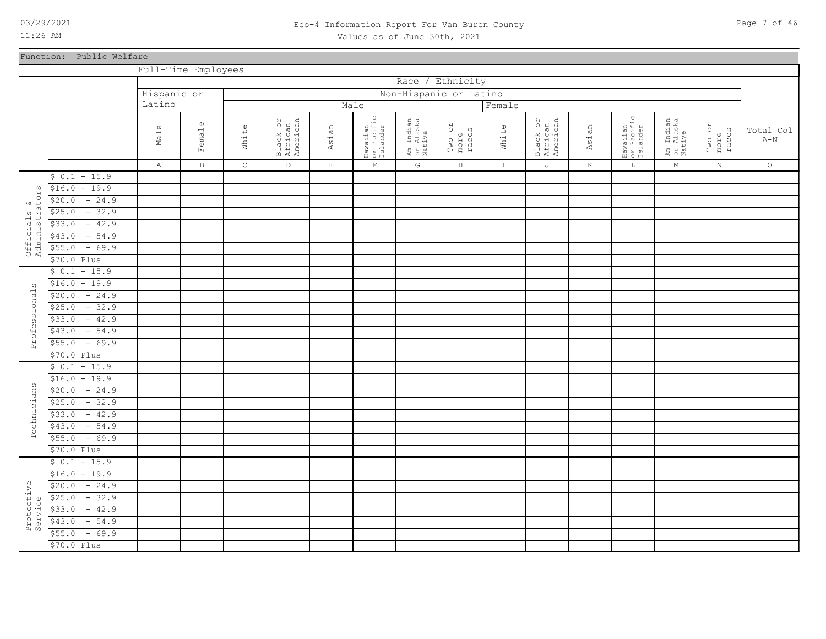### 03/29/2021 Page 7 of 46 Eeo-4 Information Report For Van Buren County Values as of June 30th, 2021

|                               | Function: Public Welfare |             |                     |             |                                 |                                 |                                    |                                  |                         |               |                                 |         |                                    |                                  |                         |           |
|-------------------------------|--------------------------|-------------|---------------------|-------------|---------------------------------|---------------------------------|------------------------------------|----------------------------------|-------------------------|---------------|---------------------------------|---------|------------------------------------|----------------------------------|-------------------------|-----------|
|                               |                          |             | Full-Time Employees |             |                                 |                                 |                                    |                                  |                         |               |                                 |         |                                    |                                  |                         |           |
|                               |                          |             |                     |             |                                 |                                 |                                    |                                  | Race / Ethnicity        |               |                                 |         |                                    |                                  |                         |           |
|                               |                          | Hispanic or |                     |             |                                 |                                 |                                    |                                  | Non-Hispanic or Latino  |               |                                 |         |                                    |                                  |                         |           |
|                               |                          | Latino      |                     |             |                                 |                                 | Male                               |                                  |                         | Female        |                                 |         |                                    |                                  |                         |           |
|                               |                          |             |                     |             |                                 |                                 |                                    |                                  |                         |               |                                 |         | $_{\circ}$                         |                                  |                         | Total Col |
|                               |                          | Male        | Female              | White       | Black or<br>African<br>American | Asian                           | Hawaiian<br>or Pacific<br>Islander | Am Indian<br>or Alaska<br>Native | Two or<br>more<br>races | White         | Black or<br>African<br>American | Asian   | Hawaiian<br>or Pacific<br>Islander | Am Indian<br>or Alaska<br>Native | Two or<br>more<br>races | $A-N$     |
|                               |                          | Α           | $\, {\bf B}$        | $\mathsf C$ | $\mathbb D$                     | $\mathop{}\mathcal{E}\nolimits$ | $\mathbf{F}$                       | G                                | $\, {\rm H}$            | $\mathbbm{1}$ | J                               | $\rm K$ | $\mathbf L$                        | $\mathbf M$                      | $\mathbb N$             | $\circ$   |
|                               | $$0.1 - 15.9$            |             |                     |             |                                 |                                 |                                    |                                  |                         |               |                                 |         |                                    |                                  |                         |           |
|                               | $-19.9$<br>\$16.0        |             |                     |             |                                 |                                 |                                    |                                  |                         |               |                                 |         |                                    |                                  |                         |           |
|                               | $-24.9$<br>\$20.0        |             |                     |             |                                 |                                 |                                    |                                  |                         |               |                                 |         |                                    |                                  |                         |           |
|                               | $-32.9$<br>\$25.0        |             |                     |             |                                 |                                 |                                    |                                  |                         |               |                                 |         |                                    |                                  |                         |           |
| Officials &<br>Administrators | $-42.9$<br>\$33.0        |             |                     |             |                                 |                                 |                                    |                                  |                         |               |                                 |         |                                    |                                  |                         |           |
|                               | $-54.9$<br>\$43.0        |             |                     |             |                                 |                                 |                                    |                                  |                         |               |                                 |         |                                    |                                  |                         |           |
|                               | $-69.9$<br>\$55.0        |             |                     |             |                                 |                                 |                                    |                                  |                         |               |                                 |         |                                    |                                  |                         |           |
|                               | $$70.0$ Plus             |             |                     |             |                                 |                                 |                                    |                                  |                         |               |                                 |         |                                    |                                  |                         |           |
|                               | $$0.1 - 15.9$            |             |                     |             |                                 |                                 |                                    |                                  |                         |               |                                 |         |                                    |                                  |                         |           |
| S)                            | $$16.0 - 19.9$           |             |                     |             |                                 |                                 |                                    |                                  |                         |               |                                 |         |                                    |                                  |                         |           |
| rofessional                   | $-24.9$<br>\$20.0        |             |                     |             |                                 |                                 |                                    |                                  |                         |               |                                 |         |                                    |                                  |                         |           |
|                               | $$25.0 - 32.9$           |             |                     |             |                                 |                                 |                                    |                                  |                         |               |                                 |         |                                    |                                  |                         |           |
|                               | $-42.9$<br>\$33.0        |             |                     |             |                                 |                                 |                                    |                                  |                         |               |                                 |         |                                    |                                  |                         |           |
|                               | $-54.9$<br>\$43.0        |             |                     |             |                                 |                                 |                                    |                                  |                         |               |                                 |         |                                    |                                  |                         |           |
| $\mathbf{a}$                  | $-69.9$<br>\$55.0        |             |                     |             |                                 |                                 |                                    |                                  |                         |               |                                 |         |                                    |                                  |                         |           |
|                               | \$70.0 Plus              |             |                     |             |                                 |                                 |                                    |                                  |                         |               |                                 |         |                                    |                                  |                         |           |
|                               | $$0.1 - 15.9$            |             |                     |             |                                 |                                 |                                    |                                  |                         |               |                                 |         |                                    |                                  |                         |           |
|                               | $$16.0 - 19.9$           |             |                     |             |                                 |                                 |                                    |                                  |                         |               |                                 |         |                                    |                                  |                         |           |
|                               | $$20.0 - 24.9$           |             |                     |             |                                 |                                 |                                    |                                  |                         |               |                                 |         |                                    |                                  |                         |           |
|                               | $-32.9$<br>\$25.0        |             |                     |             |                                 |                                 |                                    |                                  |                         |               |                                 |         |                                    |                                  |                         |           |
|                               | $-42.9$<br>\$33.0        |             |                     |             |                                 |                                 |                                    |                                  |                         |               |                                 |         |                                    |                                  |                         |           |
| Technicians                   | $-54.9$<br>\$43.0        |             |                     |             |                                 |                                 |                                    |                                  |                         |               |                                 |         |                                    |                                  |                         |           |
|                               | $-69.9$<br>\$55.0        |             |                     |             |                                 |                                 |                                    |                                  |                         |               |                                 |         |                                    |                                  |                         |           |
|                               | \$70.0 Plus              |             |                     |             |                                 |                                 |                                    |                                  |                         |               |                                 |         |                                    |                                  |                         |           |
|                               | $$0.1 - 15.9$            |             |                     |             |                                 |                                 |                                    |                                  |                         |               |                                 |         |                                    |                                  |                         |           |
|                               | $$16.0 - 19.9$           |             |                     |             |                                 |                                 |                                    |                                  |                         |               |                                 |         |                                    |                                  |                         |           |
|                               | \$20.0<br>$-24.9$        |             |                     |             |                                 |                                 |                                    |                                  |                         |               |                                 |         |                                    |                                  |                         |           |
| Protective<br>Service         | $-32.9$<br>\$25.0        |             |                     |             |                                 |                                 |                                    |                                  |                         |               |                                 |         |                                    |                                  |                         |           |
|                               | $-42.9$<br>\$33.0        |             |                     |             |                                 |                                 |                                    |                                  |                         |               |                                 |         |                                    |                                  |                         |           |
|                               | \$43.0<br>$-54.9$        |             |                     |             |                                 |                                 |                                    |                                  |                         |               |                                 |         |                                    |                                  |                         |           |
|                               | \$55.0<br>$-69.9$        |             |                     |             |                                 |                                 |                                    |                                  |                         |               |                                 |         |                                    |                                  |                         |           |
|                               | \$70.0 Plus              |             |                     |             |                                 |                                 |                                    |                                  |                         |               |                                 |         |                                    |                                  |                         |           |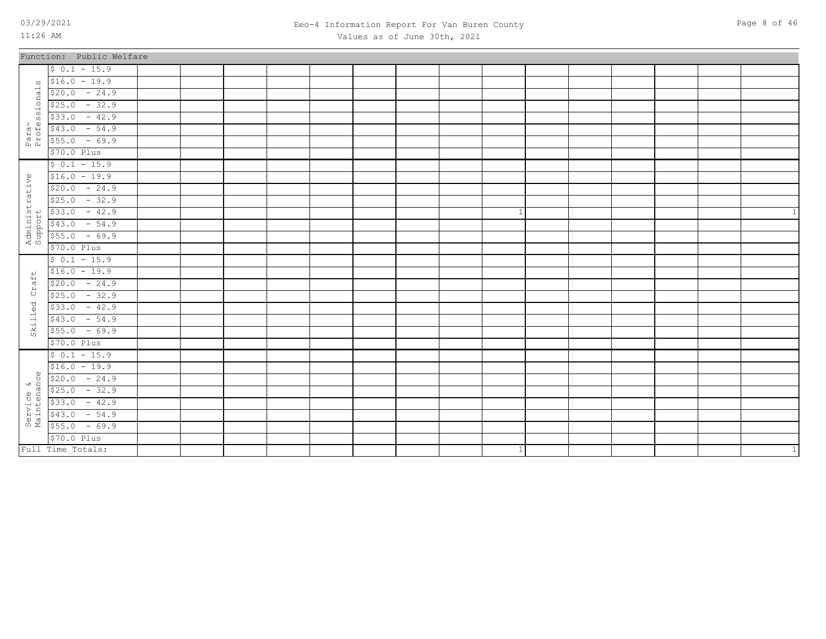### 03/29/2021 Page 8 of 46 Eeo-4 Information Report For Van Buren County Values as of June 30th, 2021

|                | Function: Public Welfare                                                                                                                                                                                                                                                                                                                                                                                                                    |  |  |  |  |           |  |  |                |
|----------------|---------------------------------------------------------------------------------------------------------------------------------------------------------------------------------------------------------------------------------------------------------------------------------------------------------------------------------------------------------------------------------------------------------------------------------------------|--|--|--|--|-----------|--|--|----------------|
|                | $$0.1 - 15.9$                                                                                                                                                                                                                                                                                                                                                                                                                               |  |  |  |  |           |  |  |                |
|                | $\sqrt{516.0}$ - 19.9                                                                                                                                                                                                                                                                                                                                                                                                                       |  |  |  |  |           |  |  |                |
|                | $\begin{array}{c cccc} \n\frac{3}{6} & \frac{1}{520.0} & -24.9 \\ \hline\n5 & 525.0 & -32.9 \\ \hline\n\text{so} & 533.0 & -42.9 \\ \text{and} & 543.0 & -54.9\n\end{array}$                                                                                                                                                                                                                                                                |  |  |  |  |           |  |  |                |
|                |                                                                                                                                                                                                                                                                                                                                                                                                                                             |  |  |  |  |           |  |  |                |
|                |                                                                                                                                                                                                                                                                                                                                                                                                                                             |  |  |  |  |           |  |  |                |
|                | $\begin{array}{cccc} \n \stackrel{1}{\text{1}} & \stackrel{1}{\text{1}} & \stackrel{1}{\text{5}} & \stackrel{1}{\text{4}} & \stackrel{1}{\text{3}} & \stackrel{1}{\text{0}} & - & \stackrel{5}{\text{4}} & \stackrel{1}{\text{5}} \\ \n \stackrel{1}{\text{1}} & \stackrel{1}{\text{1}} & \stackrel{1}{\text{5}} & \stackrel{1}{\text{5}} & \stackrel{1}{\text{5}} & - & \stackrel{6}{\text{9}} & \stackrel{1}{\text{9}} \\ \n \end{array}$ |  |  |  |  |           |  |  |                |
|                |                                                                                                                                                                                                                                                                                                                                                                                                                                             |  |  |  |  |           |  |  |                |
|                | \$70.0 Plus                                                                                                                                                                                                                                                                                                                                                                                                                                 |  |  |  |  |           |  |  |                |
|                | $$0.1 - 15.9$                                                                                                                                                                                                                                                                                                                                                                                                                               |  |  |  |  |           |  |  |                |
|                |                                                                                                                                                                                                                                                                                                                                                                                                                                             |  |  |  |  |           |  |  |                |
|                |                                                                                                                                                                                                                                                                                                                                                                                                                                             |  |  |  |  |           |  |  |                |
|                |                                                                                                                                                                                                                                                                                                                                                                                                                                             |  |  |  |  |           |  |  |                |
|                | $\begin{array}{r} \n 9 \overline{)16.0 - 19.9} \\  \hline\n 14 \overline{)520.0 - 24.9} \\  \hline\n 525.0 - 32.9 \\  \hline\n 1533.0 - 42.9 \\  \hline\n 16 \overline{)543.0 - 54.9} \\  \hline\n 17 \overline{)555.0 - 69.9} \\  \hline\n 18 \overline{)555.0 - 69.9} \\  \hline\n 19 \overline{)570.0 \text{ Plus}}\n \end{array}$                                                                                                       |  |  |  |  | 1         |  |  | 1              |
|                |                                                                                                                                                                                                                                                                                                                                                                                                                                             |  |  |  |  |           |  |  |                |
|                |                                                                                                                                                                                                                                                                                                                                                                                                                                             |  |  |  |  |           |  |  |                |
|                | \$70.0 Plus                                                                                                                                                                                                                                                                                                                                                                                                                                 |  |  |  |  |           |  |  |                |
|                | $$0.1 - 15.9$                                                                                                                                                                                                                                                                                                                                                                                                                               |  |  |  |  |           |  |  |                |
| $\overline{+}$ | $$16.0 - 19.9$                                                                                                                                                                                                                                                                                                                                                                                                                              |  |  |  |  |           |  |  |                |
| $\vec{a}$      | $$20.0 - 24.9$                                                                                                                                                                                                                                                                                                                                                                                                                              |  |  |  |  |           |  |  |                |
| ЯÇ             | $$25.0 - 32.9$                                                                                                                                                                                                                                                                                                                                                                                                                              |  |  |  |  |           |  |  |                |
| $\texttt{led}$ | $$33.0 - 42.9$                                                                                                                                                                                                                                                                                                                                                                                                                              |  |  |  |  |           |  |  |                |
|                | $$43.0 - 54.9$                                                                                                                                                                                                                                                                                                                                                                                                                              |  |  |  |  |           |  |  |                |
| Skil.          | $$55.0 - 69.9$                                                                                                                                                                                                                                                                                                                                                                                                                              |  |  |  |  |           |  |  |                |
|                | \$70.0 Plus                                                                                                                                                                                                                                                                                                                                                                                                                                 |  |  |  |  |           |  |  |                |
|                | $$0.1 - 15.9$                                                                                                                                                                                                                                                                                                                                                                                                                               |  |  |  |  |           |  |  |                |
|                | $$16.0 - 19.9$                                                                                                                                                                                                                                                                                                                                                                                                                              |  |  |  |  |           |  |  |                |
|                |                                                                                                                                                                                                                                                                                                                                                                                                                                             |  |  |  |  |           |  |  |                |
|                |                                                                                                                                                                                                                                                                                                                                                                                                                                             |  |  |  |  |           |  |  |                |
|                |                                                                                                                                                                                                                                                                                                                                                                                                                                             |  |  |  |  |           |  |  |                |
|                |                                                                                                                                                                                                                                                                                                                                                                                                                                             |  |  |  |  |           |  |  |                |
|                | $\begin{array}{r} \n\frac{10}{320.0} - 19.9 \\ \hline\n\end{array}$ $\begin{array}{r} \n\frac{10}{320.0} - 24.9 \\ \hline\n\end{array}$ $\begin{array}{r} \n\frac{10}{325.0} - 32.9 \\ \hline\n\end{array}$ $\begin{array}{r} \n\frac{10}{333.0} - 42.9 \\ \hline\n\end{array}$ $\begin{array}{r} \n\frac{10}{333.0} - 54.9 \\ \hline\n\end{array}$                                                                                         |  |  |  |  |           |  |  |                |
|                | \$70.0 Plus                                                                                                                                                                                                                                                                                                                                                                                                                                 |  |  |  |  |           |  |  |                |
|                | Full Time Totals:                                                                                                                                                                                                                                                                                                                                                                                                                           |  |  |  |  | $\vert$ 1 |  |  | $\overline{1}$ |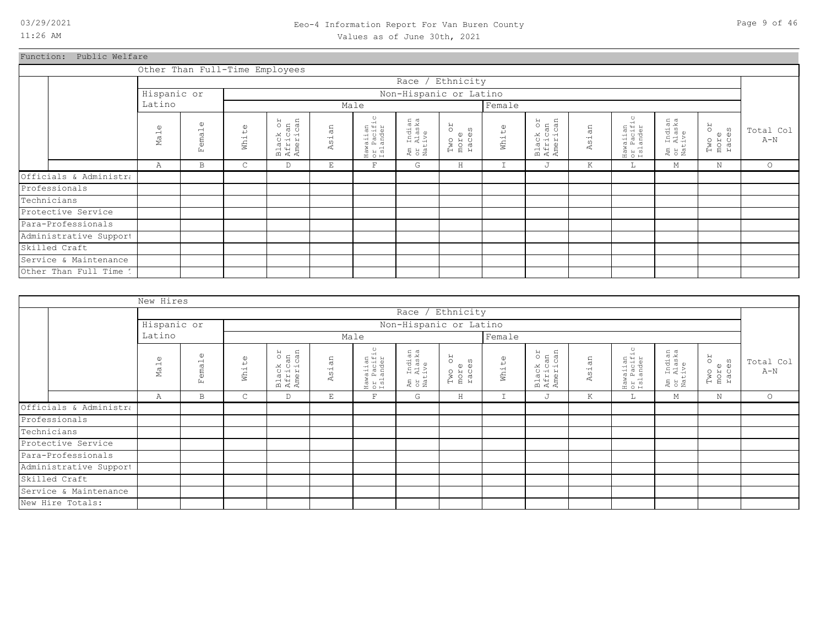### 03/29/2021 Page 9 of 46 Eeo-4 Information Report For Van Buren County Values as of June 30th, 2021

Function: Public Welfare

|                        |                    |                            |                   | Other Than Full-Time Employees  |            |                                    |                                            |                               |                   |                                 |            |                                    |                                  |                               |                    |
|------------------------|--------------------|----------------------------|-------------------|---------------------------------|------------|------------------------------------|--------------------------------------------|-------------------------------|-------------------|---------------------------------|------------|------------------------------------|----------------------------------|-------------------------------|--------------------|
|                        |                    |                            |                   |                                 |            |                                    | Race /                                     | Ethnicity                     |                   |                                 |            |                                    |                                  |                               |                    |
|                        | Hispanic or        |                            |                   |                                 |            |                                    | Non-Hispanic or Latino                     |                               |                   |                                 |            |                                    |                                  |                               |                    |
|                        | Latino             |                            |                   |                                 |            | Male                               |                                            |                               | Female            |                                 |            |                                    |                                  |                               |                    |
|                        | $\mathbb U$<br>Mal | $\mathbb{O}$<br>emal<br>Ŀ. | $\omega$<br>White | Black or<br>African<br>American | άñ<br>Asi. | Hawaiian<br>or Pacific<br>Islander | Indian<br>Alaska<br>ive<br>」<br>こと<br>Nati | RO<br>Two on<br>more<br>races | White             | Black or<br>African<br>American | sian<br>K. | Hawaiian<br>or Pacific<br>Islander | Am Indian<br>or Alaska<br>Native | RO<br>Two or<br>more<br>races | Total Col<br>$A-N$ |
|                        | Α                  | B                          | С                 | D                               | E          | $\mathbf F$                        | G                                          | $\rm H$                       | $\mathbf{r}$<br>Ŧ | J                               | Κ          | L                                  | М                                | $\mathbf N$                   | $\circ$            |
| Officials & Administra |                    |                            |                   |                                 |            |                                    |                                            |                               |                   |                                 |            |                                    |                                  |                               |                    |
| Professionals          |                    |                            |                   |                                 |            |                                    |                                            |                               |                   |                                 |            |                                    |                                  |                               |                    |
| Technicians            |                    |                            |                   |                                 |            |                                    |                                            |                               |                   |                                 |            |                                    |                                  |                               |                    |
| Protective Service     |                    |                            |                   |                                 |            |                                    |                                            |                               |                   |                                 |            |                                    |                                  |                               |                    |
| Para-Professionals     |                    |                            |                   |                                 |            |                                    |                                            |                               |                   |                                 |            |                                    |                                  |                               |                    |
| Administrative Support |                    |                            |                   |                                 |            |                                    |                                            |                               |                   |                                 |            |                                    |                                  |                               |                    |
| Skilled Craft          |                    |                            |                   |                                 |            |                                    |                                            |                               |                   |                                 |            |                                    |                                  |                               |                    |
| Service & Maintenance  |                    |                            |                   |                                 |            |                                    |                                            |                               |                   |                                 |            |                                    |                                  |                               |                    |
| Other Than Full Time 1 |                    |                            |                   |                                 |            |                                    |                                            |                               |                   |                                 |            |                                    |                                  |                               |                    |

|                        | New Hires       |                                                   |                                  |                                 |                          |                                    |                                  |                               |        |                                 |       |                                    |                                  |                         |                    |
|------------------------|-----------------|---------------------------------------------------|----------------------------------|---------------------------------|--------------------------|------------------------------------|----------------------------------|-------------------------------|--------|---------------------------------|-------|------------------------------------|----------------------------------|-------------------------|--------------------|
|                        |                 |                                                   |                                  |                                 |                          |                                    |                                  | Race / Ethnicity              |        |                                 |       |                                    |                                  |                         |                    |
|                        | Hispanic or     |                                                   |                                  |                                 |                          |                                    |                                  | Non-Hispanic or Latino        |        |                                 |       |                                    |                                  |                         |                    |
|                        | Latino          |                                                   |                                  |                                 |                          | Male                               |                                  |                               | Female |                                 |       |                                    |                                  |                         |                    |
|                        | $\omega$<br>Ma1 | $\omega$<br>$\overline{\phantom{0}}$<br>ema<br>Ŀц | $\mathbb{O}$<br>$\mapsto$<br>Wh1 | Black or<br>African<br>American | άn<br>Asi.               | Hawaiian<br>or Pacific<br>Islander | Am Indian<br>or Alaska<br>Native | RO<br>Two or<br>more<br>races | White  | Black or<br>African<br>American | Asian | Hawaiian<br>or Pacific<br>Islander | Am Indian<br>or Alaska<br>Native | Two or<br>more<br>races | Total Col<br>$A-N$ |
|                        | Α               | B                                                 | $\mathsf{C}$                     | D                               | $\mathop{}\mathopen{} E$ | F                                  | G                                | $\,$ H                        | I      | J                               | К     | L.                                 | М                                | N                       | $\circ$            |
| Officials & Administra |                 |                                                   |                                  |                                 |                          |                                    |                                  |                               |        |                                 |       |                                    |                                  |                         |                    |
| Professionals          |                 |                                                   |                                  |                                 |                          |                                    |                                  |                               |        |                                 |       |                                    |                                  |                         |                    |
| Technicians            |                 |                                                   |                                  |                                 |                          |                                    |                                  |                               |        |                                 |       |                                    |                                  |                         |                    |
| Protective Service     |                 |                                                   |                                  |                                 |                          |                                    |                                  |                               |        |                                 |       |                                    |                                  |                         |                    |
| Para-Professionals     |                 |                                                   |                                  |                                 |                          |                                    |                                  |                               |        |                                 |       |                                    |                                  |                         |                    |
| Administrative Support |                 |                                                   |                                  |                                 |                          |                                    |                                  |                               |        |                                 |       |                                    |                                  |                         |                    |
| Skilled Craft          |                 |                                                   |                                  |                                 |                          |                                    |                                  |                               |        |                                 |       |                                    |                                  |                         |                    |
| Service & Maintenance  |                 |                                                   |                                  |                                 |                          |                                    |                                  |                               |        |                                 |       |                                    |                                  |                         |                    |
| New Hire Totals:       |                 |                                                   |                                  |                                 |                          |                                    |                                  |                               |        |                                 |       |                                    |                                  |                         |                    |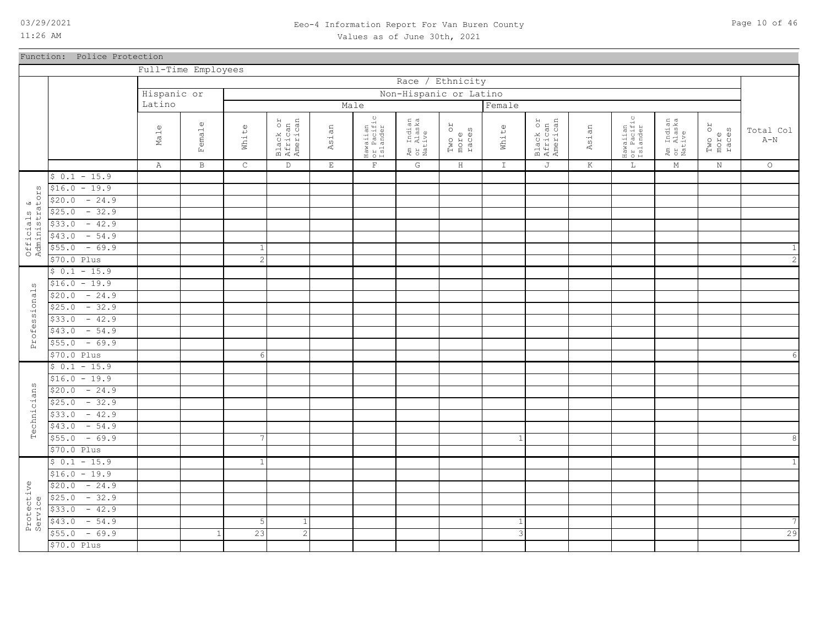### 03/29/2021 Page 10 of 46 Eeo-4 Information Report For Van Buren County Values as of June 30th, 2021

|                              | Function: Police Protection     |                     |             |                 |                                 |             |                                    |                                  |                         |                           |                                 |         |                                    |                                  |                         |                             |
|------------------------------|---------------------------------|---------------------|-------------|-----------------|---------------------------------|-------------|------------------------------------|----------------------------------|-------------------------|---------------------------|---------------------------------|---------|------------------------------------|----------------------------------|-------------------------|-----------------------------|
|                              |                                 | Full-Time Employees |             |                 |                                 |             |                                    |                                  |                         |                           |                                 |         |                                    |                                  |                         |                             |
|                              |                                 |                     |             |                 |                                 |             |                                    | Race / Ethnicity                 |                         |                           |                                 |         |                                    |                                  |                         |                             |
|                              |                                 | Hispanic or         |             |                 |                                 |             |                                    | Non-Hispanic or Latino           |                         |                           |                                 |         |                                    |                                  |                         |                             |
|                              |                                 | Latino              |             |                 |                                 |             | Male                               |                                  |                         | Female                    |                                 |         |                                    |                                  |                         |                             |
|                              |                                 | Male                | emale<br>国  | White           | Black or<br>African<br>American | Asian       | Hawaiian<br>or Pacific<br>Islander | Am Indian<br>or Alaska<br>Native | Two or<br>races<br>more | White                     | Black or<br>African<br>American | Asian   | Hawaiian<br>or Pacific<br>Islander | Am Indian<br>or Alaska<br>Native | Two or<br>more<br>races | Total Col<br>$\mathtt{A-N}$ |
|                              |                                 | A                   | $\mathbf B$ | $\mathsf C$     | $\mathbb D$                     | $\mathbf E$ | $\mathbf{F}$                       | $\mathbb{G}$                     | $\, {\rm H}$            | $\mathbbm{1}$             | $\mathbb J$                     | $\rm K$ | $\mathbb L$                        | $\mathbf M$                      | N                       | $\circ$                     |
|                              | $$0.1 - 15.9$                   |                     |             |                 |                                 |             |                                    |                                  |                         |                           |                                 |         |                                    |                                  |                         |                             |
| $\mathsf{V}\Omega$           | $$16.0 - 19.9$                  |                     |             |                 |                                 |             |                                    |                                  |                         |                           |                                 |         |                                    |                                  |                         |                             |
|                              | $-24.9$<br>\$20.0               |                     |             |                 |                                 |             |                                    |                                  |                         |                           |                                 |         |                                    |                                  |                         |                             |
|                              | $-32.9$<br>\$25.0               |                     |             |                 |                                 |             |                                    |                                  |                         |                           |                                 |         |                                    |                                  |                         |                             |
|                              | $-42.9$<br>\$33.0               |                     |             |                 |                                 |             |                                    |                                  |                         |                           |                                 |         |                                    |                                  |                         |                             |
| Officials &<br>Administrator | $-54.9$<br>\$43.0               |                     |             |                 |                                 |             |                                    |                                  |                         |                           |                                 |         |                                    |                                  |                         |                             |
|                              | $-69.9$<br>\$55.0               |                     |             | $\mathbf{1}$    |                                 |             |                                    |                                  |                         |                           |                                 |         |                                    |                                  |                         |                             |
|                              | \$70.0 Plus                     |                     |             | $\mathbf{2}$    |                                 |             |                                    |                                  |                         |                           |                                 |         |                                    |                                  |                         | $\overline{c}$              |
|                              | $$0.1 - 15.9$                   |                     |             |                 |                                 |             |                                    |                                  |                         |                           |                                 |         |                                    |                                  |                         |                             |
| $\omega$                     | $$16.0 - 19.9$                  |                     |             |                 |                                 |             |                                    |                                  |                         |                           |                                 |         |                                    |                                  |                         |                             |
| Professional                 | $-24.9$<br>\$20.0               |                     |             |                 |                                 |             |                                    |                                  |                         |                           |                                 |         |                                    |                                  |                         |                             |
|                              | $-32.9$<br>\$25.0               |                     |             |                 |                                 |             |                                    |                                  |                         |                           |                                 |         |                                    |                                  |                         |                             |
|                              | $-42.9$<br>\$33.0               |                     |             |                 |                                 |             |                                    |                                  |                         |                           |                                 |         |                                    |                                  |                         |                             |
|                              | $-54.9$<br>\$43.0               |                     |             |                 |                                 |             |                                    |                                  |                         |                           |                                 |         |                                    |                                  |                         |                             |
|                              | $-69.9$<br>\$55.0               |                     |             |                 |                                 |             |                                    |                                  |                         |                           |                                 |         |                                    |                                  |                         |                             |
|                              | \$70.0 Plus                     |                     |             | $6\overline{6}$ |                                 |             |                                    |                                  |                         |                           |                                 |         |                                    |                                  |                         |                             |
|                              | $$0.1 - 15.9$                   |                     |             |                 |                                 |             |                                    |                                  |                         |                           |                                 |         |                                    |                                  |                         |                             |
|                              | $$16.0 - 19.9$                  |                     |             |                 |                                 |             |                                    |                                  |                         |                           |                                 |         |                                    |                                  |                         |                             |
|                              | $-24.9$<br>\$20.0               |                     |             |                 |                                 |             |                                    |                                  |                         |                           |                                 |         |                                    |                                  |                         |                             |
| Technicians                  | $-32.9$<br>\$25.0               |                     |             |                 |                                 |             |                                    |                                  |                         |                           |                                 |         |                                    |                                  |                         |                             |
|                              | $-42.9$<br>\$33.0               |                     |             |                 |                                 |             |                                    |                                  |                         |                           |                                 |         |                                    |                                  |                         |                             |
|                              | $-54.9$<br>\$43.0               |                     |             |                 |                                 |             |                                    |                                  |                         |                           |                                 |         |                                    |                                  |                         |                             |
|                              | $-69.9$<br>\$55.0               |                     |             | 7               |                                 |             |                                    |                                  |                         | 1                         |                                 |         |                                    |                                  |                         | 8                           |
|                              | \$70.0 Plus                     |                     |             |                 |                                 |             |                                    |                                  |                         |                           |                                 |         |                                    |                                  |                         |                             |
|                              | $$0.1 - 15.9$<br>$$16.0 - 19.9$ |                     |             | $\mathbf{1}$    |                                 |             |                                    |                                  |                         |                           |                                 |         |                                    |                                  |                         | 1                           |
|                              | $-24.9$<br>\$20.0               |                     |             |                 |                                 |             |                                    |                                  |                         |                           |                                 |         |                                    |                                  |                         |                             |
|                              | $-32.9$<br>\$25.0               |                     |             |                 |                                 |             |                                    |                                  |                         |                           |                                 |         |                                    |                                  |                         |                             |
| Protective<br>Service        | \$33.0<br>$-42.9$               |                     |             |                 |                                 |             |                                    |                                  |                         |                           |                                 |         |                                    |                                  |                         |                             |
|                              | $-54.9$<br>\$43.0               |                     |             | 5               | 1                               |             |                                    |                                  |                         | 1                         |                                 |         |                                    |                                  |                         | 7                           |
|                              | $-69.9$<br>\$55.0               |                     | -1          | 23              | $\mathbf{2}$                    |             |                                    |                                  |                         | $\ensuremath{\mathsf{3}}$ |                                 |         |                                    |                                  |                         | 29                          |
|                              | $$70.0$ Plus                    |                     |             |                 |                                 |             |                                    |                                  |                         |                           |                                 |         |                                    |                                  |                         |                             |
|                              |                                 |                     |             |                 |                                 |             |                                    |                                  |                         |                           |                                 |         |                                    |                                  |                         |                             |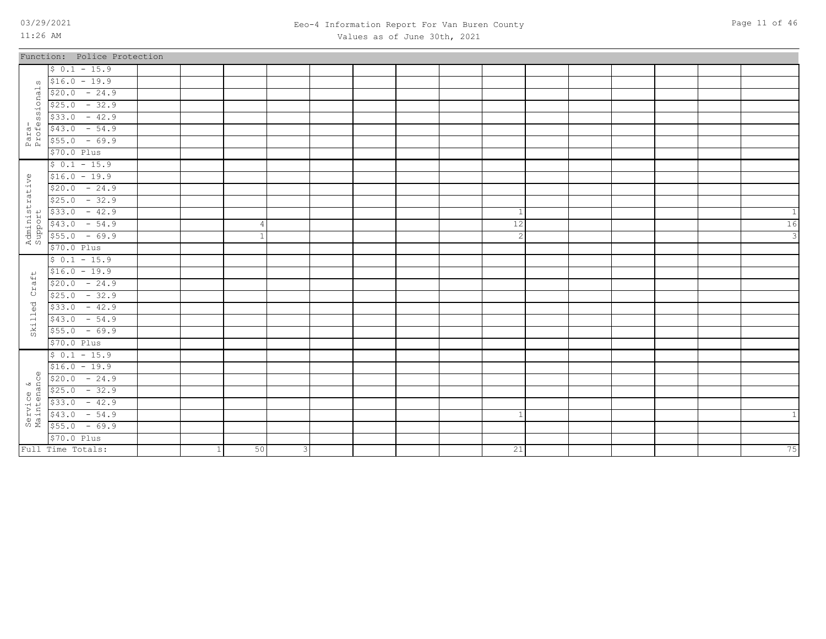### 03/29/2021 Page 11 of 46 Eeo-4 Information Report For Van Buren County Values as of June 30th, 2021

|                               | Function: Police Protection                                                                                                                                                                                                                                                                                                                                                                                                              |   |    |              |  |  |              |  |  |               |
|-------------------------------|------------------------------------------------------------------------------------------------------------------------------------------------------------------------------------------------------------------------------------------------------------------------------------------------------------------------------------------------------------------------------------------------------------------------------------------|---|----|--------------|--|--|--------------|--|--|---------------|
|                               | $$0.1 - 15.9$                                                                                                                                                                                                                                                                                                                                                                                                                            |   |    |              |  |  |              |  |  |               |
|                               | $\sqrt{516.0}$ - 19.9                                                                                                                                                                                                                                                                                                                                                                                                                    |   |    |              |  |  |              |  |  |               |
| onal                          | $$20.0 - 24.9$                                                                                                                                                                                                                                                                                                                                                                                                                           |   |    |              |  |  |              |  |  |               |
|                               | $$25.0 - 32.9$                                                                                                                                                                                                                                                                                                                                                                                                                           |   |    |              |  |  |              |  |  |               |
| 551                           | $$33.0 - 42.9$                                                                                                                                                                                                                                                                                                                                                                                                                           |   |    |              |  |  |              |  |  |               |
| Para-<br>Profes               | $$43.0 - 54.9$                                                                                                                                                                                                                                                                                                                                                                                                                           |   |    |              |  |  |              |  |  |               |
|                               | $$55.0 - 69.9$                                                                                                                                                                                                                                                                                                                                                                                                                           |   |    |              |  |  |              |  |  |               |
|                               | \$70.0 Plus                                                                                                                                                                                                                                                                                                                                                                                                                              |   |    |              |  |  |              |  |  |               |
|                               | $$0.1 - 15.9$                                                                                                                                                                                                                                                                                                                                                                                                                            |   |    |              |  |  |              |  |  |               |
|                               | $$16.0 - 19.9$                                                                                                                                                                                                                                                                                                                                                                                                                           |   |    |              |  |  |              |  |  |               |
|                               | $$20.0 - 24.9$                                                                                                                                                                                                                                                                                                                                                                                                                           |   |    |              |  |  |              |  |  |               |
|                               | $$25.0 - 32.9$                                                                                                                                                                                                                                                                                                                                                                                                                           |   |    |              |  |  |              |  |  |               |
|                               | $$33.0 - 42.9$                                                                                                                                                                                                                                                                                                                                                                                                                           |   |    |              |  |  | $\mathbf{1}$ |  |  | $\mathbf{1}$  |
|                               | $$43.0 - 54.9$                                                                                                                                                                                                                                                                                                                                                                                                                           |   | 4  |              |  |  | 12           |  |  | 16            |
| Administrative<br>Support     | $$55.0 - 69.9$                                                                                                                                                                                                                                                                                                                                                                                                                           |   |    |              |  |  | $\mathbf{2}$ |  |  | $\mathcal{E}$ |
|                               | \$70.0 Plus                                                                                                                                                                                                                                                                                                                                                                                                                              |   |    |              |  |  |              |  |  |               |
|                               | $$0.1 - 15.9$                                                                                                                                                                                                                                                                                                                                                                                                                            |   |    |              |  |  |              |  |  |               |
| $\overline{v}$                | $$16.0 - 19.9$                                                                                                                                                                                                                                                                                                                                                                                                                           |   |    |              |  |  |              |  |  |               |
| $\frac{4}{6}$<br>$\mathsf{H}$ | $$20.0 - 24.9$                                                                                                                                                                                                                                                                                                                                                                                                                           |   |    |              |  |  |              |  |  |               |
| $\circ$                       | $$25.0 - 32.9$                                                                                                                                                                                                                                                                                                                                                                                                                           |   |    |              |  |  |              |  |  |               |
| $l$ ed                        | $$33.0 - 42.9$                                                                                                                                                                                                                                                                                                                                                                                                                           |   |    |              |  |  |              |  |  |               |
|                               | $$43.0 - 54.9$                                                                                                                                                                                                                                                                                                                                                                                                                           |   |    |              |  |  |              |  |  |               |
| $S$ kil                       | $$55.0 - 69.9$                                                                                                                                                                                                                                                                                                                                                                                                                           |   |    |              |  |  |              |  |  |               |
|                               | \$70.0 Plus                                                                                                                                                                                                                                                                                                                                                                                                                              |   |    |              |  |  |              |  |  |               |
|                               | $$0.1 - 15.9$                                                                                                                                                                                                                                                                                                                                                                                                                            |   |    |              |  |  |              |  |  |               |
| $\omega$                      | $$16.0 - 19.9$                                                                                                                                                                                                                                                                                                                                                                                                                           |   |    |              |  |  |              |  |  |               |
| Ō                             | $$20.0 - 24.9$                                                                                                                                                                                                                                                                                                                                                                                                                           |   |    |              |  |  |              |  |  |               |
|                               |                                                                                                                                                                                                                                                                                                                                                                                                                                          |   |    |              |  |  |              |  |  |               |
|                               |                                                                                                                                                                                                                                                                                                                                                                                                                                          |   |    |              |  |  |              |  |  |               |
|                               | $\begin{array}{r} \text{a} \\ \text{d} \\ \text{1} \\ \text{2} \\ \text{3} \\ \text{4} \\ \text{5} \\ \text{5} \\ \text{6} \\ \text{7} \\ \text{8} \\ \text{9} \\ \text{10} \\ \text{11} \\ \text{12} \\ \text{13} \\ \text{14} \\ \text{15} \\ \text{16} \\ \text{17} \\ \text{18} \\ \text{19} \\ \text{19} \\ \text{19} \\ \text{19} \\ \text{19} \\ \text{19} \\ \text{19} \\ \text{19} \\ \text{19} \\ \text{19} \\ \text{19} \\ \$ |   |    |              |  |  | $\mathbf{1}$ |  |  | $\mathbf{1}$  |
|                               |                                                                                                                                                                                                                                                                                                                                                                                                                                          |   |    |              |  |  |              |  |  |               |
|                               | $$70.0$ Plus                                                                                                                                                                                                                                                                                                                                                                                                                             |   |    |              |  |  |              |  |  |               |
|                               | Full Time Totals:                                                                                                                                                                                                                                                                                                                                                                                                                        | 1 | 50 | $\mathbf{3}$ |  |  | 21           |  |  | 75            |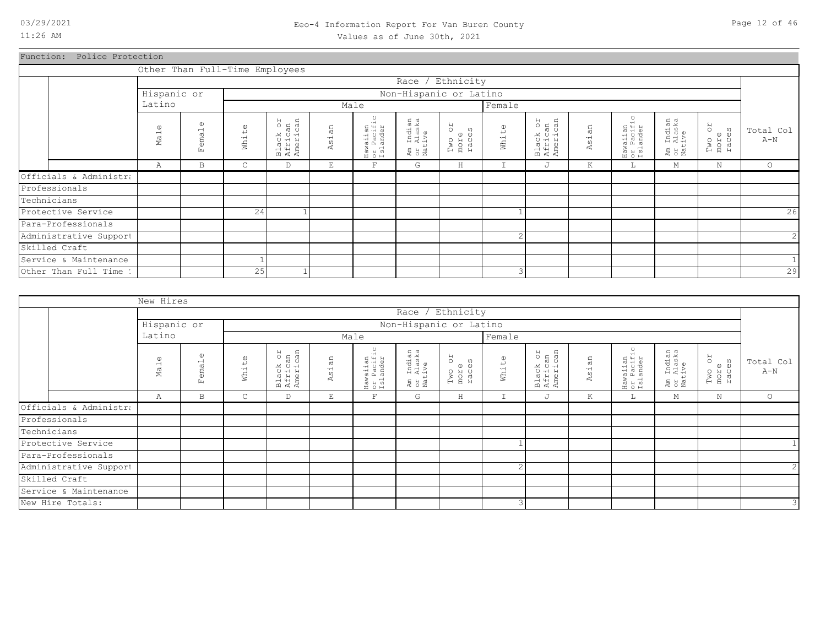### 03/29/2021 Page 12 of 46 Eeo-4 Information Report For Van Buren County Values as of June 30th, 2021

Function: Police Protection

|                        | Other Than Full-Time Employees |                        |                   |                                 |                            |                                              |                                  |                               |                    |                                 |            |                                    |                                  |                               |                    |
|------------------------|--------------------------------|------------------------|-------------------|---------------------------------|----------------------------|----------------------------------------------|----------------------------------|-------------------------------|--------------------|---------------------------------|------------|------------------------------------|----------------------------------|-------------------------------|--------------------|
|                        |                                |                        |                   |                                 |                            |                                              |                                  | Race / Ethnicity              |                    |                                 |            |                                    |                                  |                               |                    |
|                        | Hispanic or                    |                        |                   |                                 |                            |                                              | Non-Hispanic or Latino           |                               |                    |                                 |            |                                    |                                  |                               |                    |
|                        | Latino                         |                        |                   |                                 |                            | Male                                         |                                  |                               | Female             |                                 |            |                                    |                                  |                               |                    |
|                        | $\mathbb U$<br>Ma <sub>1</sub> | $\omega$<br>emal<br>Ŀ. | $\omega$<br>White | Black or<br>African<br>American | an<br>$\overline{5}$<br>₫. | ں.<br>+<br>Hawaiian<br>or Pacifi<br>Islander | Am Indian<br>or Alaska<br>Native | RO<br>Two on<br>more<br>races | White              | Black or<br>African<br>American | sian<br>₫. | Hawaiian<br>or Pacific<br>Islander | Am Indian<br>or Alaska<br>Native | RO<br>Two o:<br>more<br>races | Total Col<br>$A-N$ |
|                        | Α                              | B                      | C                 | D                               | Е                          | $\mathbf F$                                  | G                                | H                             | $\mathbf{r}$<br>ч. | J                               | К          | L                                  | М                                | N                             | $\circ$            |
| Officials & Administra |                                |                        |                   |                                 |                            |                                              |                                  |                               |                    |                                 |            |                                    |                                  |                               |                    |
| Professionals          |                                |                        |                   |                                 |                            |                                              |                                  |                               |                    |                                 |            |                                    |                                  |                               |                    |
| Technicians            |                                |                        |                   |                                 |                            |                                              |                                  |                               |                    |                                 |            |                                    |                                  |                               |                    |
| Protective Service     |                                |                        | 24                |                                 |                            |                                              |                                  |                               |                    |                                 |            |                                    |                                  |                               | 26                 |
| Para-Professionals     |                                |                        |                   |                                 |                            |                                              |                                  |                               |                    |                                 |            |                                    |                                  |                               |                    |
| Administrative Support |                                |                        |                   |                                 |                            |                                              |                                  |                               | $\overline{c}$     |                                 |            |                                    |                                  |                               | $\mathbf{2}$       |
| Skilled Craft          |                                |                        |                   |                                 |                            |                                              |                                  |                               |                    |                                 |            |                                    |                                  |                               |                    |
| Service & Maintenance  |                                |                        |                   |                                 |                            |                                              |                                  |                               |                    |                                 |            |                                    |                                  |                               | $1\vert$           |
| Other Than Full Time 1 |                                |                        | 25                |                                 |                            |                                              |                                  |                               | 3                  |                                 |            |                                    |                                  |                               | 29                 |

|                        | New Hires                   |                        |                   |                                 |            |                                    |                                  |                                      |                      |                                 |       |                                    |                                  |                         |                    |
|------------------------|-----------------------------|------------------------|-------------------|---------------------------------|------------|------------------------------------|----------------------------------|--------------------------------------|----------------------|---------------------------------|-------|------------------------------------|----------------------------------|-------------------------|--------------------|
|                        |                             |                        |                   |                                 |            |                                    |                                  | Race / Ethnicity                     |                      |                                 |       |                                    |                                  |                         |                    |
|                        | Hispanic or                 |                        |                   |                                 |            |                                    |                                  | Non-Hispanic or Latino               |                      |                                 |       |                                    |                                  |                         |                    |
|                        | Latino                      |                        |                   |                                 |            | Male                               |                                  |                                      | Female               |                                 |       |                                    |                                  |                         |                    |
|                        | $\omega$<br>Ma <sub>1</sub> | $\omega$<br>emal<br>Ŀц | $\omega$<br>White | Black or<br>African<br>American | an<br>Asi. | Hawaiian<br>or Pacific<br>Islander | Am Indian<br>or Alaska<br>Native | <b>ZO</b><br>Two or<br>more<br>races | $\mathbb U$<br>White | Black or<br>African<br>American | Asian | Hawaiian<br>or Pacific<br>Islander | Am Indian<br>or Alaska<br>Native | Two or<br>more<br>races | Total Col<br>$A-N$ |
|                        | Α                           | $\mathbf{B}$           | $\mathsf{C}$      | D                               | E          | $\mathbf{F}$                       | G                                | $\rm H$                              | $\mathbb{I}$         | J                               | K     | ш.                                 | М                                | N                       | $\circ$            |
| Officials & Administra |                             |                        |                   |                                 |            |                                    |                                  |                                      |                      |                                 |       |                                    |                                  |                         |                    |
| Professionals          |                             |                        |                   |                                 |            |                                    |                                  |                                      |                      |                                 |       |                                    |                                  |                         |                    |
| Technicians            |                             |                        |                   |                                 |            |                                    |                                  |                                      |                      |                                 |       |                                    |                                  |                         |                    |
| Protective Service     |                             |                        |                   |                                 |            |                                    |                                  |                                      |                      |                                 |       |                                    |                                  |                         |                    |
| Para-Professionals     |                             |                        |                   |                                 |            |                                    |                                  |                                      |                      |                                 |       |                                    |                                  |                         |                    |
| Administrative Support |                             |                        |                   |                                 |            |                                    |                                  |                                      | $\overline{c}$       |                                 |       |                                    |                                  |                         | 2 <sub>l</sub>     |
| Skilled Craft          |                             |                        |                   |                                 |            |                                    |                                  |                                      |                      |                                 |       |                                    |                                  |                         |                    |
| Service & Maintenance  |                             |                        |                   |                                 |            |                                    |                                  |                                      |                      |                                 |       |                                    |                                  |                         |                    |
| New Hire Totals:       |                             |                        |                   |                                 |            |                                    |                                  |                                      | 3                    |                                 |       |                                    |                                  |                         | $\mathcal{E}$      |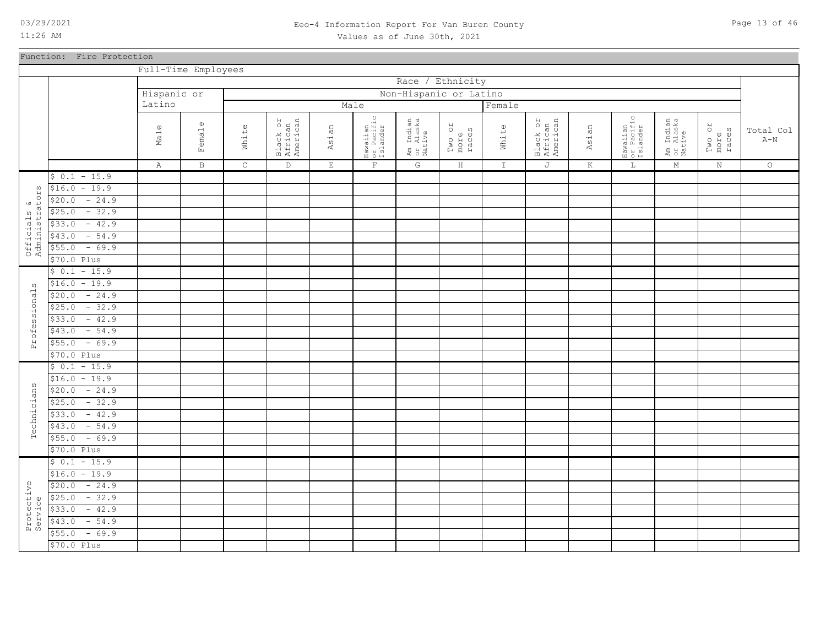Function: Fire Protection

11:26 AM

### 03/29/2021 Page 13 of 46 Eeo-4 Information Report For Van Buren County Values as of June 30th, 2021

|                         |                   |                    | Full-Time Employees |             |                                 |             |                                    |                                  |                               |               |                                 |         |                                    |                                  |                         |                    |
|-------------------------|-------------------|--------------------|---------------------|-------------|---------------------------------|-------------|------------------------------------|----------------------------------|-------------------------------|---------------|---------------------------------|---------|------------------------------------|----------------------------------|-------------------------|--------------------|
|                         |                   |                    |                     |             |                                 |             |                                    | Race                             | / Ethnicity                   |               |                                 |         |                                    |                                  |                         |                    |
|                         |                   | Hispanic or        |                     |             |                                 |             |                                    | Non-Hispanic or Latino           |                               |               |                                 |         |                                    |                                  |                         |                    |
|                         |                   | Latino             |                     |             |                                 |             | Male                               |                                  |                               | Female        |                                 |         |                                    |                                  |                         |                    |
|                         |                   | $\mathbb U$<br>Ma1 | Female              | White       | Black or<br>African<br>American | Asian       | Hawaiian<br>or Pacific<br>Islander | Am Indian<br>or Alaska<br>Native | RO<br>Two or<br>more<br>races | White         | Black or<br>African<br>American | Asian   | Hawaiian<br>or Pacific<br>Islander | Am Indian<br>or Alaska<br>Native | Two or<br>more<br>races | Total Col<br>$A-N$ |
|                         |                   | $\mathbb{A}$       | $\, {\bf B} \,$     | $\mathsf C$ | $\mathbb D$                     | $\mathbf E$ | $\mathbf{F}$                       | ${\mathbb G}$                    | $\, {\rm H}$                  | $\mathbbm{I}$ | J                               | $\rm K$ | $\mathbb L$                        | $\mathbb M$                      | $\mathbf N$             | $\circ$            |
|                         | $$0.1 - 15.9$     |                    |                     |             |                                 |             |                                    |                                  |                               |               |                                 |         |                                    |                                  |                         |                    |
| w                       | $$16.0 - 19.9$    |                    |                     |             |                                 |             |                                    |                                  |                               |               |                                 |         |                                    |                                  |                         |                    |
| s &<br>cators:          | $-24.9$<br>\$20.0 |                    |                     |             |                                 |             |                                    |                                  |                               |               |                                 |         |                                    |                                  |                         |                    |
|                         | $-32.9$<br>\$25.0 |                    |                     |             |                                 |             |                                    |                                  |                               |               |                                 |         |                                    |                                  |                         |                    |
|                         | $-42.9$<br>\$33.0 |                    |                     |             |                                 |             |                                    |                                  |                               |               |                                 |         |                                    |                                  |                         |                    |
| Officials<br>Administra | $-54.9$<br>\$43.0 |                    |                     |             |                                 |             |                                    |                                  |                               |               |                                 |         |                                    |                                  |                         |                    |
|                         | $-69.9$<br>\$55.0 |                    |                     |             |                                 |             |                                    |                                  |                               |               |                                 |         |                                    |                                  |                         |                    |
|                         | \$70.0 Plus       |                    |                     |             |                                 |             |                                    |                                  |                               |               |                                 |         |                                    |                                  |                         |                    |
|                         | $$0.1 - 15.9$     |                    |                     |             |                                 |             |                                    |                                  |                               |               |                                 |         |                                    |                                  |                         |                    |
| $\omega$                | $$16.0 - 19.9$    |                    |                     |             |                                 |             |                                    |                                  |                               |               |                                 |         |                                    |                                  |                         |                    |
|                         | $-24.9$<br>\$20.0 |                    |                     |             |                                 |             |                                    |                                  |                               |               |                                 |         |                                    |                                  |                         |                    |
| Professional            | $-32.9$<br>\$25.0 |                    |                     |             |                                 |             |                                    |                                  |                               |               |                                 |         |                                    |                                  |                         |                    |
|                         | $-42.9$<br>\$33.0 |                    |                     |             |                                 |             |                                    |                                  |                               |               |                                 |         |                                    |                                  |                         |                    |
|                         | $-54.9$<br>\$43.0 |                    |                     |             |                                 |             |                                    |                                  |                               |               |                                 |         |                                    |                                  |                         |                    |
|                         | $-69.9$<br>\$55.0 |                    |                     |             |                                 |             |                                    |                                  |                               |               |                                 |         |                                    |                                  |                         |                    |
|                         | \$70.0 Plus       |                    |                     |             |                                 |             |                                    |                                  |                               |               |                                 |         |                                    |                                  |                         |                    |
|                         | $$0.1 - 15.9$     |                    |                     |             |                                 |             |                                    |                                  |                               |               |                                 |         |                                    |                                  |                         |                    |
|                         | $$16.0 - 19.9$    |                    |                     |             |                                 |             |                                    |                                  |                               |               |                                 |         |                                    |                                  |                         |                    |
| Technicians             | $-24.9$<br>\$20.0 |                    |                     |             |                                 |             |                                    |                                  |                               |               |                                 |         |                                    |                                  |                         |                    |
|                         | $-32.9$<br>\$25.0 |                    |                     |             |                                 |             |                                    |                                  |                               |               |                                 |         |                                    |                                  |                         |                    |
|                         | $-42.9$<br>\$33.0 |                    |                     |             |                                 |             |                                    |                                  |                               |               |                                 |         |                                    |                                  |                         |                    |
|                         | $-54.9$<br>\$43.0 |                    |                     |             |                                 |             |                                    |                                  |                               |               |                                 |         |                                    |                                  |                         |                    |
|                         | $-69.9$<br>\$55.0 |                    |                     |             |                                 |             |                                    |                                  |                               |               |                                 |         |                                    |                                  |                         |                    |
|                         | \$70.0 Plus       |                    |                     |             |                                 |             |                                    |                                  |                               |               |                                 |         |                                    |                                  |                         |                    |
|                         | $$0.1 - 15.9$     |                    |                     |             |                                 |             |                                    |                                  |                               |               |                                 |         |                                    |                                  |                         |                    |
|                         | $$16.0 - 19.9$    |                    |                     |             |                                 |             |                                    |                                  |                               |               |                                 |         |                                    |                                  |                         |                    |
|                         | $-24.9$<br>\$20.0 |                    |                     |             |                                 |             |                                    |                                  |                               |               |                                 |         |                                    |                                  |                         |                    |
|                         | $-32.9$<br>\$25.0 |                    |                     |             |                                 |             |                                    |                                  |                               |               |                                 |         |                                    |                                  |                         |                    |
|                         | $-42.9$<br>\$33.0 |                    |                     |             |                                 |             |                                    |                                  |                               |               |                                 |         |                                    |                                  |                         |                    |
| Protective<br>Service   | $-54.9$<br>\$43.0 |                    |                     |             |                                 |             |                                    |                                  |                               |               |                                 |         |                                    |                                  |                         |                    |
|                         | $-69.9$<br>\$55.0 |                    |                     |             |                                 |             |                                    |                                  |                               |               |                                 |         |                                    |                                  |                         |                    |
|                         | \$70.0 Plus       |                    |                     |             |                                 |             |                                    |                                  |                               |               |                                 |         |                                    |                                  |                         |                    |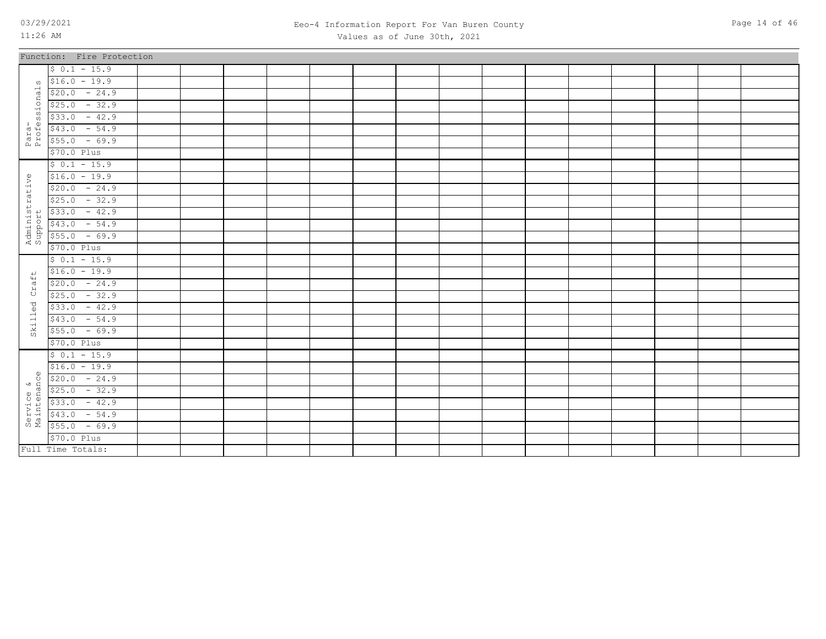### 03/29/2021 Page 14 of 46 Eeo-4 Information Report For Van Buren County Values as of June 30th, 2021

|                           | Function: Fire Protection                                                                                                                                                                                                                                                                                                                                                                                                    |  |  |  |  |  |  |  |  |
|---------------------------|------------------------------------------------------------------------------------------------------------------------------------------------------------------------------------------------------------------------------------------------------------------------------------------------------------------------------------------------------------------------------------------------------------------------------|--|--|--|--|--|--|--|--|
|                           | $$0.1 - 15.9$                                                                                                                                                                                                                                                                                                                                                                                                                |  |  |  |  |  |  |  |  |
| $\Omega$                  | $$16.0 - 19.9$                                                                                                                                                                                                                                                                                                                                                                                                               |  |  |  |  |  |  |  |  |
|                           | $$20.0 - 24.9$                                                                                                                                                                                                                                                                                                                                                                                                               |  |  |  |  |  |  |  |  |
| .<br>ssional:             | $$25.0 - 32.9$                                                                                                                                                                                                                                                                                                                                                                                                               |  |  |  |  |  |  |  |  |
|                           | $$33.0 - 42.9$                                                                                                                                                                                                                                                                                                                                                                                                               |  |  |  |  |  |  |  |  |
| Para-<br>Profe:           | $$43.0 - 54.9$                                                                                                                                                                                                                                                                                                                                                                                                               |  |  |  |  |  |  |  |  |
|                           | $$55.0 - 69.9$                                                                                                                                                                                                                                                                                                                                                                                                               |  |  |  |  |  |  |  |  |
|                           | \$70.0 Plus                                                                                                                                                                                                                                                                                                                                                                                                                  |  |  |  |  |  |  |  |  |
|                           | $$0.1 - 15.9$                                                                                                                                                                                                                                                                                                                                                                                                                |  |  |  |  |  |  |  |  |
|                           | $$16.0 - 19.9$                                                                                                                                                                                                                                                                                                                                                                                                               |  |  |  |  |  |  |  |  |
|                           | $$20.0 - 24.9$                                                                                                                                                                                                                                                                                                                                                                                                               |  |  |  |  |  |  |  |  |
|                           | $$25.0 - 32.9$                                                                                                                                                                                                                                                                                                                                                                                                               |  |  |  |  |  |  |  |  |
| Administrative<br>Support | $$33.0 - 42.9$                                                                                                                                                                                                                                                                                                                                                                                                               |  |  |  |  |  |  |  |  |
|                           | $$43.0 - 54.9$                                                                                                                                                                                                                                                                                                                                                                                                               |  |  |  |  |  |  |  |  |
|                           | $$55.0 - 69.9$                                                                                                                                                                                                                                                                                                                                                                                                               |  |  |  |  |  |  |  |  |
|                           | \$70.0 Plus                                                                                                                                                                                                                                                                                                                                                                                                                  |  |  |  |  |  |  |  |  |
|                           | $$0.1 - 15.9$                                                                                                                                                                                                                                                                                                                                                                                                                |  |  |  |  |  |  |  |  |
| $\overline{+}$            | $$16.0 - 19.9$                                                                                                                                                                                                                                                                                                                                                                                                               |  |  |  |  |  |  |  |  |
| $\vec{a}$                 | $$20.0 - 24.9$                                                                                                                                                                                                                                                                                                                                                                                                               |  |  |  |  |  |  |  |  |
| ά,                        | $$25.0 - 32.9$                                                                                                                                                                                                                                                                                                                                                                                                               |  |  |  |  |  |  |  |  |
| $\mathsf{led}$            | $$33.0 - 42.9$                                                                                                                                                                                                                                                                                                                                                                                                               |  |  |  |  |  |  |  |  |
|                           | $$43.0 - 54.9$                                                                                                                                                                                                                                                                                                                                                                                                               |  |  |  |  |  |  |  |  |
| Sk11                      | $$55.0 - 69.9$                                                                                                                                                                                                                                                                                                                                                                                                               |  |  |  |  |  |  |  |  |
|                           | \$70.0 Plus                                                                                                                                                                                                                                                                                                                                                                                                                  |  |  |  |  |  |  |  |  |
|                           | $$0.1 - 15.9$                                                                                                                                                                                                                                                                                                                                                                                                                |  |  |  |  |  |  |  |  |
|                           | $$16.0 - 19.9$                                                                                                                                                                                                                                                                                                                                                                                                               |  |  |  |  |  |  |  |  |
|                           |                                                                                                                                                                                                                                                                                                                                                                                                                              |  |  |  |  |  |  |  |  |
|                           |                                                                                                                                                                                                                                                                                                                                                                                                                              |  |  |  |  |  |  |  |  |
|                           |                                                                                                                                                                                                                                                                                                                                                                                                                              |  |  |  |  |  |  |  |  |
|                           | $\begin{array}{r} \n\text{u} & \text{u} & \text{u} & \text{u} & \text{u} & \text{u} & \text{u} \\ \text{u} & \text{u} & \text{u} & \text{u} & \text{u} & \text{u} & \text{u} \\ \text{u} & \text{u} & \text{u} & \text{u} & \text{u} & \text{u} & \text{u} \\ \text{u} & \text{u} & \text{u} & \text{u} & \text{u} & \text{u} & \text{u} \\ \text{u} & \text{u} & \text{u} & \text{u} & \text{u} & \text{u} & \text{u} \\ \$ |  |  |  |  |  |  |  |  |
|                           |                                                                                                                                                                                                                                                                                                                                                                                                                              |  |  |  |  |  |  |  |  |
|                           | \$70.0 Plus                                                                                                                                                                                                                                                                                                                                                                                                                  |  |  |  |  |  |  |  |  |
|                           | Full Time Totals:                                                                                                                                                                                                                                                                                                                                                                                                            |  |  |  |  |  |  |  |  |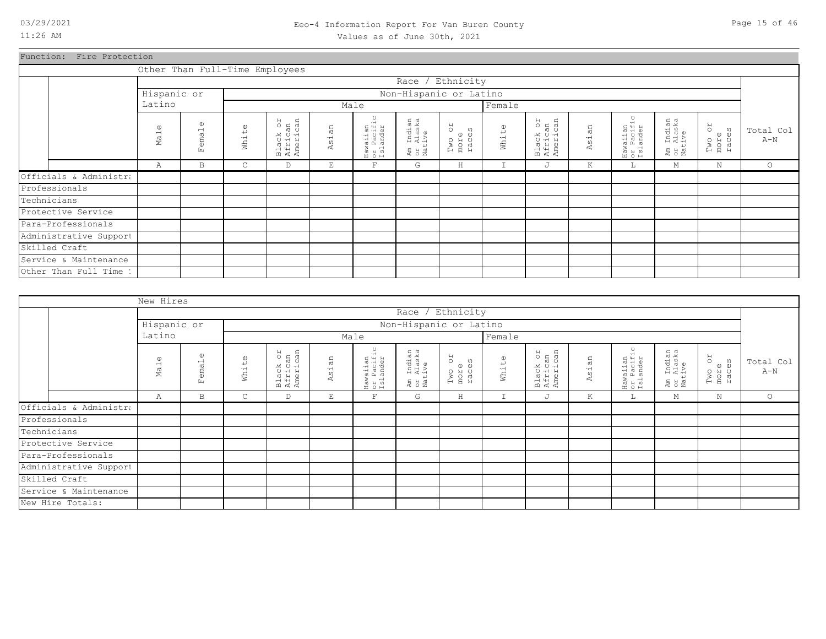### 03/29/2021 Page 15 of 46 Eeo-4 Information Report For Van Buren County Values as of June 30th, 2021

Function: Fire Protection

|                        |                 |                            |                      | Other Than Full-Time Employees  |       |                                    |                                  |                               |                      |                                 |            |                                    |                                  |                               |                    |
|------------------------|-----------------|----------------------------|----------------------|---------------------------------|-------|------------------------------------|----------------------------------|-------------------------------|----------------------|---------------------------------|------------|------------------------------------|----------------------------------|-------------------------------|--------------------|
|                        |                 |                            |                      |                                 |       |                                    |                                  | Race / Ethnicity              |                      |                                 |            |                                    |                                  |                               |                    |
|                        | Hispanic or     |                            |                      |                                 |       |                                    |                                  | Non-Hispanic or Latino        |                      |                                 |            |                                    |                                  |                               |                    |
|                        | Latino          |                            |                      |                                 |       | Male                               |                                  |                               | Female               |                                 |            |                                    |                                  |                               |                    |
|                        | $\omega$<br>Mal | $\mathbb{O}$<br>emal<br>Ŀ. | $\mathbb U$<br>White | Black or<br>African<br>American | Asian | Hawaiian<br>or Pacific<br>Islander | Am Indian<br>or Alaska<br>Native | RO<br>Two on<br>more<br>races | White                | Black or<br>African<br>American | sian<br>K. | Hawaiian<br>or Pacific<br>Islander | Am Indian<br>or Alaska<br>Native | RO<br>Two or<br>more<br>races | Total Col<br>$A-N$ |
|                        | Α               | B                          | $\mathsf{C}$         | D                               | E     | $\mathbf F$                        | G                                | H                             | $\overline{ }$<br>÷. | J                               | K          | L                                  | М                                | $\mathbb N$                   | $\circ$            |
| Officials & Administra |                 |                            |                      |                                 |       |                                    |                                  |                               |                      |                                 |            |                                    |                                  |                               |                    |
| Professionals          |                 |                            |                      |                                 |       |                                    |                                  |                               |                      |                                 |            |                                    |                                  |                               |                    |
| Technicians            |                 |                            |                      |                                 |       |                                    |                                  |                               |                      |                                 |            |                                    |                                  |                               |                    |
| Protective Service     |                 |                            |                      |                                 |       |                                    |                                  |                               |                      |                                 |            |                                    |                                  |                               |                    |
| Para-Professionals     |                 |                            |                      |                                 |       |                                    |                                  |                               |                      |                                 |            |                                    |                                  |                               |                    |
| Administrative Support |                 |                            |                      |                                 |       |                                    |                                  |                               |                      |                                 |            |                                    |                                  |                               |                    |
| Skilled Craft          |                 |                            |                      |                                 |       |                                    |                                  |                               |                      |                                 |            |                                    |                                  |                               |                    |
| Service & Maintenance  |                 |                            |                      |                                 |       |                                    |                                  |                               |                      |                                 |            |                                    |                                  |                               |                    |
| Other Than Full Time 1 |                 |                            |                      |                                 |       |                                    |                                  |                               |                      |                                 |            |                                    |                                  |                               |                    |

|                        | New Hires          |                            |                   |                                 |             |                                    |                                  |                         |               |                                 |            |                                    |                                  |                         |                    |
|------------------------|--------------------|----------------------------|-------------------|---------------------------------|-------------|------------------------------------|----------------------------------|-------------------------|---------------|---------------------------------|------------|------------------------------------|----------------------------------|-------------------------|--------------------|
|                        |                    |                            |                   |                                 |             |                                    |                                  | Race / Ethnicity        |               |                                 |            |                                    |                                  |                         |                    |
|                        | Hispanic or        |                            |                   |                                 |             |                                    |                                  | Non-Hispanic or Latino  |               |                                 |            |                                    |                                  |                         |                    |
|                        | Latino             |                            |                   |                                 |             | Male                               |                                  |                         | Female        |                                 |            |                                    |                                  |                         |                    |
|                        | $\omega$<br>$M$ al | $\mathbb U$<br>ema1<br>Eq. | $\omega$<br>White | Black or<br>African<br>American | an<br>Asi.  | Hawaiian<br>or Pacific<br>Islander | Am Indian<br>or Alaska<br>Native | Two or<br>more<br>races | White         | Black or<br>African<br>American | sian<br>K. | Hawaiian<br>or Pacific<br>Islander | Am Indian<br>or Alaska<br>Native | Two or<br>more<br>races | Total Col<br>$A-N$ |
|                        | Α                  | $\, {\bf B}$               | $\mathsf{C}$      | D                               | $\mathbf E$ | $\mathbf F$                        | G                                | $\rm H$                 | $\mathbbm{I}$ | J                               | K          | <b>L</b>                           | М                                | N                       | $\circ$            |
| Officials & Administra |                    |                            |                   |                                 |             |                                    |                                  |                         |               |                                 |            |                                    |                                  |                         |                    |
| Professionals          |                    |                            |                   |                                 |             |                                    |                                  |                         |               |                                 |            |                                    |                                  |                         |                    |
| Technicians            |                    |                            |                   |                                 |             |                                    |                                  |                         |               |                                 |            |                                    |                                  |                         |                    |
| Protective Service     |                    |                            |                   |                                 |             |                                    |                                  |                         |               |                                 |            |                                    |                                  |                         |                    |
| Para-Professionals     |                    |                            |                   |                                 |             |                                    |                                  |                         |               |                                 |            |                                    |                                  |                         |                    |
| Administrative Support |                    |                            |                   |                                 |             |                                    |                                  |                         |               |                                 |            |                                    |                                  |                         |                    |
| Skilled Craft          |                    |                            |                   |                                 |             |                                    |                                  |                         |               |                                 |            |                                    |                                  |                         |                    |
| Service & Maintenance  |                    |                            |                   |                                 |             |                                    |                                  |                         |               |                                 |            |                                    |                                  |                         |                    |
| New Hire Totals:       |                    |                            |                   |                                 |             |                                    |                                  |                         |               |                                 |            |                                    |                                  |                         |                    |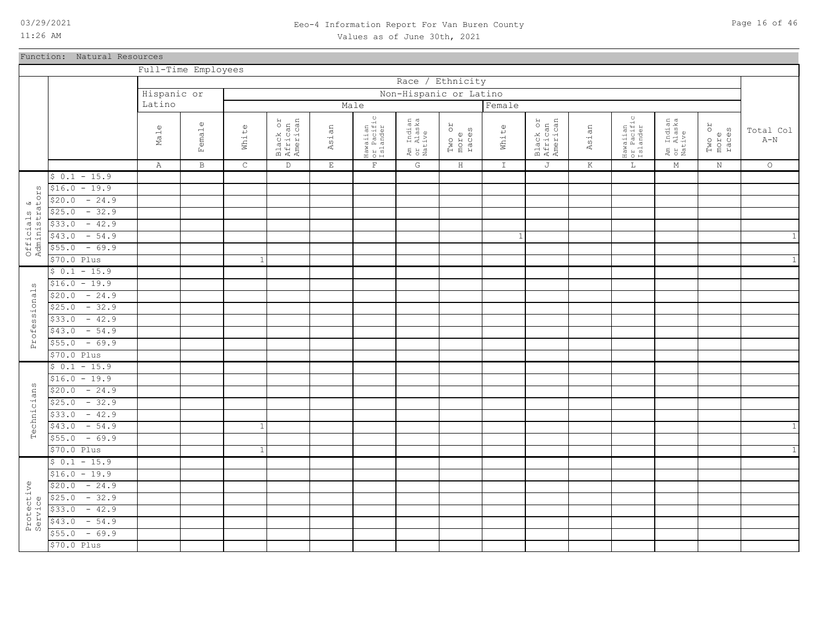### 03/29/2021 Page 16 of 46 Eeo-4 Information Report For Van Buren County Values as of June 30th, 2021

Function: Natural Resources

|                              |                   | Full-Time Employees |              |                |                                 |             |                                    |                                  |                         |              |                                 |         |                                    |                                  |                         |                         |
|------------------------------|-------------------|---------------------|--------------|----------------|---------------------------------|-------------|------------------------------------|----------------------------------|-------------------------|--------------|---------------------------------|---------|------------------------------------|----------------------------------|-------------------------|-------------------------|
|                              |                   |                     |              |                |                                 |             |                                    | Race                             | / Ethnicity             |              |                                 |         |                                    |                                  |                         |                         |
|                              |                   | Hispanic or         |              |                |                                 |             |                                    | Non-Hispanic or Latino           |                         |              |                                 |         |                                    |                                  |                         |                         |
|                              |                   | Latino              |              |                |                                 |             | Male                               |                                  |                         | Female       |                                 |         |                                    |                                  |                         |                         |
|                              |                   |                     |              |                |                                 |             |                                    |                                  |                         |              |                                 |         | $\circ$                            |                                  |                         |                         |
|                              |                   | $\Phi$              | Female       |                | Black or<br>African<br>American |             | Hawaiian<br>or Pacific<br>Islander | Am Indian<br>or Alaska<br>Native | RO                      |              | Black or<br>African<br>American |         | Hawaiian<br>or Pacific<br>Islander | Am Indian<br>or Alaska<br>Native | Two or<br>more<br>races | Total Col               |
|                              |                   | Ma1                 |              | White          |                                 | Asian       |                                    |                                  | Two or<br>more<br>races | White        |                                 | Asian   |                                    |                                  |                         | $\mbox{\AA}-\mbox{\AA}$ |
|                              |                   |                     |              |                |                                 |             |                                    |                                  |                         |              |                                 |         |                                    |                                  |                         |                         |
|                              |                   | $\mathbb{A}$        | $\mathbf{B}$ | $\mathsf{C}$   | $\mathbb{D}$                    | $\mathbf E$ | $\mathbf{F}$                       | G                                | $\, {\rm H}$            | $\mathbb T$  | $\mathbb J$                     | $\rm K$ | $\mathbb L$                        | $\mathop{\rm M}\nolimits$        | $\rm N$                 | $\circ$                 |
|                              | $$0.1 - 15.9$     |                     |              |                |                                 |             |                                    |                                  |                         |              |                                 |         |                                    |                                  |                         |                         |
| $\omega$                     | $$16.0 - 19.9$    |                     |              |                |                                 |             |                                    |                                  |                         |              |                                 |         |                                    |                                  |                         |                         |
|                              | \$20.0<br>$-24.9$ |                     |              |                |                                 |             |                                    |                                  |                         |              |                                 |         |                                    |                                  |                         |                         |
|                              | $-32.9$<br>\$25.0 |                     |              |                |                                 |             |                                    |                                  |                         |              |                                 |         |                                    |                                  |                         |                         |
|                              | $-42.9$<br>\$33.0 |                     |              |                |                                 |             |                                    |                                  |                         |              |                                 |         |                                    |                                  |                         |                         |
|                              | \$43.0<br>$-54.9$ |                     |              |                |                                 |             |                                    |                                  |                         | $\mathbf{1}$ |                                 |         |                                    |                                  |                         | 1                       |
| Officials &<br>Administrator | \$55.0<br>$-69.9$ |                     |              |                |                                 |             |                                    |                                  |                         |              |                                 |         |                                    |                                  |                         |                         |
|                              | \$70.0 Plus       |                     |              | $\overline{1}$ |                                 |             |                                    |                                  |                         |              |                                 |         |                                    |                                  |                         | $\mathbf{1}$            |
|                              | $$0.1 - 15.9$     |                     |              |                |                                 |             |                                    |                                  |                         |              |                                 |         |                                    |                                  |                         |                         |
| ω                            | $$16.0 - 19.9$    |                     |              |                |                                 |             |                                    |                                  |                         |              |                                 |         |                                    |                                  |                         |                         |
| Professional                 | $$20.0 - 24.9$    |                     |              |                |                                 |             |                                    |                                  |                         |              |                                 |         |                                    |                                  |                         |                         |
|                              | $-32.9$<br>\$25.0 |                     |              |                |                                 |             |                                    |                                  |                         |              |                                 |         |                                    |                                  |                         |                         |
|                              | $-42.9$<br>\$33.0 |                     |              |                |                                 |             |                                    |                                  |                         |              |                                 |         |                                    |                                  |                         |                         |
|                              | $$43.0 - 54.9$    |                     |              |                |                                 |             |                                    |                                  |                         |              |                                 |         |                                    |                                  |                         |                         |
|                              | $-69.9$<br>\$55.0 |                     |              |                |                                 |             |                                    |                                  |                         |              |                                 |         |                                    |                                  |                         |                         |
|                              | \$70.0 Plus       |                     |              |                |                                 |             |                                    |                                  |                         |              |                                 |         |                                    |                                  |                         |                         |
|                              | $$0.1 - 15.9$     |                     |              |                |                                 |             |                                    |                                  |                         |              |                                 |         |                                    |                                  |                         |                         |
|                              | $$16.0 - 19.9$    |                     |              |                |                                 |             |                                    |                                  |                         |              |                                 |         |                                    |                                  |                         |                         |
| Technicians                  | $-24.9$<br>\$20.0 |                     |              |                |                                 |             |                                    |                                  |                         |              |                                 |         |                                    |                                  |                         |                         |
|                              | $$25.0 - 32.9$    |                     |              |                |                                 |             |                                    |                                  |                         |              |                                 |         |                                    |                                  |                         |                         |
|                              | $-42.9$<br>\$33.0 |                     |              |                |                                 |             |                                    |                                  |                         |              |                                 |         |                                    |                                  |                         |                         |
|                              | $-54.9$<br>\$43.0 |                     |              | $\mathbf{1}$   |                                 |             |                                    |                                  |                         |              |                                 |         |                                    |                                  |                         | $\mathbf{1}$            |
|                              | $$55.0 - 69.9$    |                     |              |                |                                 |             |                                    |                                  |                         |              |                                 |         |                                    |                                  |                         |                         |
|                              | \$70.0 Plus       |                     |              | 1              |                                 |             |                                    |                                  |                         |              |                                 |         |                                    |                                  |                         | $\mathbf{1}$            |
|                              | $$0.1 - 15.9$     |                     |              |                |                                 |             |                                    |                                  |                         |              |                                 |         |                                    |                                  |                         |                         |
|                              | $$16.0 - 19.9$    |                     |              |                |                                 |             |                                    |                                  |                         |              |                                 |         |                                    |                                  |                         |                         |
|                              | $-24.9$<br>\$20.0 |                     |              |                |                                 |             |                                    |                                  |                         |              |                                 |         |                                    |                                  |                         |                         |
| Protective<br>Service        | $-32.9$<br>\$25.0 |                     |              |                |                                 |             |                                    |                                  |                         |              |                                 |         |                                    |                                  |                         |                         |
|                              | \$33.0<br>$-42.9$ |                     |              |                |                                 |             |                                    |                                  |                         |              |                                 |         |                                    |                                  |                         |                         |
|                              | \$43.0<br>$-54.9$ |                     |              |                |                                 |             |                                    |                                  |                         |              |                                 |         |                                    |                                  |                         |                         |
|                              | $-69.9$<br>\$55.0 |                     |              |                |                                 |             |                                    |                                  |                         |              |                                 |         |                                    |                                  |                         |                         |
|                              | \$70.0 Plus       |                     |              |                |                                 |             |                                    |                                  |                         |              |                                 |         |                                    |                                  |                         |                         |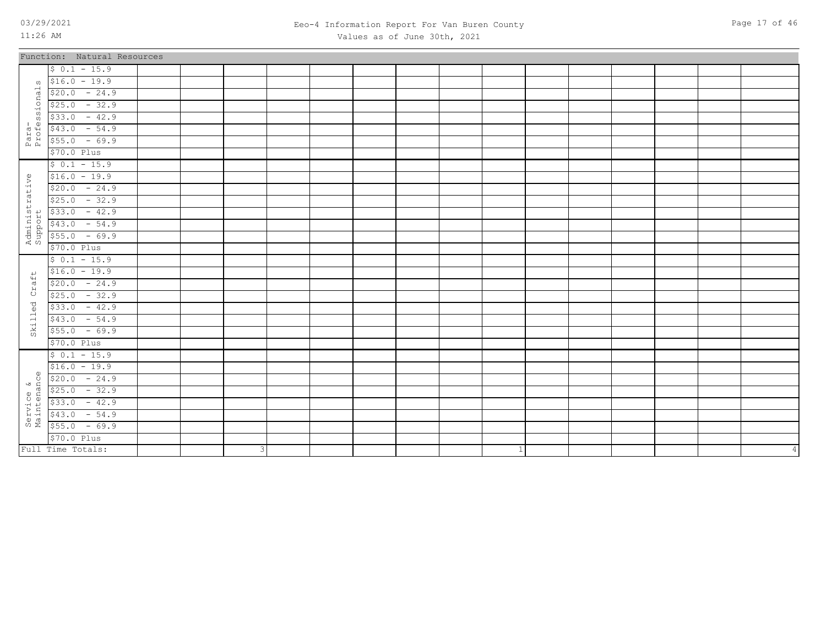Skilled Craft

Skilled

Service &<br>Maintenance Maintenance \$70.0 Plus  $$55.0$  - 69.9  $$43.0$  - 54.9  $$33.0 - 42.9$  $$25.0$  - 32.9  $$20.0 - 24.9$  $$16.0 - 19.9$  $$ 0.1 - 15.9$ 

\$70.0 Plus  $$55.0$  - 69.9  $$43.0$  - 54.9  $$33.0 - 42.9$  $$25.0$  - 32.9  $$20.0 - 24.9$  $$16.0 - 19.9$  $$ 0.1 - 15.9$ 

3

Full Time Totals:

# 03/29/2021 Page 17 of 46 Eeo-4 Information Report For Van Buren County

| 11:26 AM                  |                             |  |  | Values as of June 30th, 2021 |  |  |  |  |  |
|---------------------------|-----------------------------|--|--|------------------------------|--|--|--|--|--|
|                           | Function: Natural Resources |  |  |                              |  |  |  |  |  |
|                           | $$0.1 - 15.9$               |  |  |                              |  |  |  |  |  |
| $\omega$                  | $$16.0 - 19.9$              |  |  |                              |  |  |  |  |  |
|                           | $$20.0 - 24.9$              |  |  |                              |  |  |  |  |  |
| Para-<br>Professionals    | $$25.0 - 32.9$              |  |  |                              |  |  |  |  |  |
|                           | $$33.0 - 42.9$              |  |  |                              |  |  |  |  |  |
|                           | $$43.0 - 54.9$              |  |  |                              |  |  |  |  |  |
|                           | $$55.0 - 69.9$              |  |  |                              |  |  |  |  |  |
|                           | \$70.0 Plus                 |  |  |                              |  |  |  |  |  |
|                           | $$0.1 - 15.9$               |  |  |                              |  |  |  |  |  |
| Administrative<br>Support | $$16.0 - 19.9$              |  |  |                              |  |  |  |  |  |
|                           | $$20.0 - 24.9$              |  |  |                              |  |  |  |  |  |
|                           | $$25.0 - 32.9$              |  |  |                              |  |  |  |  |  |
|                           | $$33.0 - 42.9$              |  |  |                              |  |  |  |  |  |
|                           | $$43.0 - 54.9$              |  |  |                              |  |  |  |  |  |
|                           | $$55.0 - 69.9$              |  |  |                              |  |  |  |  |  |
|                           | $$70.0$ Plus                |  |  |                              |  |  |  |  |  |
|                           | $$0.1 - 15.9$               |  |  |                              |  |  |  |  |  |
|                           | $$16.0 - 19.9$              |  |  |                              |  |  |  |  |  |
| Craft                     | $$20.0 - 24.9$              |  |  |                              |  |  |  |  |  |
|                           | $$25.0 - 32.9$              |  |  |                              |  |  |  |  |  |
| $\vec{C}$                 | $$33.0 - 42.9$              |  |  |                              |  |  |  |  |  |

1

 $\Lambda$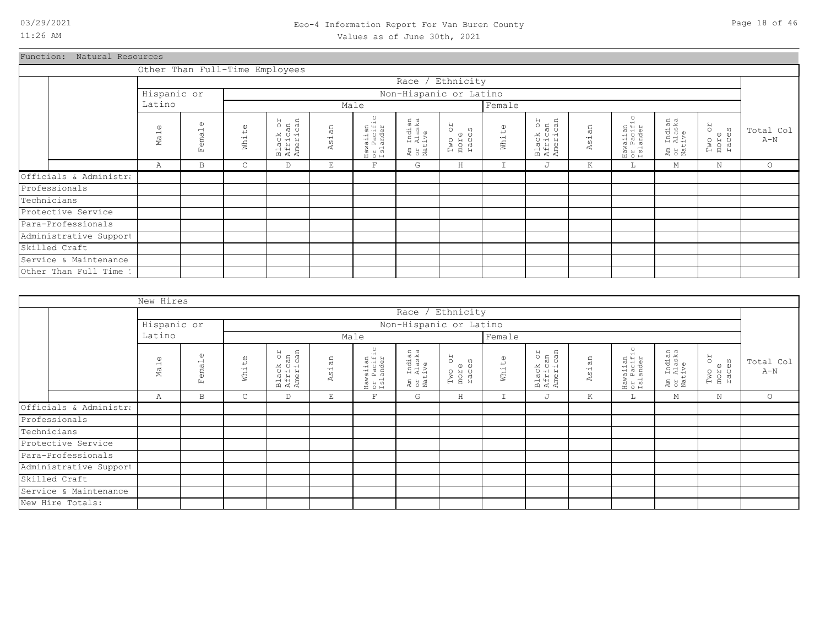### 03/29/2021 Page 18 of 46 Eeo-4 Information Report For Van Buren County Values as of June 30th, 2021

Function: Natural Resources

|                        |                             | Other Than Full-Time Employees |                       |                                 |                          |                                    |                                  |                               |               |                                 |                  |                                    |                                  |                               |                    |
|------------------------|-----------------------------|--------------------------------|-----------------------|---------------------------------|--------------------------|------------------------------------|----------------------------------|-------------------------------|---------------|---------------------------------|------------------|------------------------------------|----------------------------------|-------------------------------|--------------------|
|                        |                             |                                |                       |                                 |                          |                                    | Race / Ethnicity                 |                               |               |                                 |                  |                                    |                                  |                               |                    |
|                        | Hispanic or                 |                                |                       |                                 |                          |                                    | Non-Hispanic or Latino           |                               |               |                                 |                  |                                    |                                  |                               |                    |
|                        | Latino                      |                                |                       |                                 |                          | Male                               |                                  |                               | Female        |                                 |                  |                                    |                                  |                               |                    |
|                        | $\omega$<br>Ma <sub>1</sub> | $\omega$<br>emal<br>E.         | $\mathbb{O}$<br>White | Black or<br>African<br>American | an<br>$\vec{a}$<br>4     | Hawaiian<br>or Pacific<br>Islander | Am Indian<br>or Alaska<br>Native | RO<br>Two or<br>more<br>races | White         | Black or<br>African<br>American | sian<br><b>R</b> | Hawaiian<br>or Pacific<br>Islander | Am Indian<br>or Alaska<br>Native | RO<br>Two or<br>more<br>races | Total Col<br>$A-N$ |
|                        | Α                           | B                              | С                     | D                               | $\mathop{}\mathopen{} E$ | $\overline{\mathrm{F}}$            | G                                | $\rm H$                       | $\mathbbm{I}$ | J                               | K                | L                                  | М                                | $\mathbb N$                   | $\circ$            |
| Officials & Administra |                             |                                |                       |                                 |                          |                                    |                                  |                               |               |                                 |                  |                                    |                                  |                               |                    |
| Professionals          |                             |                                |                       |                                 |                          |                                    |                                  |                               |               |                                 |                  |                                    |                                  |                               |                    |
| Technicians            |                             |                                |                       |                                 |                          |                                    |                                  |                               |               |                                 |                  |                                    |                                  |                               |                    |
| Protective Service     |                             |                                |                       |                                 |                          |                                    |                                  |                               |               |                                 |                  |                                    |                                  |                               |                    |
| Para-Professionals     |                             |                                |                       |                                 |                          |                                    |                                  |                               |               |                                 |                  |                                    |                                  |                               |                    |
| Administrative Support |                             |                                |                       |                                 |                          |                                    |                                  |                               |               |                                 |                  |                                    |                                  |                               |                    |
| Skilled Craft          |                             |                                |                       |                                 |                          |                                    |                                  |                               |               |                                 |                  |                                    |                                  |                               |                    |
| Service & Maintenance  |                             |                                |                       |                                 |                          |                                    |                                  |                               |               |                                 |                  |                                    |                                  |                               |                    |
| Other Than Full Time 1 |                             |                                |                       |                                 |                          |                                    |                                  |                               |               |                                 |                  |                                    |                                  |                               |                    |

|             |                        | New Hires                   |                                                   |                       |                                 |            |                                    |                                  |                         |             |                                 |       |                                    |                                  |                               |                    |
|-------------|------------------------|-----------------------------|---------------------------------------------------|-----------------------|---------------------------------|------------|------------------------------------|----------------------------------|-------------------------|-------------|---------------------------------|-------|------------------------------------|----------------------------------|-------------------------------|--------------------|
|             |                        |                             |                                                   |                       |                                 |            |                                    |                                  | Race / Ethnicity        |             |                                 |       |                                    |                                  |                               |                    |
|             |                        | Hispanic or                 |                                                   |                       |                                 |            |                                    |                                  | Non-Hispanic or Latino  |             |                                 |       |                                    |                                  |                               |                    |
|             |                        | Latino                      |                                                   |                       |                                 |            | Male                               |                                  |                         | Female      |                                 |       |                                    |                                  |                               |                    |
|             |                        | $\omega$<br>Ma <sub>1</sub> | $\omega$<br>$\overline{\phantom{0}}$<br>ema<br>Ŀц | $\mathbb{O}$<br>White | Black or<br>African<br>American | άn<br>Asi. | Hawaiian<br>or Pacific<br>Islander | Am Indian<br>or Alaska<br>Native | Two or<br>more<br>races | White       | Black or<br>African<br>American | Asian | Hawaiian<br>or Pacific<br>Islander | Am Indian<br>or Alaska<br>Native | RO<br>Two o:<br>more<br>races | Total Col<br>$A-N$ |
|             |                        | Α                           | B                                                 | $\mathsf{C}$          | D                               | E          | $\overline{\mathrm{F}}$            | G                                | H                       | $\mathbf I$ | J                               | K     | Щ.                                 | М                                | $\mathbf N$                   | $\circ$            |
|             | Officials & Administra |                             |                                                   |                       |                                 |            |                                    |                                  |                         |             |                                 |       |                                    |                                  |                               |                    |
|             | Professionals          |                             |                                                   |                       |                                 |            |                                    |                                  |                         |             |                                 |       |                                    |                                  |                               |                    |
| Technicians |                        |                             |                                                   |                       |                                 |            |                                    |                                  |                         |             |                                 |       |                                    |                                  |                               |                    |
|             | Protective Service     |                             |                                                   |                       |                                 |            |                                    |                                  |                         |             |                                 |       |                                    |                                  |                               |                    |
|             | Para-Professionals     |                             |                                                   |                       |                                 |            |                                    |                                  |                         |             |                                 |       |                                    |                                  |                               |                    |
|             | Administrative Support |                             |                                                   |                       |                                 |            |                                    |                                  |                         |             |                                 |       |                                    |                                  |                               |                    |
|             | Skilled Craft          |                             |                                                   |                       |                                 |            |                                    |                                  |                         |             |                                 |       |                                    |                                  |                               |                    |
|             | Service & Maintenance  |                             |                                                   |                       |                                 |            |                                    |                                  |                         |             |                                 |       |                                    |                                  |                               |                    |
|             | New Hire Totals:       |                             |                                                   |                       |                                 |            |                                    |                                  |                         |             |                                 |       |                                    |                                  |                               |                    |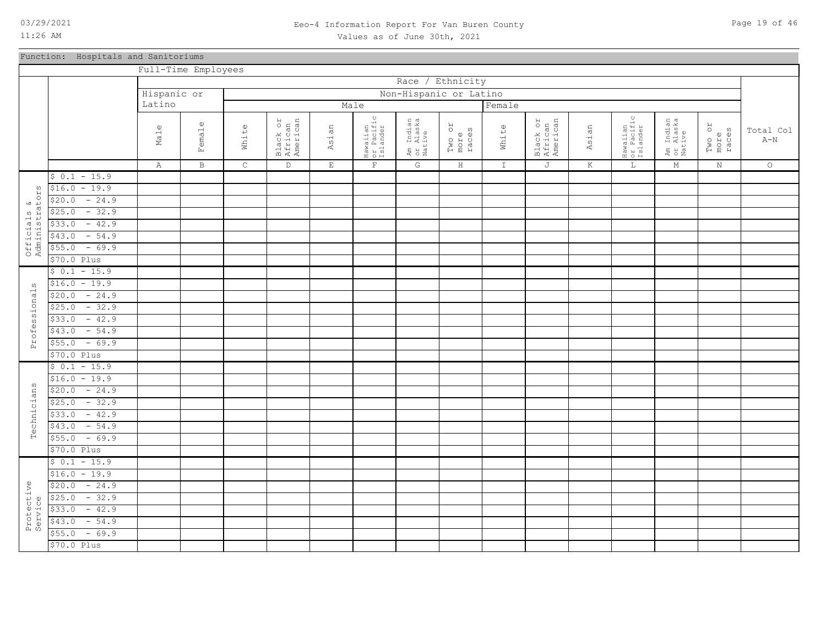### 03/29/2021 Page 19 of 46 Eeo-4 Information Report For Van Buren County Values as of June 30th, 2021

### Function: Hospitals and Sanitoriums

|                               |                   |                 | Full-Time Employees |             |                                 |             |                                    |                                  |                         |               |                                 |         |                                    |                                  |                         |                         |
|-------------------------------|-------------------|-----------------|---------------------|-------------|---------------------------------|-------------|------------------------------------|----------------------------------|-------------------------|---------------|---------------------------------|---------|------------------------------------|----------------------------------|-------------------------|-------------------------|
|                               |                   |                 |                     |             |                                 |             |                                    | Race                             | / Ethnicity             |               |                                 |         |                                    |                                  |                         |                         |
|                               |                   | Hispanic or     |                     |             |                                 |             |                                    | Non-Hispanic or Latino           |                         |               |                                 |         |                                    |                                  |                         |                         |
|                               |                   | Latino          |                     |             |                                 |             | Male                               |                                  |                         | Female        |                                 |         |                                    |                                  |                         |                         |
|                               |                   |                 |                     |             |                                 |             |                                    |                                  |                         |               |                                 |         |                                    |                                  |                         |                         |
|                               |                   | $\omega$        | emale               |             | Black or<br>African<br>American |             | Hawaiian<br>or Pacific<br>Islander | Am Indian<br>or Alaska<br>Native |                         |               | Black or<br>African<br>American |         | Hawaiian<br>or Pacific<br>Islander | Am Indian<br>or Alaska<br>Native | Two or<br>more<br>races | Total Col               |
|                               |                   | Ma <sub>1</sub> |                     | White       |                                 | Asian       |                                    |                                  | Two or<br>more<br>races | White         |                                 | Asian   |                                    |                                  |                         | $\mbox{\AA}-\mbox{\AA}$ |
|                               |                   |                 | Ŀц                  |             |                                 |             |                                    |                                  |                         |               |                                 |         |                                    |                                  |                         |                         |
|                               |                   | Α               | $\, {\bf B}$        | $\mathsf C$ | $\mathbb D$                     | $\mathbf E$ | $\mathbf{F}$                       | ${\mathbb G}$                    | $\rm H$                 | $\mathbbm{I}$ | J                               | $\rm K$ | $\mathbb L$                        | $M_{\odot}$                      | $\rm N$                 | $\circ$                 |
|                               | $$0.1 - 15.9$     |                 |                     |             |                                 |             |                                    |                                  |                         |               |                                 |         |                                    |                                  |                         |                         |
|                               | $$16.0 - 19.9$    |                 |                     |             |                                 |             |                                    |                                  |                         |               |                                 |         |                                    |                                  |                         |                         |
|                               | $-24.9$<br>\$20.0 |                 |                     |             |                                 |             |                                    |                                  |                         |               |                                 |         |                                    |                                  |                         |                         |
|                               | $-32.9$<br>\$25.0 |                 |                     |             |                                 |             |                                    |                                  |                         |               |                                 |         |                                    |                                  |                         |                         |
|                               | $-42.9$<br>\$33.0 |                 |                     |             |                                 |             |                                    |                                  |                         |               |                                 |         |                                    |                                  |                         |                         |
|                               | \$43.0<br>$-54.9$ |                 |                     |             |                                 |             |                                    |                                  |                         |               |                                 |         |                                    |                                  |                         |                         |
| Officials &<br>Administrators | $-69.9$<br>\$55.0 |                 |                     |             |                                 |             |                                    |                                  |                         |               |                                 |         |                                    |                                  |                         |                         |
|                               | \$70.0 Plus       |                 |                     |             |                                 |             |                                    |                                  |                         |               |                                 |         |                                    |                                  |                         |                         |
|                               | $$0.1 - 15.9$     |                 |                     |             |                                 |             |                                    |                                  |                         |               |                                 |         |                                    |                                  |                         |                         |
| w                             | $$16.0 - 19.9$    |                 |                     |             |                                 |             |                                    |                                  |                         |               |                                 |         |                                    |                                  |                         |                         |
|                               | $-24.9$<br>\$20.0 |                 |                     |             |                                 |             |                                    |                                  |                         |               |                                 |         |                                    |                                  |                         |                         |
|                               | $-32.9$<br>\$25.0 |                 |                     |             |                                 |             |                                    |                                  |                         |               |                                 |         |                                    |                                  |                         |                         |
| Professional                  | $-42.9$<br>\$33.0 |                 |                     |             |                                 |             |                                    |                                  |                         |               |                                 |         |                                    |                                  |                         |                         |
|                               | $-54.9$<br>\$43.0 |                 |                     |             |                                 |             |                                    |                                  |                         |               |                                 |         |                                    |                                  |                         |                         |
|                               | $-69.9$<br>\$55.0 |                 |                     |             |                                 |             |                                    |                                  |                         |               |                                 |         |                                    |                                  |                         |                         |
|                               | \$70.0 Plus       |                 |                     |             |                                 |             |                                    |                                  |                         |               |                                 |         |                                    |                                  |                         |                         |
|                               | $$0.1 - 15.9$     |                 |                     |             |                                 |             |                                    |                                  |                         |               |                                 |         |                                    |                                  |                         |                         |
|                               | $$16.0 - 19.9$    |                 |                     |             |                                 |             |                                    |                                  |                         |               |                                 |         |                                    |                                  |                         |                         |
|                               | $-24.9$<br>\$20.0 |                 |                     |             |                                 |             |                                    |                                  |                         |               |                                 |         |                                    |                                  |                         |                         |
|                               | $-32.9$<br>\$25.0 |                 |                     |             |                                 |             |                                    |                                  |                         |               |                                 |         |                                    |                                  |                         |                         |
| Technicians                   | $-42.9$<br>\$33.0 |                 |                     |             |                                 |             |                                    |                                  |                         |               |                                 |         |                                    |                                  |                         |                         |
|                               | $-54.9$<br>\$43.0 |                 |                     |             |                                 |             |                                    |                                  |                         |               |                                 |         |                                    |                                  |                         |                         |
|                               | $-69.9$<br>\$55.0 |                 |                     |             |                                 |             |                                    |                                  |                         |               |                                 |         |                                    |                                  |                         |                         |
|                               | \$70.0 Plus       |                 |                     |             |                                 |             |                                    |                                  |                         |               |                                 |         |                                    |                                  |                         |                         |
|                               | $$0.1 - 15.9$     |                 |                     |             |                                 |             |                                    |                                  |                         |               |                                 |         |                                    |                                  |                         |                         |
|                               | $$16.0 - 19.9$    |                 |                     |             |                                 |             |                                    |                                  |                         |               |                                 |         |                                    |                                  |                         |                         |
|                               | $-24.9$<br>\$20.0 |                 |                     |             |                                 |             |                                    |                                  |                         |               |                                 |         |                                    |                                  |                         |                         |
|                               | $-32.9$<br>\$25.0 |                 |                     |             |                                 |             |                                    |                                  |                         |               |                                 |         |                                    |                                  |                         |                         |
| Protective<br>Service         | $-42.9$<br>\$33.0 |                 |                     |             |                                 |             |                                    |                                  |                         |               |                                 |         |                                    |                                  |                         |                         |
|                               | $-54.9$<br>\$43.0 |                 |                     |             |                                 |             |                                    |                                  |                         |               |                                 |         |                                    |                                  |                         |                         |
|                               | $-69.9$<br>\$55.0 |                 |                     |             |                                 |             |                                    |                                  |                         |               |                                 |         |                                    |                                  |                         |                         |
|                               | \$70.0 Plus       |                 |                     |             |                                 |             |                                    |                                  |                         |               |                                 |         |                                    |                                  |                         |                         |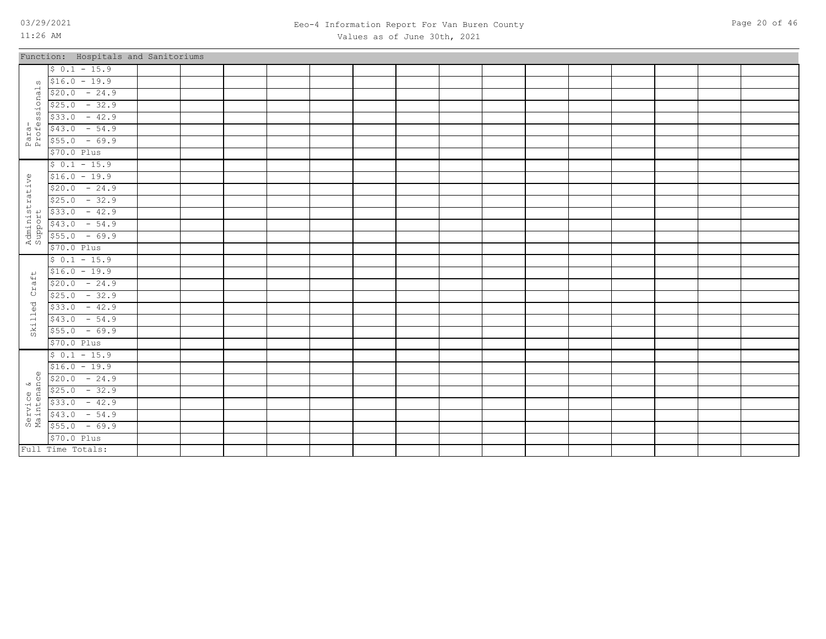### 03/29/2021 Page 20 of 46 Eeo-4 Information Report For Van Buren County Values as of June 30th, 2021

|                           | Function: Hospitals and Sanitoriums |  |  |  |  |  |  |  |  |
|---------------------------|-------------------------------------|--|--|--|--|--|--|--|--|
|                           | $$0.1 - 15.9$                       |  |  |  |  |  |  |  |  |
| $\Omega$                  | $$16.0 - 19.9$                      |  |  |  |  |  |  |  |  |
|                           | $$20.0 - 24.9$                      |  |  |  |  |  |  |  |  |
|                           | $$25.0 - 32.9$                      |  |  |  |  |  |  |  |  |
| ssional                   | $$33.0 - 42.9$                      |  |  |  |  |  |  |  |  |
|                           | $$43.0 - 54.9$                      |  |  |  |  |  |  |  |  |
| Para-<br>Profes           | $$55.0 - 69.9$                      |  |  |  |  |  |  |  |  |
|                           | $$70.0$ Plus                        |  |  |  |  |  |  |  |  |
|                           | $$0.1 - 15.9$                       |  |  |  |  |  |  |  |  |
| Administrative<br>Support | $$16.0 - 19.9$                      |  |  |  |  |  |  |  |  |
|                           | $$20.0 - 24.9$                      |  |  |  |  |  |  |  |  |
|                           | $$25.0 - 32.9$                      |  |  |  |  |  |  |  |  |
|                           | $$33.0 - 42.9$                      |  |  |  |  |  |  |  |  |
|                           | $$43.0 - 54.9$                      |  |  |  |  |  |  |  |  |
|                           | $$55.0 - 69.9$                      |  |  |  |  |  |  |  |  |
|                           | \$70.0 Plus                         |  |  |  |  |  |  |  |  |
|                           | $$0.1 - 15.9$                       |  |  |  |  |  |  |  |  |
|                           | $$16.0 - 19.9$                      |  |  |  |  |  |  |  |  |
| Craft                     | $$20.0 - 24.9$                      |  |  |  |  |  |  |  |  |
|                           | $$25.0 - 32.9$                      |  |  |  |  |  |  |  |  |
| Skilled                   | $$33.0 - 42.9$                      |  |  |  |  |  |  |  |  |
|                           | $$43.0 - 54.9$                      |  |  |  |  |  |  |  |  |
|                           | $$55.0 - 69.9$                      |  |  |  |  |  |  |  |  |
|                           | \$70.0 Plus                         |  |  |  |  |  |  |  |  |
|                           | $$0.1 - 15.9$                       |  |  |  |  |  |  |  |  |
| $\omega$                  | $$16.0 - 19.9$                      |  |  |  |  |  |  |  |  |
| $\tilde{Q}$               | $$20.0 - 24.9$                      |  |  |  |  |  |  |  |  |
|                           | $$25.0 - 32.9$                      |  |  |  |  |  |  |  |  |
|                           | $$33.0 - 42.9$                      |  |  |  |  |  |  |  |  |
| Service &<br>Maintenano   | $$43.0 - 54.9$                      |  |  |  |  |  |  |  |  |
|                           | $$55.0 - 69.9$                      |  |  |  |  |  |  |  |  |
|                           | $$70.0$ $Plus$                      |  |  |  |  |  |  |  |  |
|                           | Full Time Totals:                   |  |  |  |  |  |  |  |  |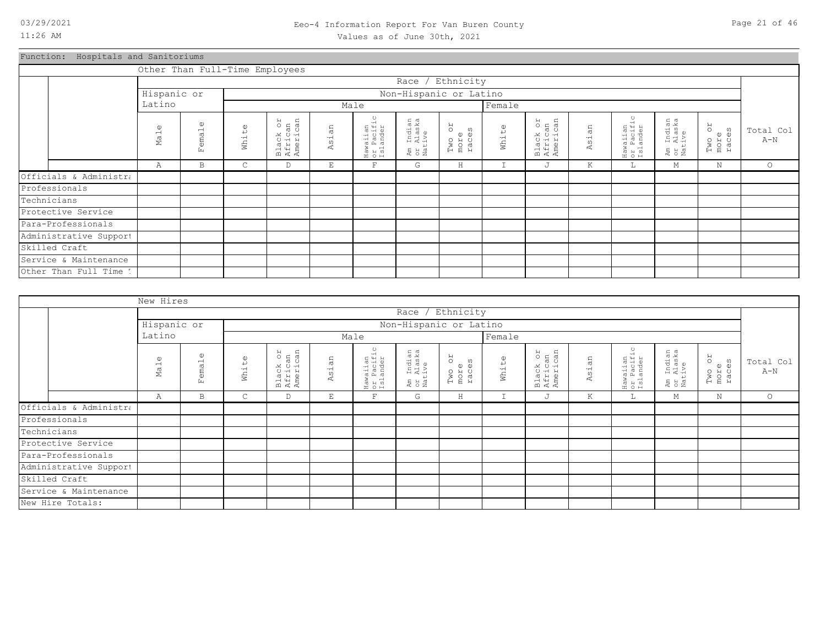Function: Hospitals and Sanitoriums

|                        |                                 |                                                                                       |       | Other Than Full-Time Employees  |            |                                    |                                  |                                      |        |                                 |       |                                    |                                                   |                               |                    |
|------------------------|---------------------------------|---------------------------------------------------------------------------------------|-------|---------------------------------|------------|------------------------------------|----------------------------------|--------------------------------------|--------|---------------------------------|-------|------------------------------------|---------------------------------------------------|-------------------------------|--------------------|
|                        |                                 |                                                                                       |       |                                 |            |                                    | Race /                           | Ethnicity                            |        |                                 |       |                                    |                                                   |                               |                    |
|                        | Hispanic or                     |                                                                                       |       |                                 |            |                                    | Non-Hispanic or Latino           |                                      |        |                                 |       |                                    |                                                   |                               |                    |
|                        | Latino                          |                                                                                       |       |                                 |            | Male                               |                                  |                                      | Female |                                 |       |                                    |                                                   |                               |                    |
|                        | $\mathbb{O}$<br>Ma <sub>1</sub> | $\omega$<br>emal<br>Ŀц                                                                | White | Black or<br>African<br>American | sian<br>A, | Hawaiian<br>or Pacific<br>Islander | Am Indian<br>or Alaska<br>Native | <b>ZO</b><br>Two or<br>more<br>races | White  | Black or<br>African<br>American | Asian | Hawaiian<br>or Pacific<br>Islander | Indian<br>Alaska<br>ive<br>$\pm$<br>と<br>こと<br>こと | RO<br>Two o:<br>more<br>races | Total Col<br>$A-N$ |
|                        | Α                               | $\mathbf{F}$<br>G<br>J<br>E<br>Η<br>$\mathbbm{I}$<br>К<br>М<br>N<br>B<br>C<br>D<br>Щ. |       |                                 |            |                                    |                                  |                                      |        |                                 |       |                                    | $\circ$                                           |                               |                    |
| Officials & Administra |                                 |                                                                                       |       |                                 |            |                                    |                                  |                                      |        |                                 |       |                                    |                                                   |                               |                    |
| Professionals          |                                 |                                                                                       |       |                                 |            |                                    |                                  |                                      |        |                                 |       |                                    |                                                   |                               |                    |
| Technicians            |                                 |                                                                                       |       |                                 |            |                                    |                                  |                                      |        |                                 |       |                                    |                                                   |                               |                    |
| Protective Service     |                                 |                                                                                       |       |                                 |            |                                    |                                  |                                      |        |                                 |       |                                    |                                                   |                               |                    |
| Para-Professionals     |                                 |                                                                                       |       |                                 |            |                                    |                                  |                                      |        |                                 |       |                                    |                                                   |                               |                    |
| Administrative Support |                                 |                                                                                       |       |                                 |            |                                    |                                  |                                      |        |                                 |       |                                    |                                                   |                               |                    |
| Skilled Craft          |                                 |                                                                                       |       |                                 |            |                                    |                                  |                                      |        |                                 |       |                                    |                                                   |                               |                    |
| Service & Maintenance  |                                 |                                                                                       |       |                                 |            |                                    |                                  |                                      |        |                                 |       |                                    |                                                   |                               |                    |
| Other Than Full Time 1 |                                 |                                                                                       |       |                                 |            |                                    |                                  |                                      |        |                                 |       |                                    |                                                   |                               |                    |

|                        | New Hires                       |                                       |              |                                 |       |                                    |                                  |                                      |               |                                 |         |                                    |                                                 |                               |                    |
|------------------------|---------------------------------|---------------------------------------|--------------|---------------------------------|-------|------------------------------------|----------------------------------|--------------------------------------|---------------|---------------------------------|---------|------------------------------------|-------------------------------------------------|-------------------------------|--------------------|
|                        |                                 |                                       |              |                                 |       |                                    | Race / Ethnicity                 |                                      |               |                                 |         |                                    |                                                 |                               |                    |
|                        | Hispanic or                     |                                       |              |                                 |       |                                    | Non-Hispanic or Latino           |                                      |               |                                 |         |                                    |                                                 |                               |                    |
|                        | Latino                          |                                       |              |                                 |       | Male                               |                                  |                                      | Female        |                                 |         |                                    |                                                 |                               |                    |
|                        | $\mathbb{O}$<br>Ma <sub>1</sub> | $\mathbb{O}$<br>ema <sub>1</sub><br>囟 | White        | Black or<br>African<br>American | Asian | Hawaiian<br>or Pacific<br>Islander | Am Indian<br>or Alaska<br>Native | <b>JO</b><br>Two or<br>more<br>races | White         | Black or<br>African<br>American | Asian   | Hawaiian<br>or Pacific<br>Islander | ı Indian<br>: Alaska<br>.tive<br>Ex<br>S<br>Nat | RO<br>Two or<br>more<br>races | Total Col<br>$A-N$ |
|                        | Α                               | B                                     | $\mathsf{C}$ | D                               | E     | F                                  | G                                | $\rm H$                              | $\mathbbm{I}$ | J                               | $\rm K$ | ш.                                 | М                                               | $\mathbb N$                   | $\circ$            |
| Officials & Administra |                                 |                                       |              |                                 |       |                                    |                                  |                                      |               |                                 |         |                                    |                                                 |                               |                    |
| Professionals          |                                 |                                       |              |                                 |       |                                    |                                  |                                      |               |                                 |         |                                    |                                                 |                               |                    |
| Technicians            |                                 |                                       |              |                                 |       |                                    |                                  |                                      |               |                                 |         |                                    |                                                 |                               |                    |
| Protective Service     |                                 |                                       |              |                                 |       |                                    |                                  |                                      |               |                                 |         |                                    |                                                 |                               |                    |
| Para-Professionals     |                                 |                                       |              |                                 |       |                                    |                                  |                                      |               |                                 |         |                                    |                                                 |                               |                    |
| Administrative Support |                                 |                                       |              |                                 |       |                                    |                                  |                                      |               |                                 |         |                                    |                                                 |                               |                    |
| Skilled Craft          |                                 |                                       |              |                                 |       |                                    |                                  |                                      |               |                                 |         |                                    |                                                 |                               |                    |
| Service & Maintenance  |                                 |                                       |              |                                 |       |                                    |                                  |                                      |               |                                 |         |                                    |                                                 |                               |                    |
| New Hire Totals:       |                                 |                                       |              |                                 |       |                                    |                                  |                                      |               |                                 |         |                                    |                                                 |                               |                    |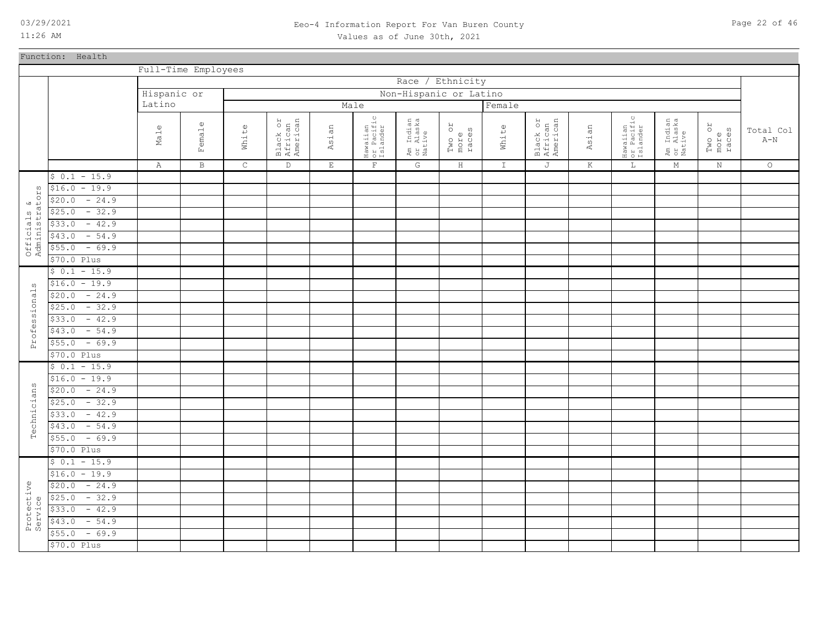Function: Health

11:26 AM

### 03/29/2021 Page 22 of 46 Eeo-4 Information Report For Van Buren County Values as of June 30th, 2021

Full-Time Employees Race / Ethnicity Hispanic or Non-Hispanic or Latino Latino Male **Female** Hawaiian or Pacific Islander Hawaiian or Pacific Islander Black or African American Am Indian or Alaska Native Black or African American Am Indian or Alaska Native Male Female White Asian Two or more races White Asian Two or more races Total Col  $A-N$ C D E F K A B G  $\,$  H I J  $L$ M N O  $$ 0.1 - 15.9$  $$16.0 - 19.9$ ΣS Administrators  $\begin{smallmatrix} 0 \\ 0 \\ 0 \end{smallmatrix}$  $$20.0 - 24.9$ Officials<br>Administrat Officials &  $$25.0 - 32.9$  $$33.0 - 42.9$  $$43.0$  - 54.9  $$55.0$  - 69.9 \$70.0 Plus  $$ 0.1 - 15.9$  $$16.0 - 19.9$  $\omega$ Professionals ssional  $$20.0 - 24.9$  $$25.0 - 32.9$  $$33.0 - 42.9$ rofes  $$43.0$  - 54.9  $$55.0$  - 69.9  $\tilde{\triangle}$ \$70.0 Plus  $$ 0.1 - 15.9$  $$16.0 - 19.9$  $\omega$ Technicians cians  $$20.0 - 24.9$  $$25.0$  - 32.9 Techni  $$33.0 - 42.9$  $$43.0$  - 54.9  $$55.0$  - 69.9 \$70.0 Plus  $$ 0.1 - 15.9$  $$16.0 - 19.9$ Protective  $$20.0 - 24.9$  $$25.0 - 32.9$ Service $$33.0 - 42.9$  $$43.0$  - 54.9  $$55.0$  - 69.9 \$70.0 Plus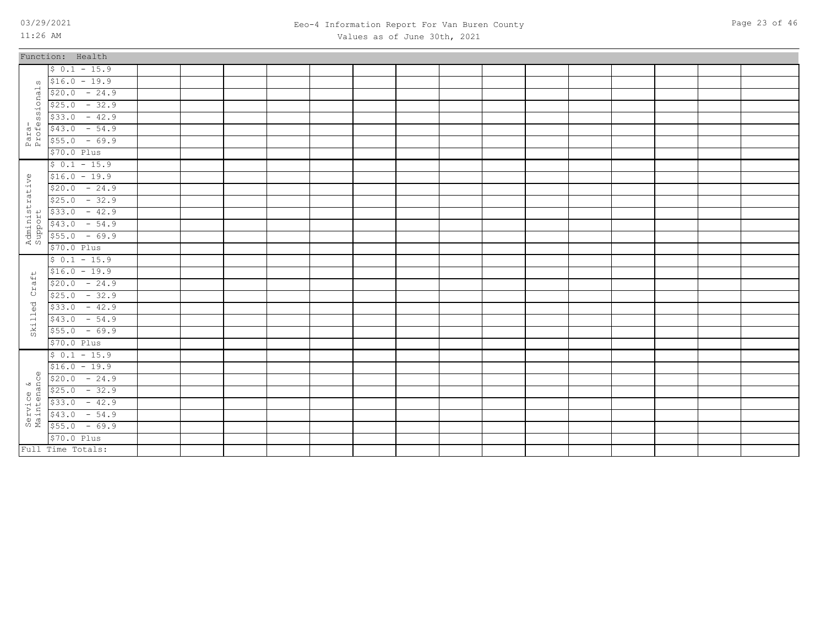Full Time Totals:

### 03/29/2021 Page 23 of 46 Eeo-4 Information Report For Van Buren County Values as of June 30th, 2021

|                           | Function: Health |  |  |  |  |  |  |  |  |
|---------------------------|------------------|--|--|--|--|--|--|--|--|
|                           | $$0.1 - 15.9$    |  |  |  |  |  |  |  |  |
| $\Omega$                  | $$16.0 - 19.9$   |  |  |  |  |  |  |  |  |
|                           | $$20.0 - 24.9$   |  |  |  |  |  |  |  |  |
| ional                     | $$25.0 - 32.9$   |  |  |  |  |  |  |  |  |
| $\Omega$                  | $$33.0 - 42.9$   |  |  |  |  |  |  |  |  |
| Para-<br>Profes:          | $$43.0 - 54.9$   |  |  |  |  |  |  |  |  |
|                           | $$55.0 - 69.9$   |  |  |  |  |  |  |  |  |
|                           | \$70.0 Plus      |  |  |  |  |  |  |  |  |
|                           | $$0.1 - 15.9$    |  |  |  |  |  |  |  |  |
|                           | $$16.0 - 19.9$   |  |  |  |  |  |  |  |  |
|                           | $$20.0 - 24.9$   |  |  |  |  |  |  |  |  |
|                           | $$25.0 - 32.9$   |  |  |  |  |  |  |  |  |
|                           | $$33.0 - 42.9$   |  |  |  |  |  |  |  |  |
|                           | $$43.0 - 54.9$   |  |  |  |  |  |  |  |  |
| Administrative<br>Support | $$55.0 - 69.9$   |  |  |  |  |  |  |  |  |
|                           | $$70.0$ Plus     |  |  |  |  |  |  |  |  |
|                           | $$0.1 - 15.9$    |  |  |  |  |  |  |  |  |
|                           | $$16.0 - 19.9$   |  |  |  |  |  |  |  |  |
| Craft                     | $$20.0 - 24.9$   |  |  |  |  |  |  |  |  |
|                           | $$25.0 - 32.9$   |  |  |  |  |  |  |  |  |
| Skilled                   | $$33.0 - 42.9$   |  |  |  |  |  |  |  |  |
|                           | $$43.0 - 54.9$   |  |  |  |  |  |  |  |  |
|                           | $$55.0 - 69.9$   |  |  |  |  |  |  |  |  |
|                           | \$70.0 Plus      |  |  |  |  |  |  |  |  |
|                           | $$0.1 - 15.9$    |  |  |  |  |  |  |  |  |
|                           | $$16.0 - 19.9$   |  |  |  |  |  |  |  |  |
| $\circ$                   | $$20.0 - 24.9$   |  |  |  |  |  |  |  |  |
|                           | $$25.0 - 32.9$   |  |  |  |  |  |  |  |  |
| Service &<br>Maintenance  | $$33.0 - 42.9$   |  |  |  |  |  |  |  |  |
|                           | $$43.0 - 54.9$   |  |  |  |  |  |  |  |  |
|                           | $$55.0 - 69.9$   |  |  |  |  |  |  |  |  |
|                           | $$70.0$ Plus     |  |  |  |  |  |  |  |  |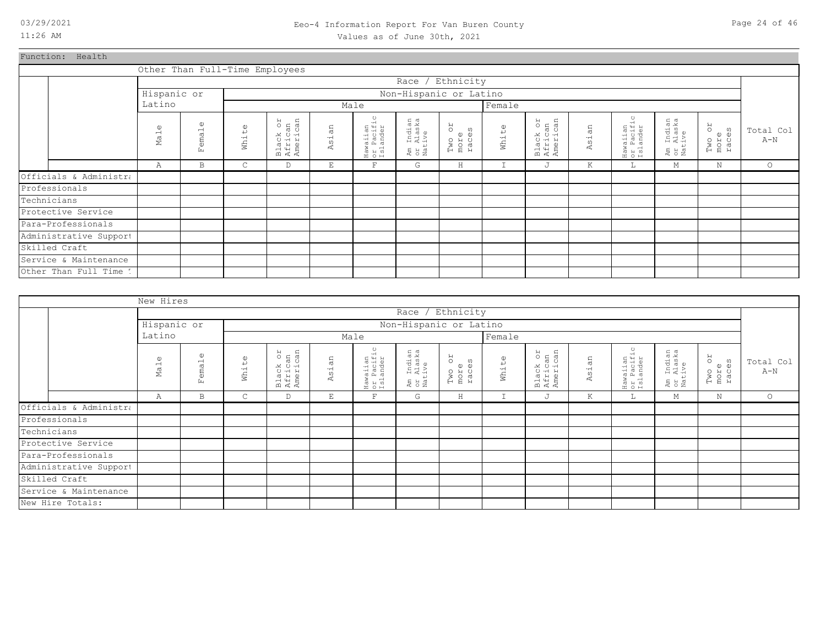### 03/29/2021 Page 24 of 46 Eeo-4 Information Report For Van Buren County Values as of June 30th, 2021

Function: Health

|                        |                             |                                    |                       | Other Than Full-Time Employees  |            |                                    |                                  |                               |             |                                 |            |                                    |                                  |                         |                    |
|------------------------|-----------------------------|------------------------------------|-----------------------|---------------------------------|------------|------------------------------------|----------------------------------|-------------------------------|-------------|---------------------------------|------------|------------------------------------|----------------------------------|-------------------------|--------------------|
|                        |                             |                                    |                       |                                 |            |                                    |                                  | Race / Ethnicity              |             |                                 |            |                                    |                                  |                         |                    |
|                        | Hispanic or                 |                                    |                       |                                 |            |                                    | Non-Hispanic or Latino           |                               |             |                                 |            |                                    |                                  |                         |                    |
|                        | Latino                      |                                    |                       |                                 |            | Male                               |                                  |                               | Female      |                                 |            |                                    |                                  |                         |                    |
|                        | $\omega$<br>Ma <sub>1</sub> | $\omega$<br>ema <sub>1</sub><br>E. | $\mathbb{O}$<br>White | Black or<br>African<br>American | an<br>Asi. | Hawaiian<br>or Pacific<br>Islander | Am Indian<br>or Alaska<br>Native | RO<br>Two or<br>more<br>races | White       | Black or<br>African<br>American | an<br>Asi. | Hawaiian<br>or Pacific<br>Islander | Am Indian<br>or Alaska<br>Native | Two or<br>more<br>races | Total Col<br>$A-N$ |
|                        | Α                           | B                                  | C                     | D                               | E          | $\mathbf{F}$                       | G                                | $\rm H$                       | $\mathbf I$ | J                               | Κ          | L                                  | М                                | $\rm N$                 | $\circ$            |
| Officials & Administra |                             |                                    |                       |                                 |            |                                    |                                  |                               |             |                                 |            |                                    |                                  |                         |                    |
| Professionals          |                             |                                    |                       |                                 |            |                                    |                                  |                               |             |                                 |            |                                    |                                  |                         |                    |
| Technicians            |                             |                                    |                       |                                 |            |                                    |                                  |                               |             |                                 |            |                                    |                                  |                         |                    |
| Protective Service     |                             |                                    |                       |                                 |            |                                    |                                  |                               |             |                                 |            |                                    |                                  |                         |                    |
| Para-Professionals     |                             |                                    |                       |                                 |            |                                    |                                  |                               |             |                                 |            |                                    |                                  |                         |                    |
| Administrative Support |                             |                                    |                       |                                 |            |                                    |                                  |                               |             |                                 |            |                                    |                                  |                         |                    |
| Skilled Craft          |                             |                                    |                       |                                 |            |                                    |                                  |                               |             |                                 |            |                                    |                                  |                         |                    |
| Service & Maintenance  |                             |                                    |                       |                                 |            |                                    |                                  |                               |             |                                 |            |                                    |                                  |                         |                    |
| Other Than Full Time 1 |                             |                                    |                       |                                 |            |                                    |                                  |                               |             |                                 |            |                                    |                                  |                         |                    |

|                        | New Hires                   |                                                       |                   |                                 |            |                                    |                                  |                                      |        |                                 |       |                                          |                                  |                         |                    |
|------------------------|-----------------------------|-------------------------------------------------------|-------------------|---------------------------------|------------|------------------------------------|----------------------------------|--------------------------------------|--------|---------------------------------|-------|------------------------------------------|----------------------------------|-------------------------|--------------------|
|                        |                             |                                                       |                   |                                 |            |                                    |                                  | Race / Ethnicity                     |        |                                 |       |                                          |                                  |                         |                    |
|                        | Hispanic or                 |                                                       |                   |                                 |            |                                    |                                  | Non-Hispanic or Latino               |        |                                 |       |                                          |                                  |                         |                    |
|                        | Latino                      |                                                       |                   |                                 |            | Male                               |                                  |                                      | Female |                                 |       |                                          |                                  |                         |                    |
|                        | $\omega$<br>Ma <sub>1</sub> | $\mathbb U$<br>$\overline{\phantom{a}}$<br>ema.<br>Ŀц | $\omega$<br>White | Black or<br>African<br>American | an<br>Asi. | Hawaiian<br>or Pacific<br>Islander | Am Indian<br>or Alaska<br>Native | <b>ZO</b><br>Two or<br>more<br>races | White  | Black or<br>African<br>American | Asian | ٥ŕ.<br>Hawaiian<br>or Pacifi<br>Islander | Am Indian<br>or Alaska<br>Native | Two or<br>more<br>races | Total Col<br>$A-N$ |
|                        | Α                           | B                                                     | $\mathsf{C}$      | D                               | Ε          | $\mathbf F$                        | G                                | $\rm H$                              | I      | J                               | К     | Щ.                                       | М                                | N                       | $\circ$            |
| Officials & Administra |                             |                                                       |                   |                                 |            |                                    |                                  |                                      |        |                                 |       |                                          |                                  |                         |                    |
| Professionals          |                             |                                                       |                   |                                 |            |                                    |                                  |                                      |        |                                 |       |                                          |                                  |                         |                    |
| Technicians            |                             |                                                       |                   |                                 |            |                                    |                                  |                                      |        |                                 |       |                                          |                                  |                         |                    |
| Protective Service     |                             |                                                       |                   |                                 |            |                                    |                                  |                                      |        |                                 |       |                                          |                                  |                         |                    |
| Para-Professionals     |                             |                                                       |                   |                                 |            |                                    |                                  |                                      |        |                                 |       |                                          |                                  |                         |                    |
| Administrative Support |                             |                                                       |                   |                                 |            |                                    |                                  |                                      |        |                                 |       |                                          |                                  |                         |                    |
| Skilled Craft          |                             |                                                       |                   |                                 |            |                                    |                                  |                                      |        |                                 |       |                                          |                                  |                         |                    |
| Service & Maintenance  |                             |                                                       |                   |                                 |            |                                    |                                  |                                      |        |                                 |       |                                          |                                  |                         |                    |
| New Hire Totals:       |                             |                                                       |                   |                                 |            |                                    |                                  |                                      |        |                                 |       |                                          |                                  |                         |                    |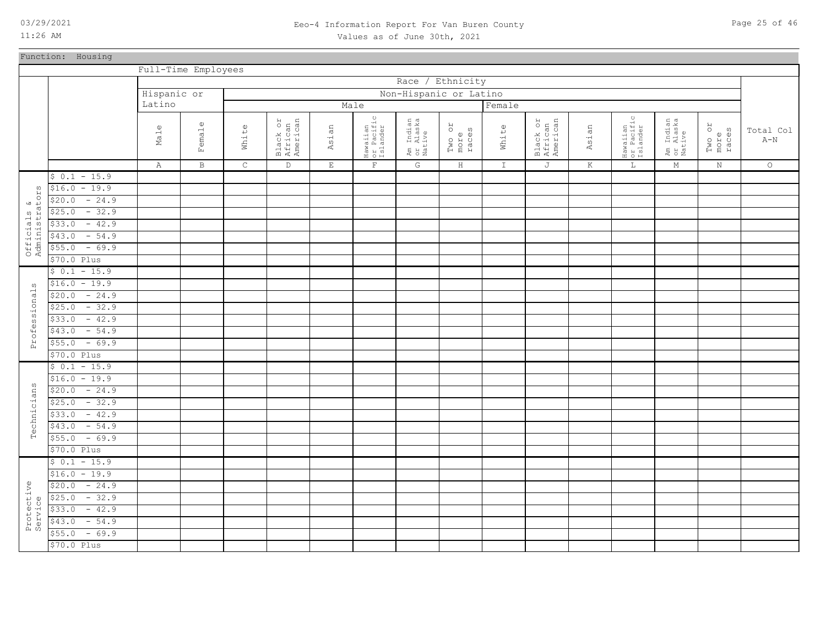Function: Housing

\$70.0 Plus

11:26 AM

### 03/29/2021 Page 25 of 46 Eeo-4 Information Report For Van Buren County Values as of June 30th, 2021

|                               |                   |              | Full-Time Employees |             |                                 |             |                                    |                                  |                              |               |                                 |         |                                               |                                  |                         |                    |
|-------------------------------|-------------------|--------------|---------------------|-------------|---------------------------------|-------------|------------------------------------|----------------------------------|------------------------------|---------------|---------------------------------|---------|-----------------------------------------------|----------------------------------|-------------------------|--------------------|
|                               |                   |              |                     |             |                                 |             |                                    | Race / Ethnicity                 |                              |               |                                 |         |                                               |                                  |                         |                    |
|                               |                   | Hispanic or  |                     |             |                                 |             |                                    | Non-Hispanic or Latino           |                              |               |                                 |         |                                               |                                  |                         |                    |
|                               |                   | Latino       |                     |             |                                 |             | Male                               |                                  |                              | Female        |                                 |         |                                               |                                  |                         |                    |
|                               |                   | Male         | Female              | White       | Black or<br>African<br>American | Asian       | Hawaiian<br>or Pacific<br>Islander | Am Indian<br>or Alaska<br>Native | RO<br>races<br>Two c<br>more | White         | Black or<br>African<br>American | Asian   | $\circ$<br>Hawaiian<br>or Pacific<br>Islander | Am Indian<br>or Alaska<br>Native | Two or<br>more<br>races | Total Col<br>$A-N$ |
|                               |                   | $\mathbb{A}$ | $\, {\bf B}$        | $\mathsf C$ | $\mathbb D$                     | $\mathbf E$ | $\mathbf{F}$                       | G                                | $\, {\rm H}$                 | $\mathbbm{I}$ | J                               | $\rm K$ | $\mathbb L$                                   | $\mathbb M$                      | $\mathbf N$             | $\circ$            |
|                               | $$0.1 - 15.9$     |              |                     |             |                                 |             |                                    |                                  |                              |               |                                 |         |                                               |                                  |                         |                    |
| ω                             | $$16.0 - 19.9$    |              |                     |             |                                 |             |                                    |                                  |                              |               |                                 |         |                                               |                                  |                         |                    |
| $\mathsf{H}$<br>$\frac{8}{3}$ | $-24.9$<br>\$20.0 |              |                     |             |                                 |             |                                    |                                  |                              |               |                                 |         |                                               |                                  |                         |                    |
|                               | $-32.9$<br>\$25.0 |              |                     |             |                                 |             |                                    |                                  |                              |               |                                 |         |                                               |                                  |                         |                    |
|                               | $-42.9$<br>\$33.0 |              |                     |             |                                 |             |                                    |                                  |                              |               |                                 |         |                                               |                                  |                         |                    |
|                               | $-54.9$<br>\$43.0 |              |                     |             |                                 |             |                                    |                                  |                              |               |                                 |         |                                               |                                  |                         |                    |
| Officials<br>Administra       | $-69.9$<br>\$55.0 |              |                     |             |                                 |             |                                    |                                  |                              |               |                                 |         |                                               |                                  |                         |                    |
|                               | \$70.0 Plus       |              |                     |             |                                 |             |                                    |                                  |                              |               |                                 |         |                                               |                                  |                         |                    |
|                               | $$0.1 - 15.9$     |              |                     |             |                                 |             |                                    |                                  |                              |               |                                 |         |                                               |                                  |                         |                    |
| ω                             | $$16.0 - 19.9$    |              |                     |             |                                 |             |                                    |                                  |                              |               |                                 |         |                                               |                                  |                         |                    |
| Professional                  | $-24.9$<br>\$20.0 |              |                     |             |                                 |             |                                    |                                  |                              |               |                                 |         |                                               |                                  |                         |                    |
|                               | $-32.9$<br>\$25.0 |              |                     |             |                                 |             |                                    |                                  |                              |               |                                 |         |                                               |                                  |                         |                    |
|                               | $-42.9$<br>\$33.0 |              |                     |             |                                 |             |                                    |                                  |                              |               |                                 |         |                                               |                                  |                         |                    |
|                               | $-54.9$<br>\$43.0 |              |                     |             |                                 |             |                                    |                                  |                              |               |                                 |         |                                               |                                  |                         |                    |
|                               | $-69.9$<br>\$55.0 |              |                     |             |                                 |             |                                    |                                  |                              |               |                                 |         |                                               |                                  |                         |                    |
|                               | \$70.0 Plus       |              |                     |             |                                 |             |                                    |                                  |                              |               |                                 |         |                                               |                                  |                         |                    |
|                               | $$0.1 - 15.9$     |              |                     |             |                                 |             |                                    |                                  |                              |               |                                 |         |                                               |                                  |                         |                    |
|                               | $$16.0 - 19.9$    |              |                     |             |                                 |             |                                    |                                  |                              |               |                                 |         |                                               |                                  |                         |                    |
|                               | $$20.0 - 24.9$    |              |                     |             |                                 |             |                                    |                                  |                              |               |                                 |         |                                               |                                  |                         |                    |
|                               | $-32.9$<br>\$25.0 |              |                     |             |                                 |             |                                    |                                  |                              |               |                                 |         |                                               |                                  |                         |                    |
| Technicians                   | $-42.9$<br>\$33.0 |              |                     |             |                                 |             |                                    |                                  |                              |               |                                 |         |                                               |                                  |                         |                    |
|                               | $$43.0 - 54.9$    |              |                     |             |                                 |             |                                    |                                  |                              |               |                                 |         |                                               |                                  |                         |                    |
|                               | $$55.0 - 69.9$    |              |                     |             |                                 |             |                                    |                                  |                              |               |                                 |         |                                               |                                  |                         |                    |
|                               | \$70.0 Plus       |              |                     |             |                                 |             |                                    |                                  |                              |               |                                 |         |                                               |                                  |                         |                    |
|                               | $$0.1 - 15.9$     |              |                     |             |                                 |             |                                    |                                  |                              |               |                                 |         |                                               |                                  |                         |                    |
|                               | $$16.0 - 19.9$    |              |                     |             |                                 |             |                                    |                                  |                              |               |                                 |         |                                               |                                  |                         |                    |
|                               | $$20.0 - 24.9$    |              |                     |             |                                 |             |                                    |                                  |                              |               |                                 |         |                                               |                                  |                         |                    |
|                               | $-32.9$<br>\$25.0 |              |                     |             |                                 |             |                                    |                                  |                              |               |                                 |         |                                               |                                  |                         |                    |
|                               | $-42.9$<br>\$33.0 |              |                     |             |                                 |             |                                    |                                  |                              |               |                                 |         |                                               |                                  |                         |                    |
| Protective<br>Service         | $-54.9$<br>\$43.0 |              |                     |             |                                 |             |                                    |                                  |                              |               |                                 |         |                                               |                                  |                         |                    |
|                               | $-69.9$<br>\$55.0 |              |                     |             |                                 |             |                                    |                                  |                              |               |                                 |         |                                               |                                  |                         |                    |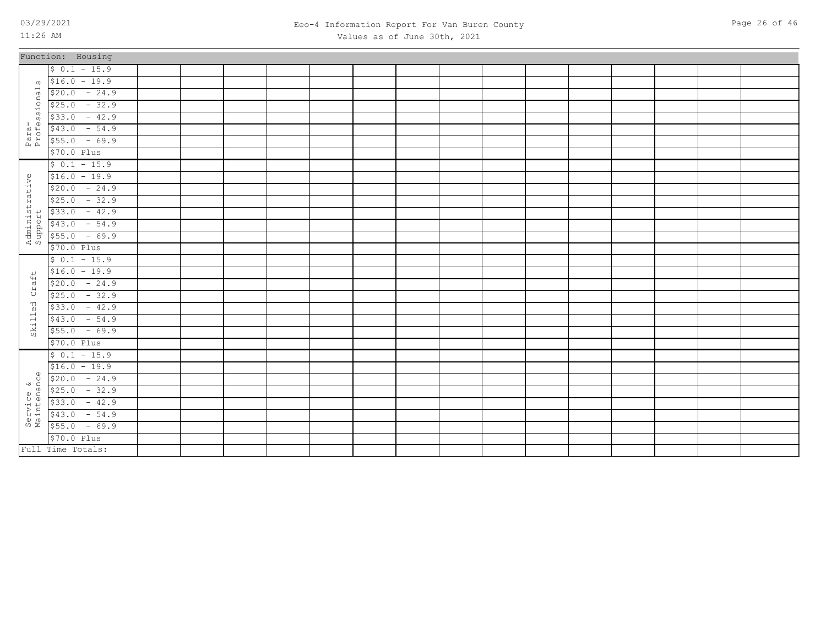Function: 1

 $$70.0$  $$55.0$  $$43.0$  $$33.0$  $$25.0$  $$20.0$  $$16.0$  $$ 0.1$ 

 $$70.0$  $$55.0$  $$43.0$  $$33.0$  $$25.0$  $$20.0$  $$16.0$  $$ 0.1$ 

 $$70.0$  $$55.0$  $$43.0$  $$33.0$  $$25.0$  $$20.0$  $$16.0$  $$ 0.1$ 

 $$33.0$  $$25.0$  $$20.0$  $$16.0$  $$ 0.1$ 

Full Time Totals:

\$70.0 Plus  $$55.0$  - 69.9  $$43.0$  - 54.9

11:26 AM

Para-<br>Professionals Professionals

Administrative Administrative<br>Support

Skilled Craft

Skilled

 $Craft$ 

Service &<br>Maintenance Maintenance

### 03/29/2021 Page 26 of 46 Eeo-4 Information Report For Van Buren County Values as of June 30th, 2021

| lousing |  |  |  |  |  |  |  |  |
|---------|--|--|--|--|--|--|--|--|
| $-15.9$ |  |  |  |  |  |  |  |  |
| $-19.9$ |  |  |  |  |  |  |  |  |
| $-24.9$ |  |  |  |  |  |  |  |  |
| $-32.9$ |  |  |  |  |  |  |  |  |
| $-42.9$ |  |  |  |  |  |  |  |  |
| $-54.9$ |  |  |  |  |  |  |  |  |
| $-69.9$ |  |  |  |  |  |  |  |  |
| Plus    |  |  |  |  |  |  |  |  |
| $-15.9$ |  |  |  |  |  |  |  |  |
| $-19.9$ |  |  |  |  |  |  |  |  |
| $-24.9$ |  |  |  |  |  |  |  |  |
| $-32.9$ |  |  |  |  |  |  |  |  |
| $-42.9$ |  |  |  |  |  |  |  |  |
| $-54.9$ |  |  |  |  |  |  |  |  |
| $-69.9$ |  |  |  |  |  |  |  |  |
| Plus    |  |  |  |  |  |  |  |  |
| $-15.9$ |  |  |  |  |  |  |  |  |
| $-19.9$ |  |  |  |  |  |  |  |  |
| $-24.9$ |  |  |  |  |  |  |  |  |
| $-32.9$ |  |  |  |  |  |  |  |  |
| $-42.9$ |  |  |  |  |  |  |  |  |
| $-54.9$ |  |  |  |  |  |  |  |  |
| $-69.9$ |  |  |  |  |  |  |  |  |
| Plus    |  |  |  |  |  |  |  |  |
| $-15.9$ |  |  |  |  |  |  |  |  |
| $-19.9$ |  |  |  |  |  |  |  |  |
| $-24.9$ |  |  |  |  |  |  |  |  |
| $-32.9$ |  |  |  |  |  |  |  |  |
| $-42.9$ |  |  |  |  |  |  |  |  |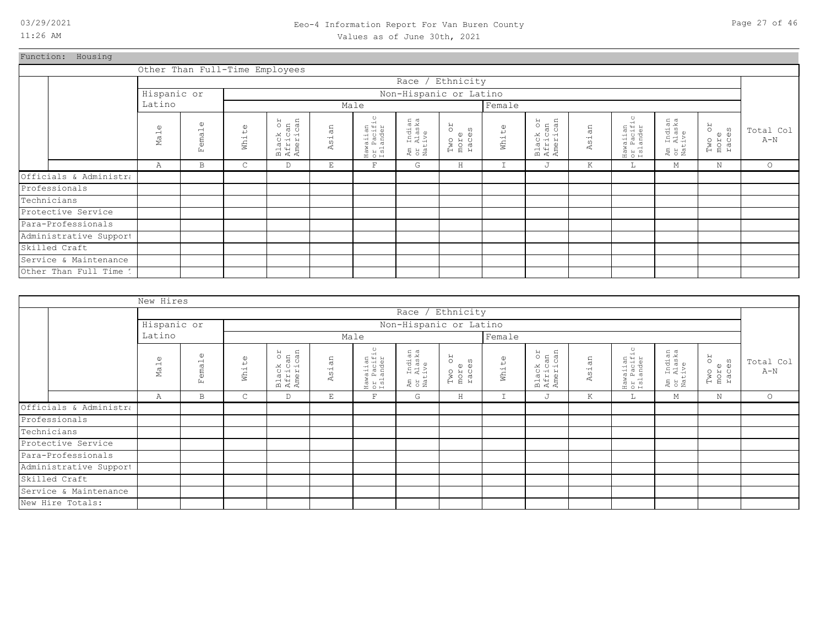### 03/29/2021 Page 27 of 46 Eeo-4 Information Report For Van Buren County Values as of June 30th, 2021

Function: Housing

|                        |                                |                            |                       | Other Than Full-Time Employees  |                          |                                    |                                  |                                      |             |                                 |            |                                                           |                                              |                                 |                    |
|------------------------|--------------------------------|----------------------------|-----------------------|---------------------------------|--------------------------|------------------------------------|----------------------------------|--------------------------------------|-------------|---------------------------------|------------|-----------------------------------------------------------|----------------------------------------------|---------------------------------|--------------------|
|                        |                                |                            |                       |                                 |                          |                                    | Race / Ethnicity                 |                                      |             |                                 |            |                                                           |                                              |                                 |                    |
|                        | Hispanic or                    |                            |                       |                                 |                          |                                    | Non-Hispanic or Latino           |                                      |             |                                 |            |                                                           |                                              |                                 |                    |
|                        | Latino                         |                            |                       |                                 |                          | Male                               |                                  |                                      | Female      |                                 |            |                                                           |                                              |                                 |                    |
|                        | $\mathbb U$<br>Ma <sub>1</sub> | $\mathbb{O}$<br>emal<br>Ŀ. | $\mathbb{O}$<br>White | Black or<br>African<br>American | an<br>Asi                | Hawaiian<br>or Pacific<br>Islander | Am Indian<br>or Alaska<br>Native | <b>ZO</b><br>Two or<br>more<br>races | White       | Black or<br>African<br>American | an<br>Asi. | $\ddot{\phantom{0}}$<br>Hawaiian<br>or Pacifi<br>Islander | . Indian<br>. Alaska<br>.tive<br>អ្នក<br>មាន | RO<br>ω<br>Two<br>more<br>races | Total Col<br>$A-N$ |
|                        | Α                              | B                          | $\mathsf{C}$          | D                               | $\mathop{}\mathopen{} E$ | $\mathbf F$                        | G                                | $\rm H$                              | $\mathbf I$ | J                               | K          | ш.                                                        | М                                            | N                               | $\circ$            |
| Officials & Administra |                                |                            |                       |                                 |                          |                                    |                                  |                                      |             |                                 |            |                                                           |                                              |                                 |                    |
| Professionals          |                                |                            |                       |                                 |                          |                                    |                                  |                                      |             |                                 |            |                                                           |                                              |                                 |                    |
| Technicians            |                                |                            |                       |                                 |                          |                                    |                                  |                                      |             |                                 |            |                                                           |                                              |                                 |                    |
| Protective Service     |                                |                            |                       |                                 |                          |                                    |                                  |                                      |             |                                 |            |                                                           |                                              |                                 |                    |
| Para-Professionals     |                                |                            |                       |                                 |                          |                                    |                                  |                                      |             |                                 |            |                                                           |                                              |                                 |                    |
| Administrative Support |                                |                            |                       |                                 |                          |                                    |                                  |                                      |             |                                 |            |                                                           |                                              |                                 |                    |
| Skilled Craft          |                                |                            |                       |                                 |                          |                                    |                                  |                                      |             |                                 |            |                                                           |                                              |                                 |                    |
| Service & Maintenance  |                                |                            |                       |                                 |                          |                                    |                                  |                                      |             |                                 |            |                                                           |                                              |                                 |                    |
| Other Than Full Time 1 |                                |                            |                       |                                 |                          |                                    |                                  |                                      |             |                                 |            |                                                           |                                              |                                 |                    |

|                        | New Hires             |                           |                      |                                 |           |                                    |                                  |                               |              |                                 |            |                                    |                                  |                                 |                    |
|------------------------|-----------------------|---------------------------|----------------------|---------------------------------|-----------|------------------------------------|----------------------------------|-------------------------------|--------------|---------------------------------|------------|------------------------------------|----------------------------------|---------------------------------|--------------------|
|                        |                       |                           |                      |                                 |           |                                    |                                  | Race / Ethnicity              |              |                                 |            |                                    |                                  |                                 |                    |
|                        | Hispanic or           |                           |                      |                                 |           |                                    |                                  | Non-Hispanic or Latino        |              |                                 |            |                                    |                                  |                                 |                    |
|                        | Latino                |                           |                      |                                 |           | Male                               |                                  |                               | Female       |                                 |            |                                    |                                  |                                 |                    |
|                        | $\mathbb U$<br>$M$ al | $\mathbb U$<br>emal<br>Ŀц | $\mathbb U$<br>White | Black or<br>African<br>American | άn<br>Asi | Hawaiian<br>or Pacific<br>Islander | Am Indian<br>or Alaska<br>Native | RO<br>Two or<br>more<br>races | White        | Black or<br>African<br>American | Asian      | Hawaiian<br>or Pacific<br>Islander | Am Indian<br>or Alaska<br>Native | RO<br>ω<br>Two<br>more<br>races | Total Col<br>$A-N$ |
|                        | Α                     | B                         | $\mathsf{C}$         | D                               | E         | $\mathbf{F}$                       | G                                | H                             | $\mathbf{r}$ | J                               | $_{\rm K}$ | L                                  | М                                | N                               | $\circ$            |
| Officials & Administra |                       |                           |                      |                                 |           |                                    |                                  |                               |              |                                 |            |                                    |                                  |                                 |                    |
| Professionals          |                       |                           |                      |                                 |           |                                    |                                  |                               |              |                                 |            |                                    |                                  |                                 |                    |
| Technicians            |                       |                           |                      |                                 |           |                                    |                                  |                               |              |                                 |            |                                    |                                  |                                 |                    |
| Protective Service     |                       |                           |                      |                                 |           |                                    |                                  |                               |              |                                 |            |                                    |                                  |                                 |                    |
| Para-Professionals     |                       |                           |                      |                                 |           |                                    |                                  |                               |              |                                 |            |                                    |                                  |                                 |                    |
| Administrative Support |                       |                           |                      |                                 |           |                                    |                                  |                               |              |                                 |            |                                    |                                  |                                 |                    |
| Skilled Craft          |                       |                           |                      |                                 |           |                                    |                                  |                               |              |                                 |            |                                    |                                  |                                 |                    |
| Service & Maintenance  |                       |                           |                      |                                 |           |                                    |                                  |                               |              |                                 |            |                                    |                                  |                                 |                    |
| New Hire Totals:       |                       |                           |                      |                                 |           |                                    |                                  |                               |              |                                 |            |                                    |                                  |                                 |                    |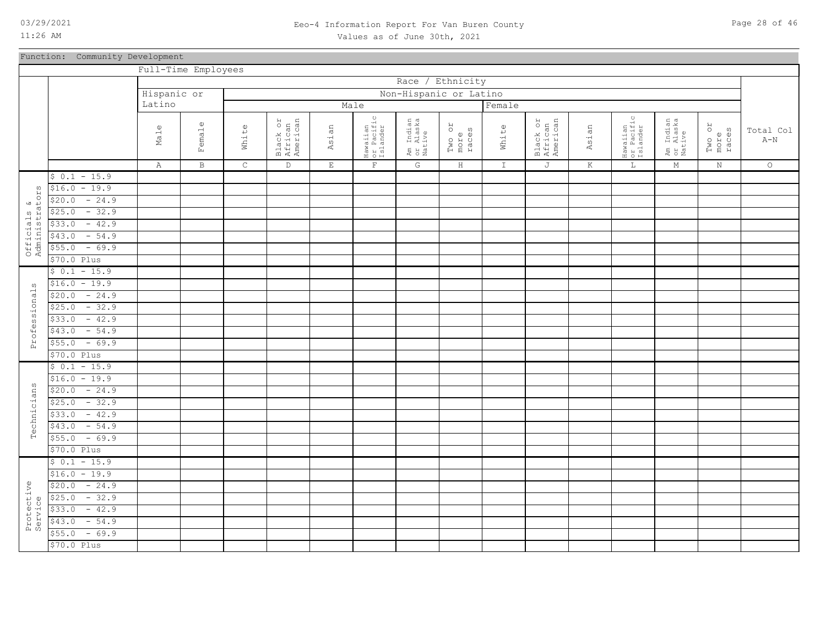### 03/29/2021 Page 28 of 46 Eeo-4 Information Report For Van Buren County Values as of June 30th, 2021

### Function: Community Development

|                               |                   | Full-Time Employees         |                   |              |                                 |             |                                    |                                  |                               |               |                                 |         |                                               |                                  |                         |                                      |
|-------------------------------|-------------------|-----------------------------|-------------------|--------------|---------------------------------|-------------|------------------------------------|----------------------------------|-------------------------------|---------------|---------------------------------|---------|-----------------------------------------------|----------------------------------|-------------------------|--------------------------------------|
|                               |                   |                             |                   |              |                                 |             |                                    | Race                             | / Ethnicity                   |               |                                 |         |                                               |                                  |                         |                                      |
|                               |                   | Hispanic or                 |                   |              |                                 |             |                                    | Non-Hispanic or Latino           |                               |               |                                 |         |                                               |                                  |                         |                                      |
|                               |                   | Latino                      |                   |              |                                 | Male        |                                    |                                  |                               | Female        |                                 |         |                                               |                                  |                         |                                      |
|                               |                   | $\omega$<br>Ma <sub>1</sub> | $\omega$<br>emale | White        | Black or<br>African<br>American | Asian       | Hawaiian<br>or Pacific<br>Islander | Am Indian<br>or Alaska<br>Native | RO<br>Two or<br>more<br>races | White         | Black or<br>African<br>American | Asian   | $\circ$<br>Hawaiian<br>or Pacific<br>Islander | Am Indian<br>or Alaska<br>Native | Two or<br>more<br>races | Total Col<br>$\mbox{\AA}-\mbox{\AA}$ |
|                               |                   |                             | Ŀц                |              |                                 |             |                                    |                                  |                               |               |                                 |         |                                               |                                  |                         |                                      |
|                               |                   | $\mathbb{A}$                | $\, {\bf B}$      | $\mathsf{C}$ | $\mathbb D$                     | $\mathbf E$ | $\mathbb F$                        | ${\mathsf G}$                    | $\, {\rm H}$                  | $\mathbbm{1}$ | $\mathbb J$                     | $\rm K$ | $\mathbb L$                                   | $\mathbb M$                      | $\mathbf N$             | $\circ$                              |
|                               | $$0.1 - 15.9$     |                             |                   |              |                                 |             |                                    |                                  |                               |               |                                 |         |                                               |                                  |                         |                                      |
|                               | $$16.0 - 19.9$    |                             |                   |              |                                 |             |                                    |                                  |                               |               |                                 |         |                                               |                                  |                         |                                      |
|                               | $-24.9$<br>\$20.0 |                             |                   |              |                                 |             |                                    |                                  |                               |               |                                 |         |                                               |                                  |                         |                                      |
|                               | $-32.9$<br>\$25.0 |                             |                   |              |                                 |             |                                    |                                  |                               |               |                                 |         |                                               |                                  |                         |                                      |
|                               | $-42.9$<br>\$33.0 |                             |                   |              |                                 |             |                                    |                                  |                               |               |                                 |         |                                               |                                  |                         |                                      |
| Officials &<br>Administrators | $-54.9$<br>\$43.0 |                             |                   |              |                                 |             |                                    |                                  |                               |               |                                 |         |                                               |                                  |                         |                                      |
|                               | $-69.9$<br>\$55.0 |                             |                   |              |                                 |             |                                    |                                  |                               |               |                                 |         |                                               |                                  |                         |                                      |
|                               | \$70.0 Plus       |                             |                   |              |                                 |             |                                    |                                  |                               |               |                                 |         |                                               |                                  |                         |                                      |
|                               | $$0.1 - 15.9$     |                             |                   |              |                                 |             |                                    |                                  |                               |               |                                 |         |                                               |                                  |                         |                                      |
| ω                             | $$16.0 - 19.9$    |                             |                   |              |                                 |             |                                    |                                  |                               |               |                                 |         |                                               |                                  |                         |                                      |
|                               | $-24.9$<br>\$20.0 |                             |                   |              |                                 |             |                                    |                                  |                               |               |                                 |         |                                               |                                  |                         |                                      |
|                               | $-32.9$<br>\$25.0 |                             |                   |              |                                 |             |                                    |                                  |                               |               |                                 |         |                                               |                                  |                         |                                      |
|                               | $-42.9$<br>\$33.0 |                             |                   |              |                                 |             |                                    |                                  |                               |               |                                 |         |                                               |                                  |                         |                                      |
|                               | $-54.9$<br>\$43.0 |                             |                   |              |                                 |             |                                    |                                  |                               |               |                                 |         |                                               |                                  |                         |                                      |
| Professional                  | $-69.9$<br>\$55.0 |                             |                   |              |                                 |             |                                    |                                  |                               |               |                                 |         |                                               |                                  |                         |                                      |
|                               | \$70.0 Plus       |                             |                   |              |                                 |             |                                    |                                  |                               |               |                                 |         |                                               |                                  |                         |                                      |
|                               | $$0.1 - 15.9$     |                             |                   |              |                                 |             |                                    |                                  |                               |               |                                 |         |                                               |                                  |                         |                                      |
|                               | $$16.0 - 19.9$    |                             |                   |              |                                 |             |                                    |                                  |                               |               |                                 |         |                                               |                                  |                         |                                      |
|                               | $-24.9$<br>\$20.0 |                             |                   |              |                                 |             |                                    |                                  |                               |               |                                 |         |                                               |                                  |                         |                                      |
| Technicians                   | $-32.9$<br>\$25.0 |                             |                   |              |                                 |             |                                    |                                  |                               |               |                                 |         |                                               |                                  |                         |                                      |
|                               | $-42.9$<br>\$33.0 |                             |                   |              |                                 |             |                                    |                                  |                               |               |                                 |         |                                               |                                  |                         |                                      |
|                               | $-54.9$<br>\$43.0 |                             |                   |              |                                 |             |                                    |                                  |                               |               |                                 |         |                                               |                                  |                         |                                      |
|                               | $-69.9$<br>\$55.0 |                             |                   |              |                                 |             |                                    |                                  |                               |               |                                 |         |                                               |                                  |                         |                                      |
|                               | \$70.0 Plus       |                             |                   |              |                                 |             |                                    |                                  |                               |               |                                 |         |                                               |                                  |                         |                                      |
|                               | $$0.1 - 15.9$     |                             |                   |              |                                 |             |                                    |                                  |                               |               |                                 |         |                                               |                                  |                         |                                      |
|                               | $$16.0 - 19.9$    |                             |                   |              |                                 |             |                                    |                                  |                               |               |                                 |         |                                               |                                  |                         |                                      |
| Protective<br>Service         | $-24.9$<br>\$20.0 |                             |                   |              |                                 |             |                                    |                                  |                               |               |                                 |         |                                               |                                  |                         |                                      |
|                               | $-32.9$<br>\$25.0 |                             |                   |              |                                 |             |                                    |                                  |                               |               |                                 |         |                                               |                                  |                         |                                      |
|                               | $-42.9$<br>\$33.0 |                             |                   |              |                                 |             |                                    |                                  |                               |               |                                 |         |                                               |                                  |                         |                                      |
|                               | $-54.9$<br>\$43.0 |                             |                   |              |                                 |             |                                    |                                  |                               |               |                                 |         |                                               |                                  |                         |                                      |
|                               | $-69.9$<br>\$55.0 |                             |                   |              |                                 |             |                                    |                                  |                               |               |                                 |         |                                               |                                  |                         |                                      |
|                               | \$70.0 Plus       |                             |                   |              |                                 |             |                                    |                                  |                               |               |                                 |         |                                               |                                  |                         |                                      |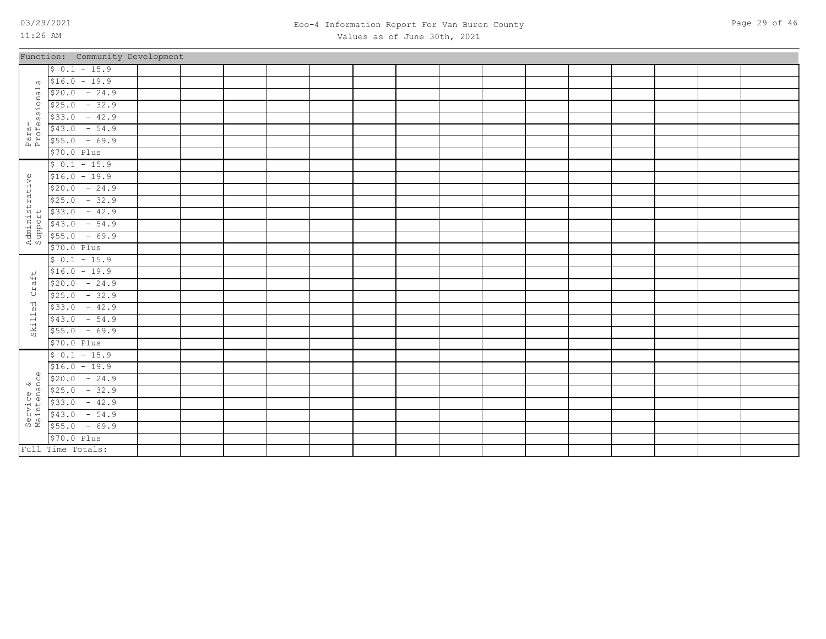Full Time Totals:

### 03/29/2021 Page 29 of 46 Eeo-4 Information Report For Van Buren County Values as of June 30th, 2021

|                           | Function: Community Development |  |  |  |  |  |  |  |  |
|---------------------------|---------------------------------|--|--|--|--|--|--|--|--|
|                           | $$0.1 - 15.9$                   |  |  |  |  |  |  |  |  |
| $\Omega$                  | $$16.0 - 19.9$                  |  |  |  |  |  |  |  |  |
|                           | $$20.0 - 24.9$                  |  |  |  |  |  |  |  |  |
| ional                     | $$25.0 - 32.9$                  |  |  |  |  |  |  |  |  |
|                           | $$33.0 - 42.9$                  |  |  |  |  |  |  |  |  |
| Para-<br>Professi         | $$43.0 - 54.9$                  |  |  |  |  |  |  |  |  |
|                           | $$55.0 - 69.9$                  |  |  |  |  |  |  |  |  |
|                           | $$70.0$ Plus                    |  |  |  |  |  |  |  |  |
|                           | $$0.1 - 15.9$                   |  |  |  |  |  |  |  |  |
|                           | $$16.0 - 19.9$                  |  |  |  |  |  |  |  |  |
|                           | $$20.0 - 24.9$                  |  |  |  |  |  |  |  |  |
|                           | $$25.0 - 32.9$                  |  |  |  |  |  |  |  |  |
|                           | $$33.0 - 42.9$                  |  |  |  |  |  |  |  |  |
|                           | $$43.0$ - 54.9                  |  |  |  |  |  |  |  |  |
| Administrative<br>Support | $$55.0 - 69.9$                  |  |  |  |  |  |  |  |  |
|                           | $$70.0$ Plus                    |  |  |  |  |  |  |  |  |
|                           | $$0.1 - 15.9$                   |  |  |  |  |  |  |  |  |
|                           | $$16.0 - 19.9$                  |  |  |  |  |  |  |  |  |
| Craft                     | $$20.0 - 24.9$                  |  |  |  |  |  |  |  |  |
|                           | $$25.0 - 32.9$                  |  |  |  |  |  |  |  |  |
| Skilled                   | $$33.0 - 42.9$                  |  |  |  |  |  |  |  |  |
|                           | $$43.0 - 54.9$                  |  |  |  |  |  |  |  |  |
|                           | $$55.0 - 69.9$                  |  |  |  |  |  |  |  |  |
|                           | \$70.0 Plus                     |  |  |  |  |  |  |  |  |
|                           | $$0.1 - 15.9$                   |  |  |  |  |  |  |  |  |
|                           | $$16.0 - 19.9$                  |  |  |  |  |  |  |  |  |
| $\mathbb{Q}$              | $$20.0 - 24.9$                  |  |  |  |  |  |  |  |  |
|                           | $$25.0 - 32.9$                  |  |  |  |  |  |  |  |  |
| Service &<br>Maintenance  | $$33.0 - 42.9$                  |  |  |  |  |  |  |  |  |
|                           | $$43.0 - 54.9$                  |  |  |  |  |  |  |  |  |
|                           | $$55.0 - 69.9$                  |  |  |  |  |  |  |  |  |
|                           | \$70.0 Plus                     |  |  |  |  |  |  |  |  |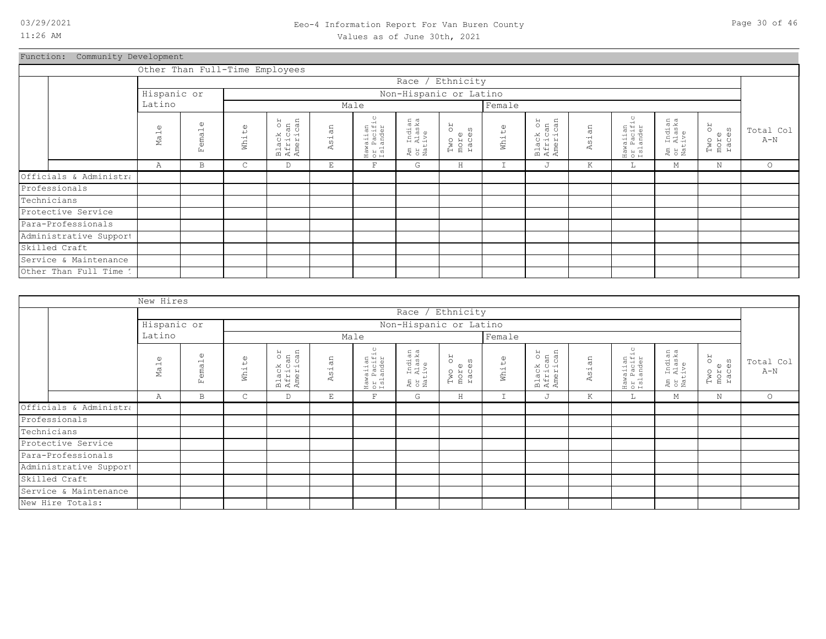# Function: Community Development

|                        |                                |                   |       | Other Than Full-Time Employees  |                           |                                    |                                  |                               |               |                                 |       |                                               |                                  |                               |                    |
|------------------------|--------------------------------|-------------------|-------|---------------------------------|---------------------------|------------------------------------|----------------------------------|-------------------------------|---------------|---------------------------------|-------|-----------------------------------------------|----------------------------------|-------------------------------|--------------------|
|                        |                                |                   |       |                                 |                           |                                    | Race / Ethnicity                 |                               |               |                                 |       |                                               |                                  |                               |                    |
|                        | Hispanic or                    |                   |       |                                 |                           |                                    | Non-Hispanic or Latino           |                               |               |                                 |       |                                               |                                  |                               |                    |
|                        | Latino                         |                   |       |                                 |                           | Male                               |                                  |                               | Female        |                                 |       |                                               |                                  |                               |                    |
|                        | $\mathbb U$<br>Ma <sub>1</sub> | (1)<br>emal<br>Ŀц | White | Black or<br>African<br>American | an<br>$\frac{1}{2}$<br>K, | Hawaiian<br>or Pacific<br>Islander | Am Indian<br>or Alaska<br>Native | RO<br>Two oi<br>more<br>races | White         | Black or<br>African<br>American | Asian | $\circ$<br>Hawaiian<br>or Pacific<br>Islander | Am Indian<br>or Alaska<br>Native | RO<br>Two or<br>more<br>races | Total Col<br>$A-N$ |
|                        | Α                              | B                 | C     | D                               | Ε                         | $\mathbf{F}$                       | G                                | H                             | $\mathbbm{I}$ | J                               | Κ     | Щ.                                            | М                                | N                             | $\circ$            |
| Officials & Administra |                                |                   |       |                                 |                           |                                    |                                  |                               |               |                                 |       |                                               |                                  |                               |                    |
| Professionals          |                                |                   |       |                                 |                           |                                    |                                  |                               |               |                                 |       |                                               |                                  |                               |                    |
| Technicians            |                                |                   |       |                                 |                           |                                    |                                  |                               |               |                                 |       |                                               |                                  |                               |                    |
| Protective Service     |                                |                   |       |                                 |                           |                                    |                                  |                               |               |                                 |       |                                               |                                  |                               |                    |
| Para-Professionals     |                                |                   |       |                                 |                           |                                    |                                  |                               |               |                                 |       |                                               |                                  |                               |                    |
| Administrative Support |                                |                   |       |                                 |                           |                                    |                                  |                               |               |                                 |       |                                               |                                  |                               |                    |
| Skilled Craft          |                                |                   |       |                                 |                           |                                    |                                  |                               |               |                                 |       |                                               |                                  |                               |                    |
| Service & Maintenance  |                                |                   |       |                                 |                           |                                    |                                  |                               |               |                                 |       |                                               |                                  |                               |                    |
| Other Than Full Time 1 |                                |                   |       |                                 |                           |                                    |                                  |                               |               |                                 |       |                                               |                                  |                               |                    |

|                        | New Hires          |                            |       |                                 |       |                                    |                                  |                               |               |                                 |       |                                    |                                                       |                               |                    |
|------------------------|--------------------|----------------------------|-------|---------------------------------|-------|------------------------------------|----------------------------------|-------------------------------|---------------|---------------------------------|-------|------------------------------------|-------------------------------------------------------|-------------------------------|--------------------|
|                        |                    |                            |       |                                 |       |                                    |                                  | Race / Ethnicity              |               |                                 |       |                                    |                                                       |                               |                    |
|                        | Hispanic or        |                            |       |                                 |       |                                    |                                  | Non-Hispanic or Latino        |               |                                 |       |                                    |                                                       |                               |                    |
|                        | Latino             |                            |       |                                 |       | Male                               |                                  |                               | Female        |                                 |       |                                    |                                                       |                               |                    |
|                        | $\mathbb U$<br>Ma1 | $\mathbb{O}$<br>ema1<br>Ŀц | White | Black or<br>African<br>American | Asian | Hawaiian<br>or Pacific<br>Islander | Am Indian<br>or Alaska<br>Native | RO<br>Two on<br>more<br>races | White         | Black or<br>African<br>American | Asian | Hawaiian<br>or Pacific<br>Islander | ı Indian<br>: Alaska<br>.tive<br>Am<br>O Y d<br>N a t | RO<br>Two o:<br>more<br>races | Total Col<br>$A-N$ |
|                        | Α                  | B                          | C     | D                               | E     | $\mathbf F$                        | G                                | $\rm H$                       | $\mathbbm{I}$ | J                               | K     | ш.                                 | М                                                     | $\mathbf N$                   | $\circ$            |
| Officials & Administra |                    |                            |       |                                 |       |                                    |                                  |                               |               |                                 |       |                                    |                                                       |                               |                    |
| Professionals          |                    |                            |       |                                 |       |                                    |                                  |                               |               |                                 |       |                                    |                                                       |                               |                    |
| Technicians            |                    |                            |       |                                 |       |                                    |                                  |                               |               |                                 |       |                                    |                                                       |                               |                    |
| Protective Service     |                    |                            |       |                                 |       |                                    |                                  |                               |               |                                 |       |                                    |                                                       |                               |                    |
| Para-Professionals     |                    |                            |       |                                 |       |                                    |                                  |                               |               |                                 |       |                                    |                                                       |                               |                    |
| Administrative Support |                    |                            |       |                                 |       |                                    |                                  |                               |               |                                 |       |                                    |                                                       |                               |                    |
| Skilled Craft          |                    |                            |       |                                 |       |                                    |                                  |                               |               |                                 |       |                                    |                                                       |                               |                    |
| Service & Maintenance  |                    |                            |       |                                 |       |                                    |                                  |                               |               |                                 |       |                                    |                                                       |                               |                    |
| New Hire Totals:       |                    |                            |       |                                 |       |                                    |                                  |                               |               |                                 |       |                                    |                                                       |                               |                    |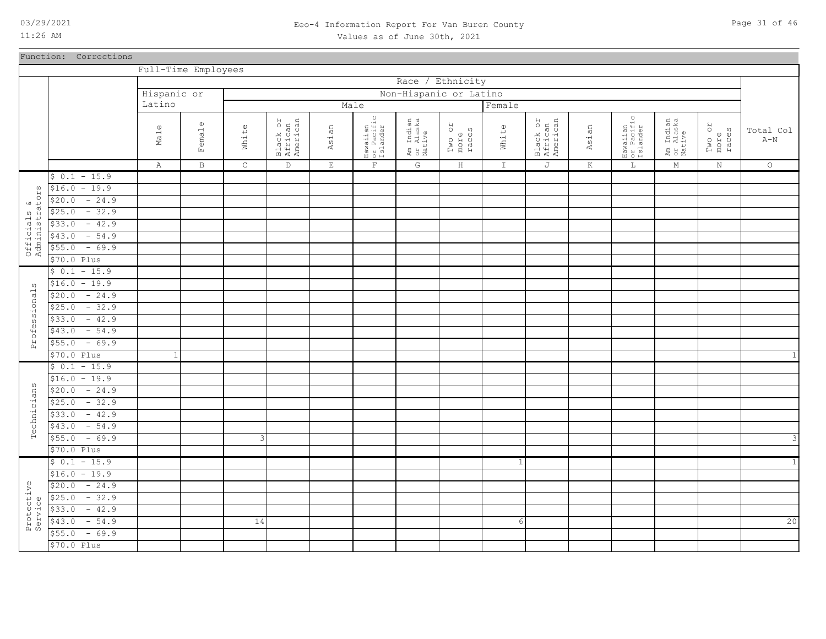### 03/29/2021 Page 31 of 46 Eeo-4 Information Report For Van Buren County Values as of June 30th, 2021

Function: Corrections

|                               |                   | Full-Time Employees         |                        |              |                                 |              |                                    |                                  |                               |              |                                 |       |                                    |                                  |                               |                                      |
|-------------------------------|-------------------|-----------------------------|------------------------|--------------|---------------------------------|--------------|------------------------------------|----------------------------------|-------------------------------|--------------|---------------------------------|-------|------------------------------------|----------------------------------|-------------------------------|--------------------------------------|
|                               |                   |                             |                        |              |                                 |              |                                    | Race /                           | Ethnicity                     |              |                                 |       |                                    |                                  |                               |                                      |
|                               |                   | Hispanic or                 |                        |              |                                 |              |                                    | Non-Hispanic or Latino           |                               |              |                                 |       |                                    |                                  |                               |                                      |
|                               |                   | Latino                      |                        |              |                                 |              | Male                               |                                  |                               | Female       |                                 |       |                                    |                                  |                               |                                      |
|                               |                   | $\omega$<br>Ma <sub>1</sub> | $\mathbbm{O}$<br>Femal | White        | Black or<br>African<br>American | Asian        | Hawaiian<br>or Pacific<br>Islander | Am Indian<br>or Alaska<br>Native | RO<br>Two or<br>more<br>races | White        | Black or<br>African<br>American | Asian | Hawaiian<br>or Pacific<br>Islander | Am Indian<br>or Alaska<br>Native | RO<br>Two or<br>more<br>races | Total Col<br>$\mbox{\AA}-\mbox{\AA}$ |
|                               |                   | Α                           | B                      | $\mathsf{C}$ | $\mathbb D$                     | $\mathbf{E}$ | $\mathbf{F}$                       | $\mathbb{G}$                     | H                             | $\mathbb{I}$ | J                               | К     | $\mathbb L$                        | М                                | $\,$ N                        | $\circ$                              |
|                               | $$0.1 - 15.9$     |                             |                        |              |                                 |              |                                    |                                  |                               |              |                                 |       |                                    |                                  |                               |                                      |
|                               | $$16.0 - 19.9$    |                             |                        |              |                                 |              |                                    |                                  |                               |              |                                 |       |                                    |                                  |                               |                                      |
|                               | \$20.0<br>$-24.9$ |                             |                        |              |                                 |              |                                    |                                  |                               |              |                                 |       |                                    |                                  |                               |                                      |
|                               | $-32.9$<br>\$25.0 |                             |                        |              |                                 |              |                                    |                                  |                               |              |                                 |       |                                    |                                  |                               |                                      |
|                               | \$33.0<br>$-42.9$ |                             |                        |              |                                 |              |                                    |                                  |                               |              |                                 |       |                                    |                                  |                               |                                      |
|                               | \$43.0<br>$-54.9$ |                             |                        |              |                                 |              |                                    |                                  |                               |              |                                 |       |                                    |                                  |                               |                                      |
| Officials &<br>Administrators | $-69.9$<br>\$55.0 |                             |                        |              |                                 |              |                                    |                                  |                               |              |                                 |       |                                    |                                  |                               |                                      |
|                               | $$70.0$ Plus      |                             |                        |              |                                 |              |                                    |                                  |                               |              |                                 |       |                                    |                                  |                               |                                      |
|                               | $$0.1 - 15.9$     |                             |                        |              |                                 |              |                                    |                                  |                               |              |                                 |       |                                    |                                  |                               |                                      |
| ω                             | $$16.0 - 19.9$    |                             |                        |              |                                 |              |                                    |                                  |                               |              |                                 |       |                                    |                                  |                               |                                      |
| Professional                  | $-24.9$<br>\$20.0 |                             |                        |              |                                 |              |                                    |                                  |                               |              |                                 |       |                                    |                                  |                               |                                      |
|                               | $-32.9$<br>\$25.0 |                             |                        |              |                                 |              |                                    |                                  |                               |              |                                 |       |                                    |                                  |                               |                                      |
|                               | $-42.9$<br>\$33.0 |                             |                        |              |                                 |              |                                    |                                  |                               |              |                                 |       |                                    |                                  |                               |                                      |
|                               | $-54.9$<br>\$43.0 |                             |                        |              |                                 |              |                                    |                                  |                               |              |                                 |       |                                    |                                  |                               |                                      |
|                               | $$55.0 - 69.9$    |                             |                        |              |                                 |              |                                    |                                  |                               |              |                                 |       |                                    |                                  |                               |                                      |
|                               | \$70.0 Plus       | $\mathbf{1}$                |                        |              |                                 |              |                                    |                                  |                               |              |                                 |       |                                    |                                  |                               | $\mathbf{1}$                         |
|                               | $$0.1 - 15.9$     |                             |                        |              |                                 |              |                                    |                                  |                               |              |                                 |       |                                    |                                  |                               |                                      |
|                               | $$16.0 - 19.9$    |                             |                        |              |                                 |              |                                    |                                  |                               |              |                                 |       |                                    |                                  |                               |                                      |
|                               | $-24.9$<br>\$20.0 |                             |                        |              |                                 |              |                                    |                                  |                               |              |                                 |       |                                    |                                  |                               |                                      |
| Technicians                   | $$25.0 - 32.9$    |                             |                        |              |                                 |              |                                    |                                  |                               |              |                                 |       |                                    |                                  |                               |                                      |
|                               | $-42.9$<br>\$33.0 |                             |                        |              |                                 |              |                                    |                                  |                               |              |                                 |       |                                    |                                  |                               |                                      |
|                               | $-54.9$<br>\$43.0 |                             |                        |              |                                 |              |                                    |                                  |                               |              |                                 |       |                                    |                                  |                               |                                      |
|                               | $$55.0 - 69.9$    |                             |                        | 3            |                                 |              |                                    |                                  |                               |              |                                 |       |                                    |                                  |                               | $\mathsf 3$                          |
|                               | \$70.0 Plus       |                             |                        |              |                                 |              |                                    |                                  |                               |              |                                 |       |                                    |                                  |                               |                                      |
|                               | $$0.1 - 15.9$     |                             |                        |              |                                 |              |                                    |                                  |                               | $\mathbf{1}$ |                                 |       |                                    |                                  |                               | $\mathbf 1$                          |
|                               | $$16.0 - 19.9$    |                             |                        |              |                                 |              |                                    |                                  |                               |              |                                 |       |                                    |                                  |                               |                                      |
|                               | $-24.9$<br>\$20.0 |                             |                        |              |                                 |              |                                    |                                  |                               |              |                                 |       |                                    |                                  |                               |                                      |
|                               | $-32.9$<br>\$25.0 |                             |                        |              |                                 |              |                                    |                                  |                               |              |                                 |       |                                    |                                  |                               |                                      |
| Protective<br>Service         | $-42.9$<br>\$33.0 |                             |                        |              |                                 |              |                                    |                                  |                               |              |                                 |       |                                    |                                  |                               |                                      |
|                               | \$43.0<br>$-54.9$ |                             |                        | 14           |                                 |              |                                    |                                  |                               | 6            |                                 |       |                                    |                                  |                               | 20                                   |
|                               | $-69.9$<br>\$55.0 |                             |                        |              |                                 |              |                                    |                                  |                               |              |                                 |       |                                    |                                  |                               |                                      |
|                               | \$70.0 Plus       |                             |                        |              |                                 |              |                                    |                                  |                               |              |                                 |       |                                    |                                  |                               |                                      |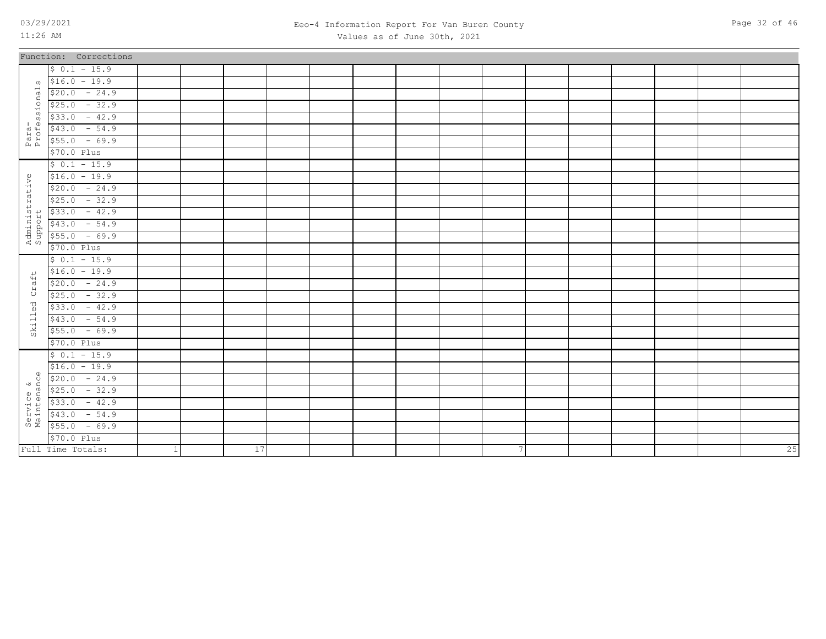Full Time Totals:

1 17

### 03/29/2021 Page 32 of 46 Eeo-4 Information Report For Van Buren County Values as of June 30th, 2021

|                           | Function: Corrections |  |  |  |  |  |  |  |  |
|---------------------------|-----------------------|--|--|--|--|--|--|--|--|
|                           | $$0.1 - 15.9$         |  |  |  |  |  |  |  |  |
|                           | $\sqrt{516.0}$ - 19.9 |  |  |  |  |  |  |  |  |
|                           | $$20.0 - 24.9$        |  |  |  |  |  |  |  |  |
|                           | $$25.0 - 32.9$        |  |  |  |  |  |  |  |  |
|                           | $$33.0 - 42.9$        |  |  |  |  |  |  |  |  |
| Para-<br>Professionals    | $$43.0 - 54.9$        |  |  |  |  |  |  |  |  |
|                           | $$55.0 - 69.9$        |  |  |  |  |  |  |  |  |
|                           | \$70.0 Plus           |  |  |  |  |  |  |  |  |
|                           | $$0.1 - 15.9$         |  |  |  |  |  |  |  |  |
|                           | $$16.0 - 19.9$        |  |  |  |  |  |  |  |  |
|                           | $$20.0 - 24.9$        |  |  |  |  |  |  |  |  |
| Administrative<br>Support | $$25.0 - 32.9$        |  |  |  |  |  |  |  |  |
|                           | $$33.0 - 42.9$        |  |  |  |  |  |  |  |  |
|                           | $$43.0 - 54.9$        |  |  |  |  |  |  |  |  |
|                           | $$55.0 - 69.9$        |  |  |  |  |  |  |  |  |
|                           | \$70.0 Plus           |  |  |  |  |  |  |  |  |
|                           | $$0.1 - 15.9$         |  |  |  |  |  |  |  |  |
| $\overline{v}$            | $$16.0 - 19.9$        |  |  |  |  |  |  |  |  |
| $\ddot{a}$                | $$20.0 - 24.9$        |  |  |  |  |  |  |  |  |
| ά,                        | $$25.0 - 32.9$        |  |  |  |  |  |  |  |  |
| Skilled                   | $$33.0 - 42.9$        |  |  |  |  |  |  |  |  |
|                           | $$43.0 - 54.9$        |  |  |  |  |  |  |  |  |
|                           | $$55.0 - 69.9$        |  |  |  |  |  |  |  |  |
|                           | \$70.0 Plus           |  |  |  |  |  |  |  |  |
|                           | $$0.1 - 15.9$         |  |  |  |  |  |  |  |  |
|                           | $$16.0 - 19.9$        |  |  |  |  |  |  |  |  |
| $\omega$                  | $$20.0 - 24.9$        |  |  |  |  |  |  |  |  |
|                           | $$25.0 - 32.9$        |  |  |  |  |  |  |  |  |
| Service &<br>Maintenance  | $$33.0 - 42.9$        |  |  |  |  |  |  |  |  |
|                           | $$43.0 - 54.9$        |  |  |  |  |  |  |  |  |
|                           | $$55.0 - 69.9$        |  |  |  |  |  |  |  |  |
|                           | \$70.0 Plus           |  |  |  |  |  |  |  |  |

7 25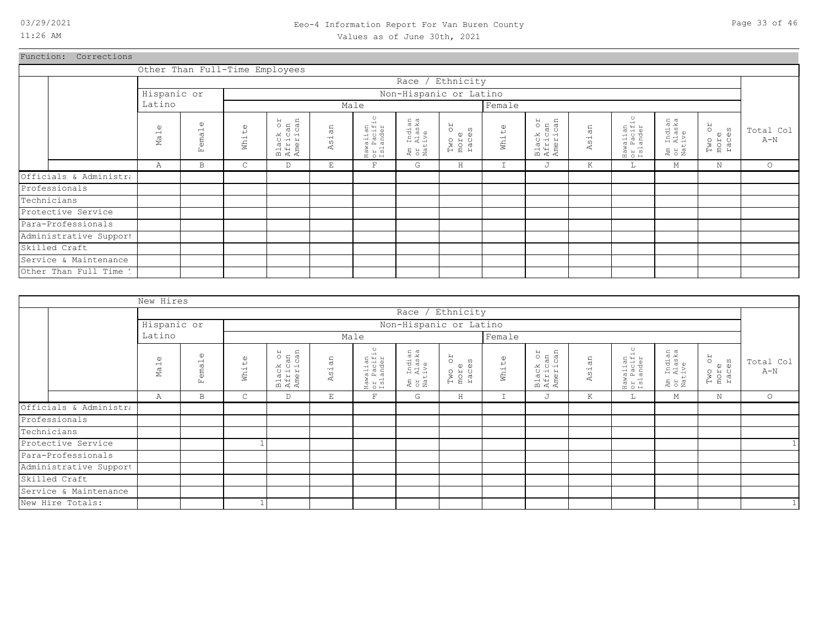### 03/29/2021 Page 33 of 46 Eeo-4 Information Report For Van Buren County Values as of June 30th, 2021

Function: Corrections

| Total Col<br>$A-N$                 |
|------------------------------------|
| $\circ$                            |
|                                    |
|                                    |
|                                    |
|                                    |
|                                    |
|                                    |
|                                    |
|                                    |
|                                    |
| Two or<br>more<br>races<br>$\rm N$ |

|                        | New Hires                   |                                                   |                                  |                                 |                              |                                    |                                  |                               |        |                                 |       |                                    |                                  |                         |                    |
|------------------------|-----------------------------|---------------------------------------------------|----------------------------------|---------------------------------|------------------------------|------------------------------------|----------------------------------|-------------------------------|--------|---------------------------------|-------|------------------------------------|----------------------------------|-------------------------|--------------------|
|                        |                             |                                                   |                                  |                                 |                              |                                    |                                  | Race / Ethnicity              |        |                                 |       |                                    |                                  |                         |                    |
|                        | Hispanic or                 |                                                   |                                  |                                 |                              |                                    |                                  | Non-Hispanic or Latino        |        |                                 |       |                                    |                                  |                         |                    |
|                        | Latino                      |                                                   |                                  |                                 |                              | Male                               |                                  |                               | Female |                                 |       |                                    |                                  |                         |                    |
|                        | $\omega$<br>Ma <sub>1</sub> | $\omega$<br>$\overline{\phantom{0}}$<br>ema<br>Ŀц | $\mathbb{O}$<br>$\mapsto$<br>Wh1 | Black or<br>African<br>American | 2<br><b>LQ</b><br>$-$<br>As. | Hawaiian<br>or Pacific<br>Islander | Am Indian<br>or Alaska<br>Native | RO<br>Two or<br>more<br>races | White  | Black or<br>African<br>American | Asian | Hawaiian<br>or Pacific<br>Islander | Am Indian<br>or Alaska<br>Native | Two or<br>more<br>races | Total Col<br>$A-N$ |
|                        | Α                           | B                                                 | $\mathsf{C}$                     | D                               | $\mathop{}\mathopen{} E$     | F                                  | G                                | $\,$ H                        | I      | J                               | К     | L.                                 | М                                | N                       | $\circ$            |
| Officials & Administra |                             |                                                   |                                  |                                 |                              |                                    |                                  |                               |        |                                 |       |                                    |                                  |                         |                    |
| Professionals          |                             |                                                   |                                  |                                 |                              |                                    |                                  |                               |        |                                 |       |                                    |                                  |                         |                    |
| Technicians            |                             |                                                   |                                  |                                 |                              |                                    |                                  |                               |        |                                 |       |                                    |                                  |                         |                    |
| Protective Service     |                             |                                                   |                                  |                                 |                              |                                    |                                  |                               |        |                                 |       |                                    |                                  |                         |                    |
| Para-Professionals     |                             |                                                   |                                  |                                 |                              |                                    |                                  |                               |        |                                 |       |                                    |                                  |                         |                    |
| Administrative Support |                             |                                                   |                                  |                                 |                              |                                    |                                  |                               |        |                                 |       |                                    |                                  |                         |                    |
| Skilled Craft          |                             |                                                   |                                  |                                 |                              |                                    |                                  |                               |        |                                 |       |                                    |                                  |                         |                    |
| Service & Maintenance  |                             |                                                   |                                  |                                 |                              |                                    |                                  |                               |        |                                 |       |                                    |                                  |                         |                    |
| New Hire Totals:       |                             |                                                   |                                  |                                 |                              |                                    |                                  |                               |        |                                 |       |                                    |                                  |                         | $1\vert$           |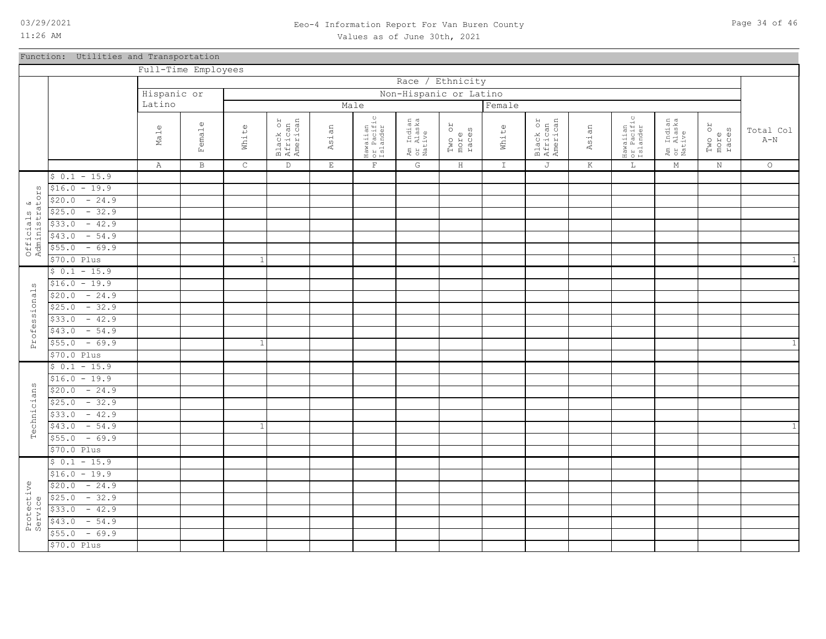### 03/29/2021 Page 34 of 46 Eeo-4 Information Report For Van Buren County Values as of June 30th, 2021

Function: Utilities and Transportation

|                               |                   | Full-Time Employees |              |             |                                 |             |                                    |                                  |                         |               |                                 |         |                                               |                                  |                         |                                      |
|-------------------------------|-------------------|---------------------|--------------|-------------|---------------------------------|-------------|------------------------------------|----------------------------------|-------------------------|---------------|---------------------------------|---------|-----------------------------------------------|----------------------------------|-------------------------|--------------------------------------|
|                               |                   |                     |              |             |                                 |             |                                    |                                  | Race / Ethnicity        |               |                                 |         |                                               |                                  |                         |                                      |
|                               |                   | Hispanic or         |              |             |                                 |             |                                    |                                  | Non-Hispanic or Latino  |               |                                 |         |                                               |                                  |                         |                                      |
|                               |                   | Latino              |              |             |                                 |             | Male                               |                                  |                         | Female        |                                 |         |                                               |                                  |                         |                                      |
|                               |                   | $\mathbb U$<br>Ma1  | Female       | White       | Black or<br>African<br>American | Asian       | Hawaiian<br>or Pacific<br>Islander | Am Indian<br>or Alaska<br>Native | Two or<br>more<br>races | White         | Black or<br>African<br>American | Asian   | $\circ$<br>Hawaiian<br>or Pacific<br>Islander | Am Indian<br>or Alaska<br>Native | Two or<br>more<br>races | Total Col<br>$\mbox{\AA}-\mbox{\AA}$ |
|                               |                   | Α                   | $\, {\bf B}$ | $\mathsf C$ | $\mathbb D$                     | $\mathbf E$ | $\mathbf F$                        | G                                | $\, {\rm H}$            | $\mathbbm{I}$ | J                               | $\rm K$ | $\mathbb L$                                   | М                                | $\rm N$                 | $\circ$                              |
|                               | $$0.1 - 15.9$     |                     |              |             |                                 |             |                                    |                                  |                         |               |                                 |         |                                               |                                  |                         |                                      |
|                               | $$16.0 - 19.9$    |                     |              |             |                                 |             |                                    |                                  |                         |               |                                 |         |                                               |                                  |                         |                                      |
|                               | $$20.0 - 24.9$    |                     |              |             |                                 |             |                                    |                                  |                         |               |                                 |         |                                               |                                  |                         |                                      |
|                               | $$25.0 - 32.9$    |                     |              |             |                                 |             |                                    |                                  |                         |               |                                 |         |                                               |                                  |                         |                                      |
|                               | $-42.9$<br>\$33.0 |                     |              |             |                                 |             |                                    |                                  |                         |               |                                 |         |                                               |                                  |                         |                                      |
|                               | $-54.9$<br>\$43.0 |                     |              |             |                                 |             |                                    |                                  |                         |               |                                 |         |                                               |                                  |                         |                                      |
| Officials &<br>Administrators | $-69.9$<br>\$55.0 |                     |              |             |                                 |             |                                    |                                  |                         |               |                                 |         |                                               |                                  |                         |                                      |
|                               | $$70.0$ Plus      |                     |              | -1          |                                 |             |                                    |                                  |                         |               |                                 |         |                                               |                                  |                         | $\mathbf{1}$                         |
|                               | $$0.1 - 15.9$     |                     |              |             |                                 |             |                                    |                                  |                         |               |                                 |         |                                               |                                  |                         |                                      |
| ω                             | $$16.0 - 19.9$    |                     |              |             |                                 |             |                                    |                                  |                         |               |                                 |         |                                               |                                  |                         |                                      |
|                               | $$20.0 - 24.9$    |                     |              |             |                                 |             |                                    |                                  |                         |               |                                 |         |                                               |                                  |                         |                                      |
|                               | $$25.0 - 32.9$    |                     |              |             |                                 |             |                                    |                                  |                         |               |                                 |         |                                               |                                  |                         |                                      |
|                               | $$33.0 - 42.9$    |                     |              |             |                                 |             |                                    |                                  |                         |               |                                 |         |                                               |                                  |                         |                                      |
|                               | $-54.9$<br>\$43.0 |                     |              |             |                                 |             |                                    |                                  |                         |               |                                 |         |                                               |                                  |                         |                                      |
| Professional                  | $-69.9$<br>\$55.0 |                     |              | -1          |                                 |             |                                    |                                  |                         |               |                                 |         |                                               |                                  |                         | $\mathbf{1}$                         |
|                               | \$70.0 Plus       |                     |              |             |                                 |             |                                    |                                  |                         |               |                                 |         |                                               |                                  |                         |                                      |
|                               | $$0.1 - 15.9$     |                     |              |             |                                 |             |                                    |                                  |                         |               |                                 |         |                                               |                                  |                         |                                      |
|                               | $$16.0 - 19.9$    |                     |              |             |                                 |             |                                    |                                  |                         |               |                                 |         |                                               |                                  |                         |                                      |
| ans                           | $$20.0 - 24.9$    |                     |              |             |                                 |             |                                    |                                  |                         |               |                                 |         |                                               |                                  |                         |                                      |
|                               | $$25.0 - 32.9$    |                     |              |             |                                 |             |                                    |                                  |                         |               |                                 |         |                                               |                                  |                         |                                      |
|                               | $-42.9$<br>\$33.0 |                     |              |             |                                 |             |                                    |                                  |                         |               |                                 |         |                                               |                                  |                         |                                      |
| Technici                      | $$43.0 - 54.9$    |                     |              | 1           |                                 |             |                                    |                                  |                         |               |                                 |         |                                               |                                  |                         | $\mathbf{1}$                         |
|                               | $-69.9$<br>\$55.0 |                     |              |             |                                 |             |                                    |                                  |                         |               |                                 |         |                                               |                                  |                         |                                      |
|                               | \$70.0 Plus       |                     |              |             |                                 |             |                                    |                                  |                         |               |                                 |         |                                               |                                  |                         |                                      |
|                               | $$0.1 - 15.9$     |                     |              |             |                                 |             |                                    |                                  |                         |               |                                 |         |                                               |                                  |                         |                                      |
|                               | $$16.0 - 19.9$    |                     |              |             |                                 |             |                                    |                                  |                         |               |                                 |         |                                               |                                  |                         |                                      |
|                               | $$20.0 - 24.9$    |                     |              |             |                                 |             |                                    |                                  |                         |               |                                 |         |                                               |                                  |                         |                                      |
|                               | $-32.9$<br>\$25.0 |                     |              |             |                                 |             |                                    |                                  |                         |               |                                 |         |                                               |                                  |                         |                                      |
| Protective<br>Service         | $-42.9$<br>\$33.0 |                     |              |             |                                 |             |                                    |                                  |                         |               |                                 |         |                                               |                                  |                         |                                      |
|                               | $-54.9$<br>\$43.0 |                     |              |             |                                 |             |                                    |                                  |                         |               |                                 |         |                                               |                                  |                         |                                      |
|                               | $-69.9$<br>\$55.0 |                     |              |             |                                 |             |                                    |                                  |                         |               |                                 |         |                                               |                                  |                         |                                      |
|                               | \$70.0 Plus       |                     |              |             |                                 |             |                                    |                                  |                         |               |                                 |         |                                               |                                  |                         |                                      |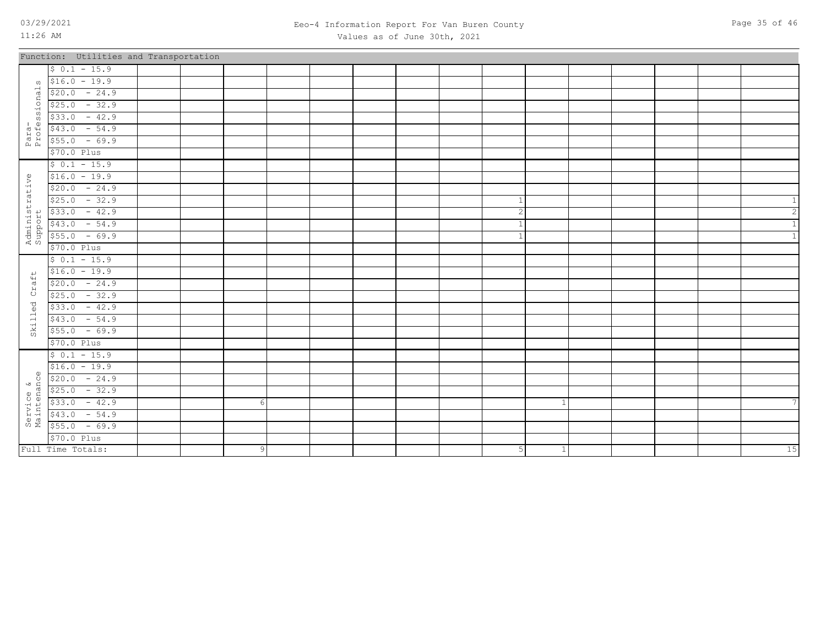### 03/29/2021 Page 35 of 46 Eeo-4 Information Report For Van Buren County Values as of June 30th, 2021

| Page 35 of 46 |  |  |  |
|---------------|--|--|--|
|---------------|--|--|--|

|                           | Function: Utilities and Transportation |  |                |  |  |                |              |  |  |      |
|---------------------------|----------------------------------------|--|----------------|--|--|----------------|--------------|--|--|------|
|                           | $$0.1 - 15.9$                          |  |                |  |  |                |              |  |  |      |
| $\Omega$                  | $$16.0 - 19.9$                         |  |                |  |  |                |              |  |  |      |
| onal                      | $$20.0 - 24.9$                         |  |                |  |  |                |              |  |  |      |
|                           | $$25.0 - 32.9$                         |  |                |  |  |                |              |  |  |      |
| i<br>SS<br>S              | $$33.0 - 42.9$                         |  |                |  |  |                |              |  |  |      |
|                           | $$43.0 - 54.9$                         |  |                |  |  |                |              |  |  |      |
| Para-<br>Profes           | $$55.0 - 69.9$                         |  |                |  |  |                |              |  |  |      |
|                           | \$70.0 Plus                            |  |                |  |  |                |              |  |  |      |
|                           | $$0.1 - 15.9$                          |  |                |  |  |                |              |  |  |      |
| Administrative<br>Support | $$16.0 - 19.9$                         |  |                |  |  |                |              |  |  |      |
|                           | $$20.0 - 24.9$                         |  |                |  |  |                |              |  |  |      |
|                           | $$25.0 - 32.9$                         |  |                |  |  |                |              |  |  |      |
|                           | $$33.0 - 42.9$                         |  |                |  |  | $\overline{c}$ |              |  |  |      |
|                           | $$43.0 - 54.9$                         |  |                |  |  | $\mathbf{1}$   |              |  |  |      |
|                           | $$55.0 - 69.9$                         |  |                |  |  | 1              |              |  |  |      |
|                           | \$70.0 Plus                            |  |                |  |  |                |              |  |  |      |
|                           | $$0.1 - 15.9$                          |  |                |  |  |                |              |  |  |      |
| $\overline{+}$            | $$16.0 - 19.9$                         |  |                |  |  |                |              |  |  |      |
| Craf                      | $$20.0 - 24.9$                         |  |                |  |  |                |              |  |  |      |
|                           | $$25.0 - 32.9$                         |  |                |  |  |                |              |  |  |      |
| Skilled                   | $$33.0 - 42.9$                         |  |                |  |  |                |              |  |  |      |
|                           | $$43.0 - 54.9$                         |  |                |  |  |                |              |  |  |      |
|                           | $$55.0 - 69.9$                         |  |                |  |  |                |              |  |  |      |
|                           | \$70.0 Plus                            |  |                |  |  |                |              |  |  |      |
|                           | $$0.1 - 15.9$                          |  |                |  |  |                |              |  |  |      |
|                           | $$16.0 - 19.9$                         |  |                |  |  |                |              |  |  |      |
| $\omega$<br>Ù.            | $$20.0 - 24.9$                         |  |                |  |  |                |              |  |  |      |
|                           | $$25.0 - 32.9$                         |  |                |  |  |                |              |  |  |      |
|                           | $$33.0 - 42.9$                         |  |                |  |  |                |              |  |  |      |
| Service &<br>Maintenano   | $$43.0 - 54.9$                         |  |                |  |  |                |              |  |  |      |
|                           | $$55.0 - 69.9$                         |  |                |  |  |                |              |  |  |      |
|                           | \$70.0 Plus                            |  |                |  |  |                |              |  |  |      |
|                           | Full Time Totals:                      |  | 9 <sub>o</sub> |  |  | 5              | $\mathbf{1}$ |  |  | $15$ |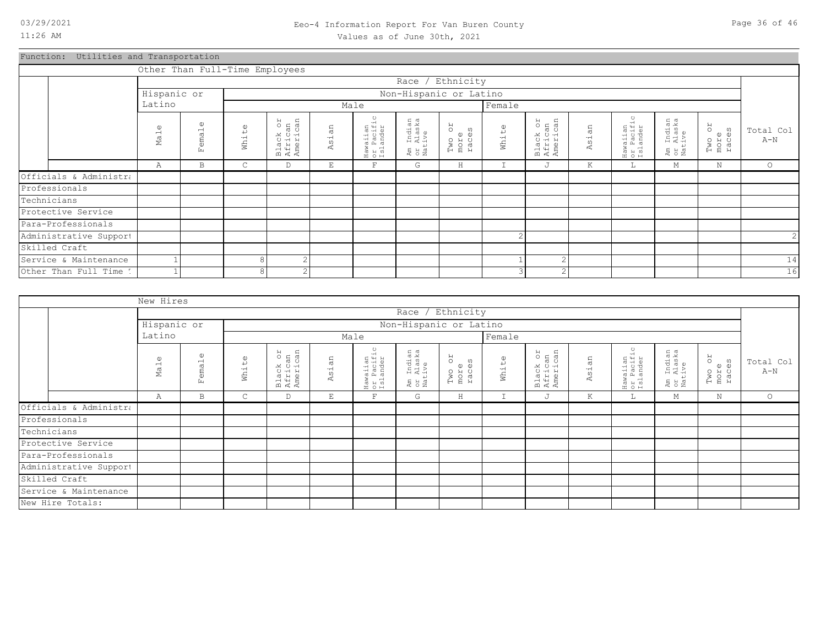### 03/29/2021 Page 36 of 46 Eeo-4 Information Report For Van Buren County Values as of June 30th, 2021

Function: Utilities and Transportation

|                        |                 |                            |                       | Other Than Full-Time Employees  |                            |                                    |                                  |                                      |                |                                 |            |                                    |                                        |                               |                    |
|------------------------|-----------------|----------------------------|-----------------------|---------------------------------|----------------------------|------------------------------------|----------------------------------|--------------------------------------|----------------|---------------------------------|------------|------------------------------------|----------------------------------------|-------------------------------|--------------------|
|                        |                 |                            |                       |                                 |                            |                                    |                                  | Race / Ethnicity                     |                |                                 |            |                                    |                                        |                               |                    |
|                        | Hispanic or     |                            |                       |                                 |                            |                                    |                                  | Non-Hispanic or Latino               |                |                                 |            |                                    |                                        |                               |                    |
|                        | Latino          |                            |                       |                                 |                            | Male                               |                                  |                                      | Female         |                                 |            |                                    |                                        |                               |                    |
|                        | $\omega$<br>Mal | $\mathbb{O}$<br>emal<br>Ŀ. | $\mathbb{O}$<br>White | Black or<br>African<br>American | an<br>$\overline{5}$<br>₫. | Hawaiian<br>or Pacific<br>Islander | Am Indian<br>or Alaska<br>Native | <b>JO</b><br>Two or<br>more<br>races | White          | Black or<br>African<br>American | sian<br>K. | Hawaiian<br>or Pacific<br>Islander | . Indian<br>. Alaska<br>.tive<br>E S E | RO<br>Two o:<br>more<br>races | Total Col<br>$A-N$ |
|                        | Α               | B                          | $\mathsf{C}$          | D                               | E                          | $\mathbf F$                        | G                                | H                                    | I              | J                               | K          | ш.                                 | M                                      | N                             | $\circ$            |
| Officials & Administra |                 |                            |                       |                                 |                            |                                    |                                  |                                      |                |                                 |            |                                    |                                        |                               |                    |
| Professionals          |                 |                            |                       |                                 |                            |                                    |                                  |                                      |                |                                 |            |                                    |                                        |                               |                    |
| Technicians            |                 |                            |                       |                                 |                            |                                    |                                  |                                      |                |                                 |            |                                    |                                        |                               |                    |
| Protective Service     |                 |                            |                       |                                 |                            |                                    |                                  |                                      |                |                                 |            |                                    |                                        |                               |                    |
| Para-Professionals     |                 |                            |                       |                                 |                            |                                    |                                  |                                      |                |                                 |            |                                    |                                        |                               |                    |
| Administrative Support |                 |                            |                       |                                 |                            |                                    |                                  |                                      | $\overline{c}$ |                                 |            |                                    |                                        |                               | 2                  |
| Skilled Craft          |                 |                            |                       |                                 |                            |                                    |                                  |                                      |                |                                 |            |                                    |                                        |                               |                    |
| Service & Maintenance  |                 |                            |                       | $\mathcal{D}$                   |                            |                                    |                                  |                                      |                | $\sim$                          |            |                                    |                                        |                               | $14$               |
| Other Than Full Time 1 |                 |                            | $\circ$               | $\mathfrak{D}$                  |                            |                                    |                                  |                                      | 3              | $\sim$                          |            |                                    |                                        |                               | 16                 |

|                        | New Hires                   |                           |                          |                                 |            |                                    |                                  |                               |               |                                 |       |                                    |                                  |                               |                    |
|------------------------|-----------------------------|---------------------------|--------------------------|---------------------------------|------------|------------------------------------|----------------------------------|-------------------------------|---------------|---------------------------------|-------|------------------------------------|----------------------------------|-------------------------------|--------------------|
|                        |                             |                           |                          |                                 |            |                                    |                                  | Race / Ethnicity              |               |                                 |       |                                    |                                  |                               |                    |
|                        | Hispanic or                 |                           |                          |                                 |            |                                    |                                  | Non-Hispanic or Latino        |               |                                 |       |                                    |                                  |                               |                    |
|                        | Latino                      |                           |                          |                                 |            | Male                               |                                  |                               | Female        |                                 |       |                                    |                                  |                               |                    |
|                        | $\omega$<br>Ma <sub>1</sub> | $\mathbb U$<br>emal<br>Ŀц | $\mathbbmss{O}$<br>White | Black or<br>African<br>American | άn<br>Asi. | Hawaiian<br>or Pacific<br>Islander | Am Indian<br>or Alaska<br>Native | RO<br>Two or<br>more<br>races | White         | Black or<br>African<br>American | Asian | Hawaiian<br>or Pacific<br>Islander | Am Indian<br>or Alaska<br>Native | RO<br>Two o:<br>more<br>races | Total Col<br>$A-N$ |
|                        | Α                           | B                         | $\mathsf{C}$             | D                               | E          | $\mathbf{F}$                       | G                                | H                             | $\mathbbm{I}$ | J                               | K     | L                                  | М                                | $\mathbf N$                   | $\circ$            |
| Officials & Administra |                             |                           |                          |                                 |            |                                    |                                  |                               |               |                                 |       |                                    |                                  |                               |                    |
| Professionals          |                             |                           |                          |                                 |            |                                    |                                  |                               |               |                                 |       |                                    |                                  |                               |                    |
| Technicians            |                             |                           |                          |                                 |            |                                    |                                  |                               |               |                                 |       |                                    |                                  |                               |                    |
| Protective Service     |                             |                           |                          |                                 |            |                                    |                                  |                               |               |                                 |       |                                    |                                  |                               |                    |
| Para-Professionals     |                             |                           |                          |                                 |            |                                    |                                  |                               |               |                                 |       |                                    |                                  |                               |                    |
| Administrative Support |                             |                           |                          |                                 |            |                                    |                                  |                               |               |                                 |       |                                    |                                  |                               |                    |
| Skilled Craft          |                             |                           |                          |                                 |            |                                    |                                  |                               |               |                                 |       |                                    |                                  |                               |                    |
| Service & Maintenance  |                             |                           |                          |                                 |            |                                    |                                  |                               |               |                                 |       |                                    |                                  |                               |                    |
| New Hire Totals:       |                             |                           |                          |                                 |            |                                    |                                  |                               |               |                                 |       |                                    |                                  |                               |                    |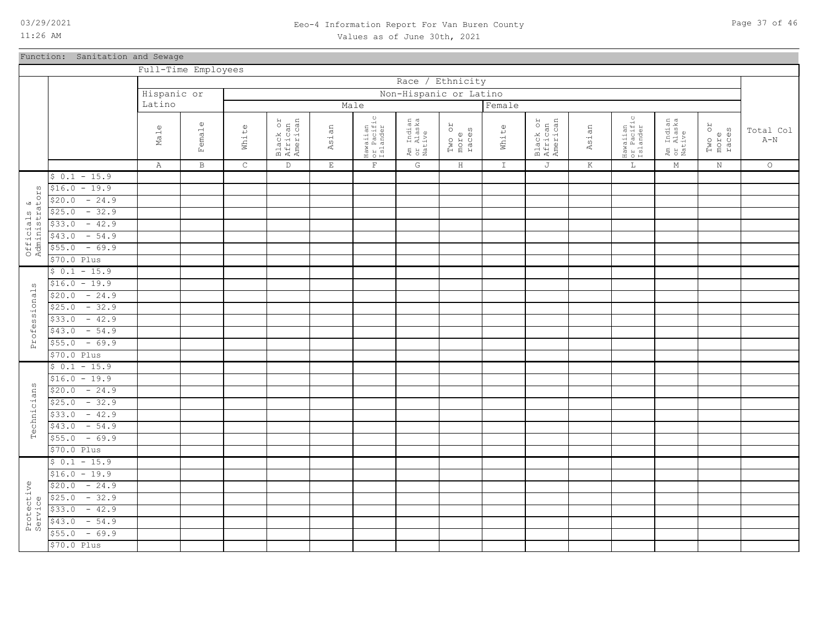### 03/29/2021 Page 37 of 46 Eeo-4 Information Report For Van Buren County Values as of June 30th, 2021

### Function: Sanitation and Sewage

|                               |                           | Full-Time Employees            |                    |             |                                 |             |                                    |                                  |                               |               |                                 |         |                                               |                                  |                         |                                      |
|-------------------------------|---------------------------|--------------------------------|--------------------|-------------|---------------------------------|-------------|------------------------------------|----------------------------------|-------------------------------|---------------|---------------------------------|---------|-----------------------------------------------|----------------------------------|-------------------------|--------------------------------------|
|                               |                           |                                |                    |             |                                 |             |                                    |                                  | Race / Ethnicity              |               |                                 |         |                                               |                                  |                         |                                      |
|                               |                           | Hispanic or                    |                    |             |                                 |             |                                    |                                  | Non-Hispanic or Latino        |               |                                 |         |                                               |                                  |                         |                                      |
|                               |                           | Latino                         |                    |             |                                 |             | Male                               |                                  |                               | Female        |                                 |         |                                               |                                  |                         |                                      |
|                               |                           | $\mathbb U$<br>Ma <sub>1</sub> | $\omega$<br>Female | White       | Black or<br>African<br>American | Asian       | Hawaiian<br>or Pacific<br>Islander | Am Indian<br>or Alaska<br>Native | RO<br>Two or<br>more<br>races | White         | Black or<br>African<br>American | Asian   | $\circ$<br>Hawaiian<br>or Pacific<br>Islander | Am Indian<br>or Alaska<br>Native | Two or<br>more<br>races | Total Col<br>$\mbox{\AA}-\mbox{\AA}$ |
|                               |                           | $\mathbb{A}$                   | $\, {\bf B}$       | $\mathsf C$ | $\mathbb D$                     | $\mathbf E$ | $\mathbf F$                        | G                                | $\, {\rm H}$                  | $\mathbbm{I}$ | J                               | $\rm K$ | $\mathbb L$                                   | $\mathop{\rm M}\nolimits$        | $\rm N$                 | $\circ$                              |
|                               | $$0.1 - 15.9$             |                                |                    |             |                                 |             |                                    |                                  |                               |               |                                 |         |                                               |                                  |                         |                                      |
|                               | $$16.0 - 19.9$            |                                |                    |             |                                 |             |                                    |                                  |                               |               |                                 |         |                                               |                                  |                         |                                      |
|                               | $-24.9$<br>\$20.0         |                                |                    |             |                                 |             |                                    |                                  |                               |               |                                 |         |                                               |                                  |                         |                                      |
|                               | $-32.9$<br>\$25.0         |                                |                    |             |                                 |             |                                    |                                  |                               |               |                                 |         |                                               |                                  |                         |                                      |
|                               | $-42.9$<br>\$33.0         |                                |                    |             |                                 |             |                                    |                                  |                               |               |                                 |         |                                               |                                  |                         |                                      |
|                               | $-54.9$<br>\$43.0         |                                |                    |             |                                 |             |                                    |                                  |                               |               |                                 |         |                                               |                                  |                         |                                      |
| Officials &<br>Administrators | $-69.9$<br>\$55.0         |                                |                    |             |                                 |             |                                    |                                  |                               |               |                                 |         |                                               |                                  |                         |                                      |
|                               | \$70.0 Plus               |                                |                    |             |                                 |             |                                    |                                  |                               |               |                                 |         |                                               |                                  |                         |                                      |
|                               | $$0.1 - 15.9$             |                                |                    |             |                                 |             |                                    |                                  |                               |               |                                 |         |                                               |                                  |                         |                                      |
|                               | $$16.0 - 19.9$            |                                |                    |             |                                 |             |                                    |                                  |                               |               |                                 |         |                                               |                                  |                         |                                      |
| ω                             | $$20.0 - 24.9$            |                                |                    |             |                                 |             |                                    |                                  |                               |               |                                 |         |                                               |                                  |                         |                                      |
|                               | $-32.9$<br>\$25.0         |                                |                    |             |                                 |             |                                    |                                  |                               |               |                                 |         |                                               |                                  |                         |                                      |
|                               | $-42.9$                   |                                |                    |             |                                 |             |                                    |                                  |                               |               |                                 |         |                                               |                                  |                         |                                      |
|                               | \$33.0<br>$$43.0 - 54.9$  |                                |                    |             |                                 |             |                                    |                                  |                               |               |                                 |         |                                               |                                  |                         |                                      |
| Professional                  | $-69.9$                   |                                |                    |             |                                 |             |                                    |                                  |                               |               |                                 |         |                                               |                                  |                         |                                      |
|                               | \$55.0<br>\$70.0 Plus     |                                |                    |             |                                 |             |                                    |                                  |                               |               |                                 |         |                                               |                                  |                         |                                      |
|                               | $$0.1 - 15.9$             |                                |                    |             |                                 |             |                                    |                                  |                               |               |                                 |         |                                               |                                  |                         |                                      |
|                               |                           |                                |                    |             |                                 |             |                                    |                                  |                               |               |                                 |         |                                               |                                  |                         |                                      |
|                               | $$16.0 - 19.9$<br>$-24.9$ |                                |                    |             |                                 |             |                                    |                                  |                               |               |                                 |         |                                               |                                  |                         |                                      |
|                               | \$20.0                    |                                |                    |             |                                 |             |                                    |                                  |                               |               |                                 |         |                                               |                                  |                         |                                      |
| Technicians                   | $$25.0 - 32.9$<br>$-42.9$ |                                |                    |             |                                 |             |                                    |                                  |                               |               |                                 |         |                                               |                                  |                         |                                      |
|                               | \$33.0                    |                                |                    |             |                                 |             |                                    |                                  |                               |               |                                 |         |                                               |                                  |                         |                                      |
|                               | $$43.0 - 54.9$            |                                |                    |             |                                 |             |                                    |                                  |                               |               |                                 |         |                                               |                                  |                         |                                      |
|                               | $-69.9$<br>\$55.0         |                                |                    |             |                                 |             |                                    |                                  |                               |               |                                 |         |                                               |                                  |                         |                                      |
|                               | \$70.0 Plus               |                                |                    |             |                                 |             |                                    |                                  |                               |               |                                 |         |                                               |                                  |                         |                                      |
|                               | $$0.1 - 15.9$             |                                |                    |             |                                 |             |                                    |                                  |                               |               |                                 |         |                                               |                                  |                         |                                      |
|                               | $$16.0 - 19.9$            |                                |                    |             |                                 |             |                                    |                                  |                               |               |                                 |         |                                               |                                  |                         |                                      |
|                               | $$20.0 - 24.9$            |                                |                    |             |                                 |             |                                    |                                  |                               |               |                                 |         |                                               |                                  |                         |                                      |
| Protective<br>Service         | $-32.9$<br>\$25.0         |                                |                    |             |                                 |             |                                    |                                  |                               |               |                                 |         |                                               |                                  |                         |                                      |
|                               | $-42.9$<br>\$33.0         |                                |                    |             |                                 |             |                                    |                                  |                               |               |                                 |         |                                               |                                  |                         |                                      |
|                               | $-54.9$<br>\$43.0         |                                |                    |             |                                 |             |                                    |                                  |                               |               |                                 |         |                                               |                                  |                         |                                      |
|                               | $-69.9$<br>\$55.0         |                                |                    |             |                                 |             |                                    |                                  |                               |               |                                 |         |                                               |                                  |                         |                                      |
|                               | \$70.0 Plus               |                                |                    |             |                                 |             |                                    |                                  |                               |               |                                 |         |                                               |                                  |                         |                                      |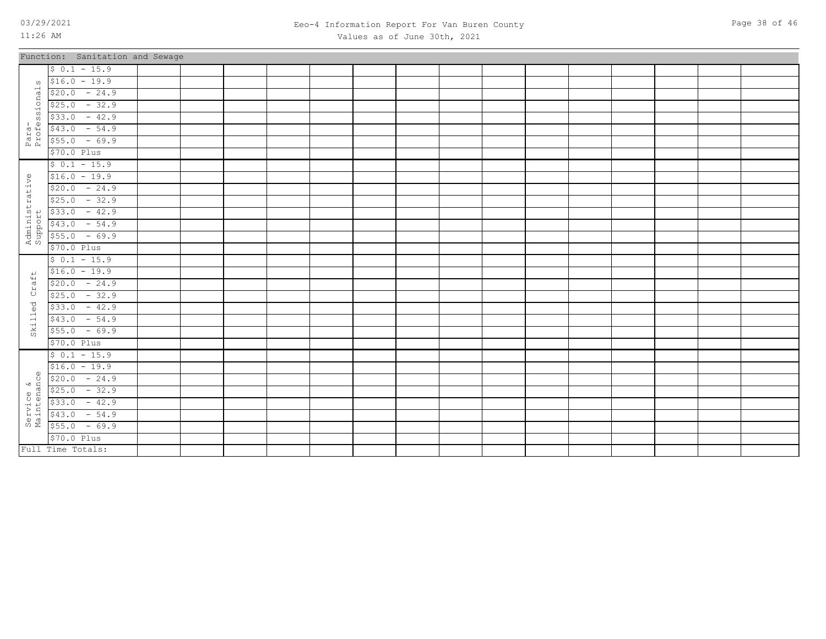Full Time Totals:

### 03/29/2021 Page 38 of 46 Eeo-4 Information Report For Van Buren County Values as of June 30th, 2021

|                           | Function: Sanitation and Sewage |  |  |  |  |  |  |  |  |
|---------------------------|---------------------------------|--|--|--|--|--|--|--|--|
|                           | $$0.1 - 15.9$                   |  |  |  |  |  |  |  |  |
| $\Omega$                  | $$16.0 - 19.9$                  |  |  |  |  |  |  |  |  |
| ional                     | $$20.0 - 24.9$                  |  |  |  |  |  |  |  |  |
|                           | $$25.0 - 32.9$                  |  |  |  |  |  |  |  |  |
|                           | $$33.0 - 42.9$                  |  |  |  |  |  |  |  |  |
|                           | $$43.0 - 54.9$                  |  |  |  |  |  |  |  |  |
| Para-<br>Profess:         | $$55.0 - 69.9$                  |  |  |  |  |  |  |  |  |
|                           | $$70.0$ Plus                    |  |  |  |  |  |  |  |  |
|                           | $$0.1 - 15.9$                   |  |  |  |  |  |  |  |  |
| Administrative<br>Support | $$16.0 - 19.9$                  |  |  |  |  |  |  |  |  |
|                           | $$20.0 - 24.9$                  |  |  |  |  |  |  |  |  |
|                           | $$25.0 - 32.9$                  |  |  |  |  |  |  |  |  |
|                           | $$33.0 - 42.9$                  |  |  |  |  |  |  |  |  |
|                           | $$43.0$ - 54.9                  |  |  |  |  |  |  |  |  |
|                           | $$55.0 - 69.9$                  |  |  |  |  |  |  |  |  |
|                           | $$70.0$ Plus                    |  |  |  |  |  |  |  |  |
|                           | $$0.1 - 15.9$                   |  |  |  |  |  |  |  |  |
|                           | $$16.0 - 19.9$                  |  |  |  |  |  |  |  |  |
| Craft                     | $$20.0 - 24.9$                  |  |  |  |  |  |  |  |  |
|                           | $$25.0 - 32.9$                  |  |  |  |  |  |  |  |  |
|                           | $$33.0 - 42.9$                  |  |  |  |  |  |  |  |  |
| Skilled                   | $$43.0 - 54.9$                  |  |  |  |  |  |  |  |  |
|                           | $$55.0 - 69.9$                  |  |  |  |  |  |  |  |  |
|                           | $$70.0$ Plus                    |  |  |  |  |  |  |  |  |
|                           | $$0.1 - 15.9$                   |  |  |  |  |  |  |  |  |
|                           | $$16.0 - 19.9$                  |  |  |  |  |  |  |  |  |
| $\circ$                   | $$20.0 - 24.9$                  |  |  |  |  |  |  |  |  |
|                           | $$25.0 - 32.9$                  |  |  |  |  |  |  |  |  |
| Service &<br>Maintenance  | $$33.0 - 42.9$                  |  |  |  |  |  |  |  |  |
|                           | $$43.0$ - 54.9                  |  |  |  |  |  |  |  |  |
|                           | $$55.0 - 69.9$                  |  |  |  |  |  |  |  |  |
|                           | $$70.0$ $Plus$                  |  |  |  |  |  |  |  |  |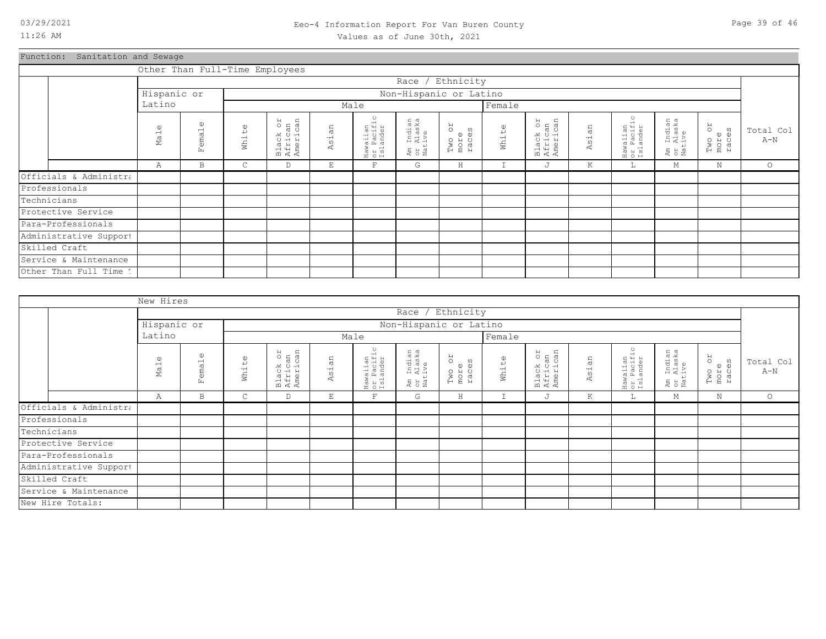# Function: Sanitation and Sewage

|                        |                                |                                    |       | Other Than Full-Time Employees  |       |                                                        |                                             |                               |                       |                                 |       |                                    |                                            |                               |                    |
|------------------------|--------------------------------|------------------------------------|-------|---------------------------------|-------|--------------------------------------------------------|---------------------------------------------|-------------------------------|-----------------------|---------------------------------|-------|------------------------------------|--------------------------------------------|-------------------------------|--------------------|
|                        |                                |                                    |       |                                 |       |                                                        |                                             | Race / Ethnicity              |                       |                                 |       |                                    |                                            |                               |                    |
|                        | Hispanic or                    |                                    |       |                                 |       |                                                        |                                             | Non-Hispanic or Latino        |                       |                                 |       |                                    |                                            |                               |                    |
|                        | Latino                         |                                    |       |                                 |       | Male                                                   |                                             |                               | Female                |                                 |       |                                    |                                            |                               |                    |
|                        | $\mathbb U$<br>Ma <sub>1</sub> | $\omega$<br>ema <sub>1</sub><br>Ŀц | White | Black or<br>African<br>American | Asian | waiian<br>: Pacific<br>:lander<br>Haw<br>Or lä<br>ISlä | Indian<br>Alaska<br>ive<br>Am<br>Or<br>Nati | RO<br>Two or<br>more<br>races | $\mathbb{O}$<br>White | Black or<br>African<br>American | Asian | Hawaiian<br>or Pacific<br>Islander | Indian<br>Alaska<br>ive<br>Am<br>St<br>Nat | RO<br>Two o:<br>more<br>races | Total Col<br>$A-N$ |
|                        | Α                              | B                                  | C     | D                               | E     | $\overline{F}$                                         | G                                           | Η                             | $\mathbbm{I}$         | J                               | К     | L                                  | М                                          | Ν                             | $\circ$            |
| Officials & Administra |                                |                                    |       |                                 |       |                                                        |                                             |                               |                       |                                 |       |                                    |                                            |                               |                    |
| Professionals          |                                |                                    |       |                                 |       |                                                        |                                             |                               |                       |                                 |       |                                    |                                            |                               |                    |
| Technicians            |                                |                                    |       |                                 |       |                                                        |                                             |                               |                       |                                 |       |                                    |                                            |                               |                    |
| Protective Service     |                                |                                    |       |                                 |       |                                                        |                                             |                               |                       |                                 |       |                                    |                                            |                               |                    |
| Para-Professionals     |                                |                                    |       |                                 |       |                                                        |                                             |                               |                       |                                 |       |                                    |                                            |                               |                    |
| Administrative Support |                                |                                    |       |                                 |       |                                                        |                                             |                               |                       |                                 |       |                                    |                                            |                               |                    |
| Skilled Craft          |                                |                                    |       |                                 |       |                                                        |                                             |                               |                       |                                 |       |                                    |                                            |                               |                    |
| Service & Maintenance  |                                |                                    |       |                                 |       |                                                        |                                             |                               |                       |                                 |       |                                    |                                            |                               |                    |
| Other Than Full Time 1 |                                |                                    |       |                                 |       |                                                        |                                             |                               |                       |                                 |       |                                    |                                            |                               |                    |

|                        | New Hires                      |                         |                   |                                 |       |                                    |                                  |                         |             |                                 |       |                                    |                                  |                         |                    |
|------------------------|--------------------------------|-------------------------|-------------------|---------------------------------|-------|------------------------------------|----------------------------------|-------------------------|-------------|---------------------------------|-------|------------------------------------|----------------------------------|-------------------------|--------------------|
|                        |                                |                         |                   |                                 |       |                                    |                                  | Race / Ethnicity        |             |                                 |       |                                    |                                  |                         |                    |
|                        | Hispanic or                    |                         |                   |                                 |       |                                    |                                  | Non-Hispanic or Latino  |             |                                 |       |                                    |                                  |                         |                    |
|                        | Latino                         |                         |                   |                                 |       | Male                               |                                  |                         | Female      |                                 |       |                                    |                                  |                         |                    |
|                        | $\mathbb U$<br>Ma <sub>1</sub> | $\omega$<br>ema1<br>Eq. | $\omega$<br>White | Black or<br>African<br>American | Asian | Hawaiian<br>or Pacific<br>Islander | Am Indian<br>or Alaska<br>Native | Two or<br>more<br>races | White       | Black or<br>African<br>American | Asian | Hawaiian<br>or Pacific<br>Islander | Am Indian<br>or Alaska<br>Native | Two or<br>more<br>races | Total Col<br>$A-N$ |
|                        | Α                              | B                       | $\mathsf{C}$      | D                               | E     | $\mathbf F$                        | G                                | H                       | $\mathbf I$ | J                               | К     | L.                                 | М                                | N                       | $\circ$            |
| Officials & Administra |                                |                         |                   |                                 |       |                                    |                                  |                         |             |                                 |       |                                    |                                  |                         |                    |
| Professionals          |                                |                         |                   |                                 |       |                                    |                                  |                         |             |                                 |       |                                    |                                  |                         |                    |
| Technicians            |                                |                         |                   |                                 |       |                                    |                                  |                         |             |                                 |       |                                    |                                  |                         |                    |
| Protective Service     |                                |                         |                   |                                 |       |                                    |                                  |                         |             |                                 |       |                                    |                                  |                         |                    |
| Para-Professionals     |                                |                         |                   |                                 |       |                                    |                                  |                         |             |                                 |       |                                    |                                  |                         |                    |
| Administrative Support |                                |                         |                   |                                 |       |                                    |                                  |                         |             |                                 |       |                                    |                                  |                         |                    |
| Skilled Craft          |                                |                         |                   |                                 |       |                                    |                                  |                         |             |                                 |       |                                    |                                  |                         |                    |
| Service & Maintenance  |                                |                         |                   |                                 |       |                                    |                                  |                         |             |                                 |       |                                    |                                  |                         |                    |
| New Hire Totals:       |                                |                         |                   |                                 |       |                                    |                                  |                         |             |                                 |       |                                    |                                  |                         |                    |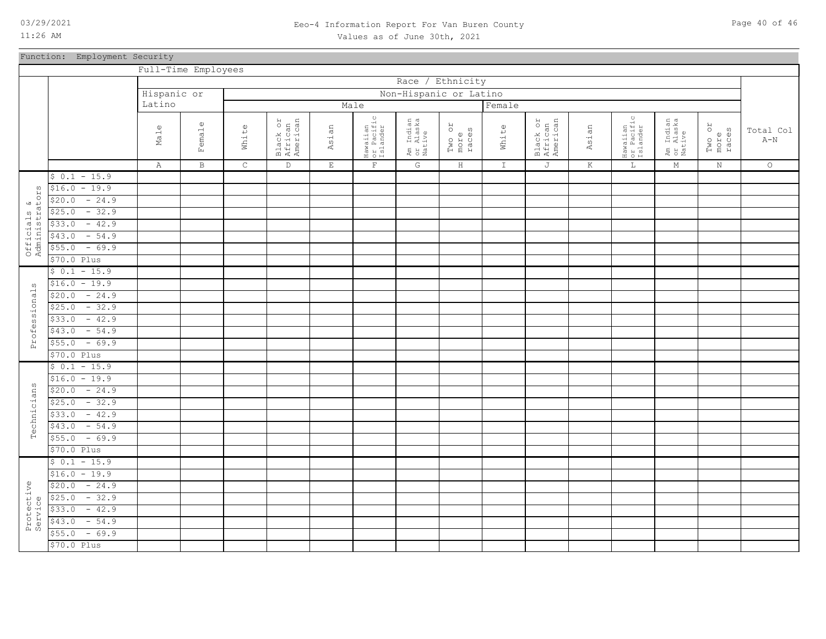### 03/29/2021 Page 40 of 46 Eeo-4 Information Report For Van Buren County Values as of June 30th, 2021

Function: Employment Security

|                              |                   | Full-Time Employees  |              |             |                                 |             |                                    |                                  |                               |               |                                 |         |                                    |                                  |                               |                    |
|------------------------------|-------------------|----------------------|--------------|-------------|---------------------------------|-------------|------------------------------------|----------------------------------|-------------------------------|---------------|---------------------------------|---------|------------------------------------|----------------------------------|-------------------------------|--------------------|
|                              |                   |                      |              |             |                                 |             |                                    | Race / Ethnicity                 |                               |               |                                 |         |                                    |                                  |                               |                    |
|                              |                   | Hispanic or          |              |             |                                 |             |                                    | Non-Hispanic or Latino           |                               |               |                                 |         |                                    |                                  |                               |                    |
|                              |                   | Latino               |              |             |                                 |             | Male                               |                                  |                               | Female        |                                 |         |                                    |                                  |                               |                    |
|                              |                   | $\mathbb{O}$<br>Male | Female       | White       | Black or<br>African<br>American | Asian       | Hawaiian<br>or Pacific<br>Islander | Am Indian<br>or Alaska<br>Native | RO<br>Two or<br>more<br>races | White         | Black or<br>African<br>American | Asian   | Hawaiian<br>or Pacific<br>Islander | Am Indian<br>or Alaska<br>Native | RO<br>Two or<br>more<br>races | Total Col<br>$A-N$ |
|                              |                   | Α                    | $\, {\bf B}$ | $\mathsf C$ | $\mathbb D$                     | $\mathbf E$ | $\mathbf{F}$                       | G                                | $\rm H$                       | $\mathbbm{1}$ | J                               | $\rm K$ | $\mathbb L$                        | $\mathop{\rm M}\nolimits$        | $\rm N$                       | $\circ$            |
|                              | $$0.1 - 15.9$     |                      |              |             |                                 |             |                                    |                                  |                               |               |                                 |         |                                    |                                  |                               |                    |
| ω                            | $$16.0 - 19.9$    |                      |              |             |                                 |             |                                    |                                  |                               |               |                                 |         |                                    |                                  |                               |                    |
| $\mathbf{H}$                 | $-24.9$<br>\$20.0 |                      |              |             |                                 |             |                                    |                                  |                               |               |                                 |         |                                    |                                  |                               |                    |
|                              | $-32.9$<br>\$25.0 |                      |              |             |                                 |             |                                    |                                  |                               |               |                                 |         |                                    |                                  |                               |                    |
|                              | $-42.9$<br>\$33.0 |                      |              |             |                                 |             |                                    |                                  |                               |               |                                 |         |                                    |                                  |                               |                    |
| Officials &<br>Administrator | $-54.9$<br>\$43.0 |                      |              |             |                                 |             |                                    |                                  |                               |               |                                 |         |                                    |                                  |                               |                    |
|                              | \$55.0<br>$-69.9$ |                      |              |             |                                 |             |                                    |                                  |                               |               |                                 |         |                                    |                                  |                               |                    |
|                              | \$70.0 Plus       |                      |              |             |                                 |             |                                    |                                  |                               |               |                                 |         |                                    |                                  |                               |                    |
|                              | $$0.1 - 15.9$     |                      |              |             |                                 |             |                                    |                                  |                               |               |                                 |         |                                    |                                  |                               |                    |
| ω                            | $$16.0 - 19.9$    |                      |              |             |                                 |             |                                    |                                  |                               |               |                                 |         |                                    |                                  |                               |                    |
|                              | $$20.0 - 24.9$    |                      |              |             |                                 |             |                                    |                                  |                               |               |                                 |         |                                    |                                  |                               |                    |
|                              | $-32.9$<br>\$25.0 |                      |              |             |                                 |             |                                    |                                  |                               |               |                                 |         |                                    |                                  |                               |                    |
|                              | $-42.9$<br>\$33.0 |                      |              |             |                                 |             |                                    |                                  |                               |               |                                 |         |                                    |                                  |                               |                    |
|                              | $$43.0 - 54.9$    |                      |              |             |                                 |             |                                    |                                  |                               |               |                                 |         |                                    |                                  |                               |                    |
| Professional                 | $-69.9$<br>\$55.0 |                      |              |             |                                 |             |                                    |                                  |                               |               |                                 |         |                                    |                                  |                               |                    |
|                              | \$70.0 Plus       |                      |              |             |                                 |             |                                    |                                  |                               |               |                                 |         |                                    |                                  |                               |                    |
|                              | $$0.1 - 15.9$     |                      |              |             |                                 |             |                                    |                                  |                               |               |                                 |         |                                    |                                  |                               |                    |
|                              | $$16.0 - 19.9$    |                      |              |             |                                 |             |                                    |                                  |                               |               |                                 |         |                                    |                                  |                               |                    |
|                              | $-24.9$<br>\$20.0 |                      |              |             |                                 |             |                                    |                                  |                               |               |                                 |         |                                    |                                  |                               |                    |
| Technicians                  | $$25.0 - 32.9$    |                      |              |             |                                 |             |                                    |                                  |                               |               |                                 |         |                                    |                                  |                               |                    |
|                              | $-42.9$<br>\$33.0 |                      |              |             |                                 |             |                                    |                                  |                               |               |                                 |         |                                    |                                  |                               |                    |
|                              | $$43.0 - 54.9$    |                      |              |             |                                 |             |                                    |                                  |                               |               |                                 |         |                                    |                                  |                               |                    |
|                              | $-69.9$<br>\$55.0 |                      |              |             |                                 |             |                                    |                                  |                               |               |                                 |         |                                    |                                  |                               |                    |
|                              | \$70.0 Plus       |                      |              |             |                                 |             |                                    |                                  |                               |               |                                 |         |                                    |                                  |                               |                    |
|                              | $$0.1 - 15.9$     |                      |              |             |                                 |             |                                    |                                  |                               |               |                                 |         |                                    |                                  |                               |                    |
|                              | $$16.0 - 19.9$    |                      |              |             |                                 |             |                                    |                                  |                               |               |                                 |         |                                    |                                  |                               |                    |
|                              | $-24.9$<br>\$20.0 |                      |              |             |                                 |             |                                    |                                  |                               |               |                                 |         |                                    |                                  |                               |                    |
| Protective<br>Service        | $-32.9$<br>\$25.0 |                      |              |             |                                 |             |                                    |                                  |                               |               |                                 |         |                                    |                                  |                               |                    |
|                              | $-42.9$<br>\$33.0 |                      |              |             |                                 |             |                                    |                                  |                               |               |                                 |         |                                    |                                  |                               |                    |
|                              | \$43.0<br>$-54.9$ |                      |              |             |                                 |             |                                    |                                  |                               |               |                                 |         |                                    |                                  |                               |                    |
|                              | $-69.9$<br>\$55.0 |                      |              |             |                                 |             |                                    |                                  |                               |               |                                 |         |                                    |                                  |                               |                    |
|                              | \$70.0 Plus       |                      |              |             |                                 |             |                                    |                                  |                               |               |                                 |         |                                    |                                  |                               |                    |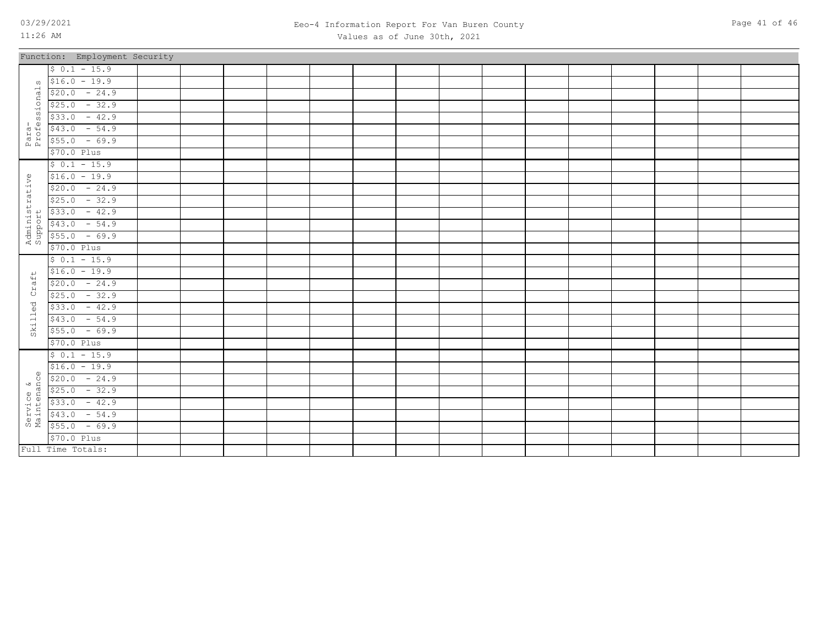### 03/29/2021 Page 41 of 46 Eeo-4 Information Report For Van Buren County Values as of June 30th, 2021

|                           | Function: Employment Security                                                                                                                                                                                                                                                                                                                                                         |  |  |  |  |  |  |  |  |
|---------------------------|---------------------------------------------------------------------------------------------------------------------------------------------------------------------------------------------------------------------------------------------------------------------------------------------------------------------------------------------------------------------------------------|--|--|--|--|--|--|--|--|
|                           | $$0.1 - 15.9$                                                                                                                                                                                                                                                                                                                                                                         |  |  |  |  |  |  |  |  |
|                           | $\sqrt{516.0}$ - 19.9                                                                                                                                                                                                                                                                                                                                                                 |  |  |  |  |  |  |  |  |
|                           | $$20.0 - 24.9$                                                                                                                                                                                                                                                                                                                                                                        |  |  |  |  |  |  |  |  |
|                           | $$25.0 - 32.9$                                                                                                                                                                                                                                                                                                                                                                        |  |  |  |  |  |  |  |  |
|                           | $$33.0 - 42.9$                                                                                                                                                                                                                                                                                                                                                                        |  |  |  |  |  |  |  |  |
|                           | $$43.0$ - 54.9                                                                                                                                                                                                                                                                                                                                                                        |  |  |  |  |  |  |  |  |
| Para-<br>Professional:    | $$55.0 - 69.9$                                                                                                                                                                                                                                                                                                                                                                        |  |  |  |  |  |  |  |  |
|                           | \$70.0 Plus                                                                                                                                                                                                                                                                                                                                                                           |  |  |  |  |  |  |  |  |
|                           | $$0.1 - 15.9$                                                                                                                                                                                                                                                                                                                                                                         |  |  |  |  |  |  |  |  |
|                           | $$16.0 - 19.9$                                                                                                                                                                                                                                                                                                                                                                        |  |  |  |  |  |  |  |  |
|                           | $$20.0 - 24.9$                                                                                                                                                                                                                                                                                                                                                                        |  |  |  |  |  |  |  |  |
| Administrative<br>Support | $$25.0 - 32.9$                                                                                                                                                                                                                                                                                                                                                                        |  |  |  |  |  |  |  |  |
|                           | $$33.0 - 42.9$                                                                                                                                                                                                                                                                                                                                                                        |  |  |  |  |  |  |  |  |
|                           | $$43.0 - 54.9$                                                                                                                                                                                                                                                                                                                                                                        |  |  |  |  |  |  |  |  |
|                           | $$55.0 - 69.9$                                                                                                                                                                                                                                                                                                                                                                        |  |  |  |  |  |  |  |  |
|                           | \$70.0 Plus                                                                                                                                                                                                                                                                                                                                                                           |  |  |  |  |  |  |  |  |
|                           | $$0.1 - 15.9$                                                                                                                                                                                                                                                                                                                                                                         |  |  |  |  |  |  |  |  |
| $\overline{+}$            | $$16.0 - 19.9$                                                                                                                                                                                                                                                                                                                                                                        |  |  |  |  |  |  |  |  |
| Craf                      | $$20.0 - 24.9$                                                                                                                                                                                                                                                                                                                                                                        |  |  |  |  |  |  |  |  |
|                           | $$25.0 - 32.9$                                                                                                                                                                                                                                                                                                                                                                        |  |  |  |  |  |  |  |  |
| Skilled                   | $$33.0 - 42.9$                                                                                                                                                                                                                                                                                                                                                                        |  |  |  |  |  |  |  |  |
|                           | $$43.0 - 54.9$                                                                                                                                                                                                                                                                                                                                                                        |  |  |  |  |  |  |  |  |
|                           | $$55.0 - 69.9$                                                                                                                                                                                                                                                                                                                                                                        |  |  |  |  |  |  |  |  |
|                           | \$70.0 Plus                                                                                                                                                                                                                                                                                                                                                                           |  |  |  |  |  |  |  |  |
|                           | $$0.1 - 15.9$                                                                                                                                                                                                                                                                                                                                                                         |  |  |  |  |  |  |  |  |
|                           | $$16.0 - 19.9$                                                                                                                                                                                                                                                                                                                                                                        |  |  |  |  |  |  |  |  |
|                           |                                                                                                                                                                                                                                                                                                                                                                                       |  |  |  |  |  |  |  |  |
|                           |                                                                                                                                                                                                                                                                                                                                                                                       |  |  |  |  |  |  |  |  |
|                           |                                                                                                                                                                                                                                                                                                                                                                                       |  |  |  |  |  |  |  |  |
|                           | $\begin{array}{r} \n\text{9} \\ \n\text{9} \\ \n\text{10} \\ \n\text{11} \\ \n\text{12} \\ \n\text{13} \\ \n\text{14} \\ \n\text{15} \\ \n\text{16} \\ \n\text{17} \\ \n\text{18} \\ \n\text{19} \\ \n\text{10} \\ \n\text{10} \\ \n\text{13} \\ \n\text{10} \\ \n\text{13} \\ \n\text{10} \\ \n\text{13} \\ \n\text{10} \\ \n\text{13} \\ \n\text{14} \\ \n\text{15} \\ \n\text{16}$ |  |  |  |  |  |  |  |  |
|                           |                                                                                                                                                                                                                                                                                                                                                                                       |  |  |  |  |  |  |  |  |
|                           | $$70.0$ Plus                                                                                                                                                                                                                                                                                                                                                                          |  |  |  |  |  |  |  |  |
|                           | Full Time Totals:                                                                                                                                                                                                                                                                                                                                                                     |  |  |  |  |  |  |  |  |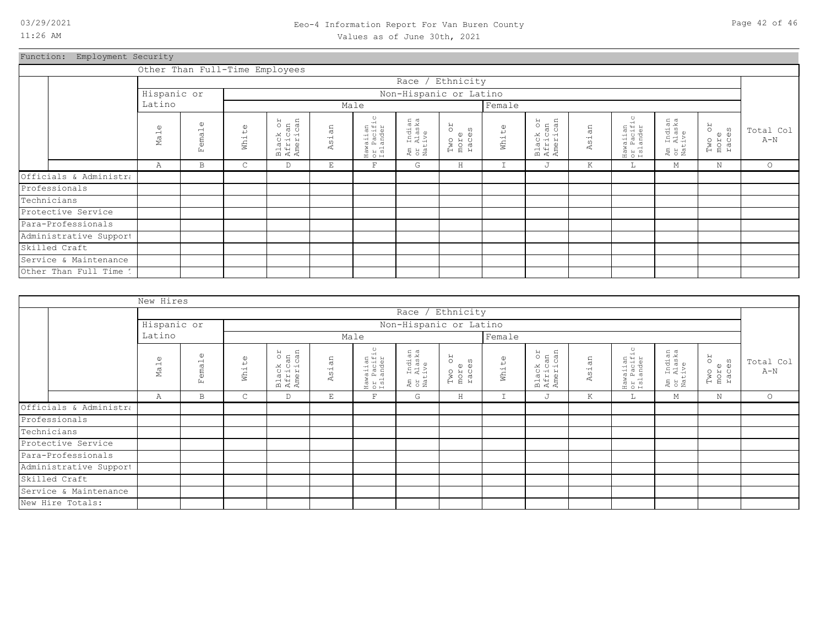### 03/29/2021 Page 42 of 46 Eeo-4 Information Report For Van Buren County Values as of June 30th, 2021

Function: Employment Security

|                        |                 |                            |                       | Other Than Full-Time Employees  |                       |                                    |                                  |                                      |               |                                 |            |                                    |                                       |                               |                    |
|------------------------|-----------------|----------------------------|-----------------------|---------------------------------|-----------------------|------------------------------------|----------------------------------|--------------------------------------|---------------|---------------------------------|------------|------------------------------------|---------------------------------------|-------------------------------|--------------------|
|                        |                 |                            |                       |                                 |                       |                                    |                                  | Race / Ethnicity                     |               |                                 |            |                                    |                                       |                               |                    |
|                        | Hispanic or     |                            |                       |                                 |                       |                                    | Non-Hispanic or Latino           |                                      |               |                                 |            |                                    |                                       |                               |                    |
|                        | Latino          |                            |                       |                                 |                       | Male                               |                                  |                                      | Female        |                                 |            |                                    |                                       |                               |                    |
|                        | $\omega$<br>Mal | $\mathbb{O}$<br>emal<br>Ŀ. | $\mathbb{O}$<br>White | Black or<br>African<br>American | an<br>$\vec{a}$<br>K. | Hawaiian<br>or Pacific<br>Islander | Am Indian<br>or Alaska<br>Native | <b>ZO</b><br>Two or<br>more<br>races | White         | Black or<br>African<br>American | sian<br>K. | Hawaiian<br>or Pacific<br>Islander | . Indian<br>. Alaska<br>.tive<br>អ្នក | RO<br>Two or<br>more<br>races | Total Col<br>$A-N$ |
|                        | Α               | B                          | C                     | D                               | E                     | $\mathbf F$                        | G                                | H                                    | $\mathbbm{I}$ | J                               | K          | ш.                                 | М                                     | $\mathbb N$                   | $\circ$            |
| Officials & Administra |                 |                            |                       |                                 |                       |                                    |                                  |                                      |               |                                 |            |                                    |                                       |                               |                    |
| Professionals          |                 |                            |                       |                                 |                       |                                    |                                  |                                      |               |                                 |            |                                    |                                       |                               |                    |
| Technicians            |                 |                            |                       |                                 |                       |                                    |                                  |                                      |               |                                 |            |                                    |                                       |                               |                    |
| Protective Service     |                 |                            |                       |                                 |                       |                                    |                                  |                                      |               |                                 |            |                                    |                                       |                               |                    |
| Para-Professionals     |                 |                            |                       |                                 |                       |                                    |                                  |                                      |               |                                 |            |                                    |                                       |                               |                    |
| Administrative Support |                 |                            |                       |                                 |                       |                                    |                                  |                                      |               |                                 |            |                                    |                                       |                               |                    |
| Skilled Craft          |                 |                            |                       |                                 |                       |                                    |                                  |                                      |               |                                 |            |                                    |                                       |                               |                    |
| Service & Maintenance  |                 |                            |                       |                                 |                       |                                    |                                  |                                      |               |                                 |            |                                    |                                       |                               |                    |
| Other Than Full Time 1 |                 |                            |                       |                                 |                       |                                    |                                  |                                      |               |                                 |            |                                    |                                       |                               |                    |

|                        | New Hires                   |                                                   |                              |                                 |            |                                    |                                  |                         |             |                                 |       |                                    |                                  |                               |                    |
|------------------------|-----------------------------|---------------------------------------------------|------------------------------|---------------------------------|------------|------------------------------------|----------------------------------|-------------------------|-------------|---------------------------------|-------|------------------------------------|----------------------------------|-------------------------------|--------------------|
|                        |                             |                                                   |                              |                                 |            |                                    |                                  | Race / Ethnicity        |             |                                 |       |                                    |                                  |                               |                    |
|                        | Hispanic or                 |                                                   |                              |                                 |            |                                    |                                  | Non-Hispanic or Latino  |             |                                 |       |                                    |                                  |                               |                    |
|                        | Latino                      |                                                   |                              |                                 |            | Male                               |                                  |                         | Female      |                                 |       |                                    |                                  |                               |                    |
|                        | $\omega$<br>Ma <sub>1</sub> | $\omega$<br>$\overline{\phantom{0}}$<br>ema<br>Ŀц | $\omega$<br>$\mapsto$<br>Wh1 | Black or<br>African<br>American | άn<br>Asi. | Hawaiian<br>or Pacific<br>Islander | Am Indian<br>or Alaska<br>Native | Two or<br>more<br>races | White       | Black or<br>African<br>American | Asian | Hawaiian<br>or Pacific<br>Islander | Am Indian<br>or Alaska<br>Native | RO<br>Two o:<br>more<br>races | Total Col<br>$A-N$ |
|                        | Α                           | B                                                 | $\mathsf{C}$                 | D                               | Ε          | $\overline{\mathrm{F}}$            | G                                | $\rm H$                 | $\mathbf I$ | J                               | K     | Щ.                                 | М                                | $\mathbf N$                   | $\circ$            |
| Officials & Administra |                             |                                                   |                              |                                 |            |                                    |                                  |                         |             |                                 |       |                                    |                                  |                               |                    |
| Professionals          |                             |                                                   |                              |                                 |            |                                    |                                  |                         |             |                                 |       |                                    |                                  |                               |                    |
| Technicians            |                             |                                                   |                              |                                 |            |                                    |                                  |                         |             |                                 |       |                                    |                                  |                               |                    |
| Protective Service     |                             |                                                   |                              |                                 |            |                                    |                                  |                         |             |                                 |       |                                    |                                  |                               |                    |
| Para-Professionals     |                             |                                                   |                              |                                 |            |                                    |                                  |                         |             |                                 |       |                                    |                                  |                               |                    |
| Administrative Support |                             |                                                   |                              |                                 |            |                                    |                                  |                         |             |                                 |       |                                    |                                  |                               |                    |
| Skilled Craft          |                             |                                                   |                              |                                 |            |                                    |                                  |                         |             |                                 |       |                                    |                                  |                               |                    |
| Service & Maintenance  |                             |                                                   |                              |                                 |            |                                    |                                  |                         |             |                                 |       |                                    |                                  |                               |                    |
| New Hire Totals:       |                             |                                                   |                              |                                 |            |                                    |                                  |                         |             |                                 |       |                                    |                                  |                               |                    |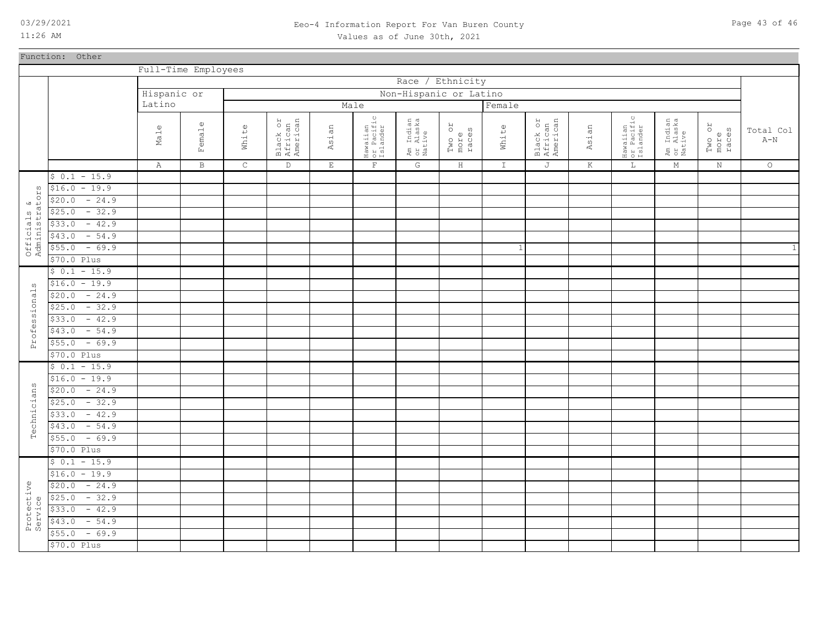Function: Other

11:26 AM

Officials &

 $\omega$ 

ssional

rofes Α

 $\omega$ cians

Techni

\$70.0 Plus  $$55.0$  - 69.9  $$43.0$  - 54.9  $$33.0 - 42.9$  $$25.0 - 32.9$  $$20.0 - 24.9$ 

Protective Service

### 03/29/2021 Page 43 of 46 Eeo-4 Information Report For Van Buren County Values as of June 30th, 2021

Full-Time Employees Race / Ethnicity Hispanic or Non-Hispanic or Latino Latino Male **Female** Hawaiian or Pacific Islander Hawaiian or Pacific Islander Black or African American Am Indian or Alaska Native Black or African American Am Indian or Alaska Native Male Female White Asian Two or more races White Asian Two or more races Total Col  $A-N$ C E F K A B D G  $\,$  H I J  $L$ M N O  $$ 0.1 - 15.9$  $$16.0 - 19.9$ ΣS Administrators  $\begin{smallmatrix} 0 \\ 0 \\ 0 \end{smallmatrix}$  $$20.0 - 24.9$ Officials<br>Administrat  $$25.0 - 32.9$  $$33.0 - 42.9$  $$43.0$  - 54.9  $$55.0$  - 69.9 1 1 \$70.0 Plus  $$ 0.1 - 15.9$  $$16.0 - 19.9$ Professionals  $$20.0 - 24.9$  $$25.0 - 32.9$  $$33.0 - 42.9$  $$43.0$  - 54.9  $$55.0$  - 69.9 \$70.0 Plus  $$ 0.1 - 15.9$  $$16.0 - 19.9$ Technicians  $$20.0 - 24.9$  $$25.0$  - 32.9  $$33.0 - 42.9$  $$43.0$  - 54.9  $$55.0$  - 69.9 \$70.0 Plus  $$ 0.1 - 15.9$  $$16.0 - 19.9$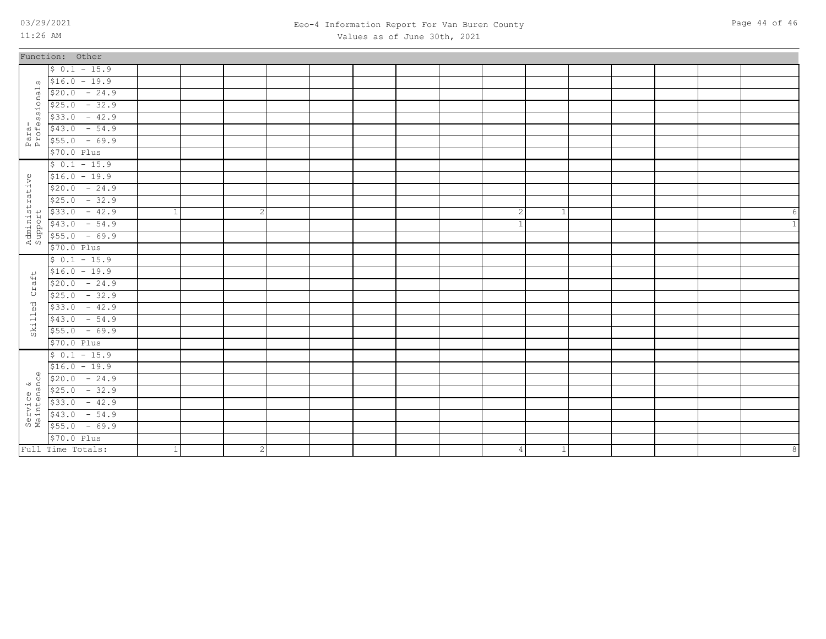### 03/29/2021 Page 44 of 46 Eeo-4 Information Report For Van Buren County Values as of June 30th, 2021

|                           | Function: Other                                                                                                                                                                                                                                                                                                                                                                                                     |   |              |  |  |                |              |  |  |                |
|---------------------------|---------------------------------------------------------------------------------------------------------------------------------------------------------------------------------------------------------------------------------------------------------------------------------------------------------------------------------------------------------------------------------------------------------------------|---|--------------|--|--|----------------|--------------|--|--|----------------|
|                           | $$0.1 - 15.9$                                                                                                                                                                                                                                                                                                                                                                                                       |   |              |  |  |                |              |  |  |                |
|                           | $\sqrt{516.0}$ - 19.9                                                                                                                                                                                                                                                                                                                                                                                               |   |              |  |  |                |              |  |  |                |
| onal                      | $$20.0 - 24.9$                                                                                                                                                                                                                                                                                                                                                                                                      |   |              |  |  |                |              |  |  |                |
|                           | $$25.0 - 32.9$                                                                                                                                                                                                                                                                                                                                                                                                      |   |              |  |  |                |              |  |  |                |
| i<br>S<br>S               | $$33.0 - 42.9$                                                                                                                                                                                                                                                                                                                                                                                                      |   |              |  |  |                |              |  |  |                |
| Para-<br>Profes           | $$43.0 - 54.9$                                                                                                                                                                                                                                                                                                                                                                                                      |   |              |  |  |                |              |  |  |                |
|                           | $$55.0 - 69.9$                                                                                                                                                                                                                                                                                                                                                                                                      |   |              |  |  |                |              |  |  |                |
|                           | \$70.0 Plus                                                                                                                                                                                                                                                                                                                                                                                                         |   |              |  |  |                |              |  |  |                |
|                           | $$0.1 - 15.9$                                                                                                                                                                                                                                                                                                                                                                                                       |   |              |  |  |                |              |  |  |                |
|                           | $$16.0 - 19.9$                                                                                                                                                                                                                                                                                                                                                                                                      |   |              |  |  |                |              |  |  |                |
|                           | $$20.0 - 24.9$                                                                                                                                                                                                                                                                                                                                                                                                      |   |              |  |  |                |              |  |  |                |
|                           | $$25.0 - 32.9$                                                                                                                                                                                                                                                                                                                                                                                                      |   |              |  |  |                |              |  |  |                |
| Administrative<br>Support | $$33.0 - 42.9$                                                                                                                                                                                                                                                                                                                                                                                                      |   | 2            |  |  | 2              | 1            |  |  | 6              |
|                           | $$43.0 - 54.9$                                                                                                                                                                                                                                                                                                                                                                                                      |   |              |  |  |                |              |  |  | $\overline{1}$ |
|                           | $$55.0 - 69.9$                                                                                                                                                                                                                                                                                                                                                                                                      |   |              |  |  |                |              |  |  |                |
|                           | \$70.0 Plus                                                                                                                                                                                                                                                                                                                                                                                                         |   |              |  |  |                |              |  |  |                |
|                           | $$0.1 - 15.9$                                                                                                                                                                                                                                                                                                                                                                                                       |   |              |  |  |                |              |  |  |                |
|                           | $$16.0 - 19.9$                                                                                                                                                                                                                                                                                                                                                                                                      |   |              |  |  |                |              |  |  |                |
| aft                       | $$20.0 - 24.9$                                                                                                                                                                                                                                                                                                                                                                                                      |   |              |  |  |                |              |  |  |                |
| ά                         | $$25.0 - 32.9$                                                                                                                                                                                                                                                                                                                                                                                                      |   |              |  |  |                |              |  |  |                |
| $\vec{C}$                 | $$33.0 - 42.9$                                                                                                                                                                                                                                                                                                                                                                                                      |   |              |  |  |                |              |  |  |                |
| ੜੇ                        | $$43.0 - 54.9$                                                                                                                                                                                                                                                                                                                                                                                                      |   |              |  |  |                |              |  |  |                |
| Ski                       | $$55.0 - 69.9$                                                                                                                                                                                                                                                                                                                                                                                                      |   |              |  |  |                |              |  |  |                |
|                           | \$70.0 Plus                                                                                                                                                                                                                                                                                                                                                                                                         |   |              |  |  |                |              |  |  |                |
|                           | $$0.1 - 15.9$                                                                                                                                                                                                                                                                                                                                                                                                       |   |              |  |  |                |              |  |  |                |
|                           | $$16.0 - 19.9$                                                                                                                                                                                                                                                                                                                                                                                                      |   |              |  |  |                |              |  |  |                |
| $\omega$<br>Õ             | $$20.0 - 24.9$                                                                                                                                                                                                                                                                                                                                                                                                      |   |              |  |  |                |              |  |  |                |
|                           |                                                                                                                                                                                                                                                                                                                                                                                                                     |   |              |  |  |                |              |  |  |                |
|                           |                                                                                                                                                                                                                                                                                                                                                                                                                     |   |              |  |  |                |              |  |  |                |
|                           | $\begin{array}{r} \text{9} \\ \text{9} \\ \text{10} \\ \text{21} \\ \text{22} \\ \text{33} \\ \text{44} \\ \text{55} \\ \text{56} \\ \text{67} \\ \text{78} \\ \text{88} \\ \text{99} \\ \text{100} \\ \text{110} \\ \text{121} \\ \text{133} \\ \text{144} \\ \text{154} \\ \text{165} \\ \text{175} \\ \text{189} \\ \text{199} \\ \text{190} \\ \text{190} \\ \text{190} \\ \text{190} \\ \text{190} \\ \text{1$ |   |              |  |  |                |              |  |  |                |
|                           |                                                                                                                                                                                                                                                                                                                                                                                                                     |   |              |  |  |                |              |  |  |                |
|                           | \$70.0 Plus                                                                                                                                                                                                                                                                                                                                                                                                         |   |              |  |  |                |              |  |  |                |
|                           | Full Time Totals:                                                                                                                                                                                                                                                                                                                                                                                                   | 1 | $\mathbf{2}$ |  |  | $\overline{4}$ | $\mathbf{1}$ |  |  | 8              |